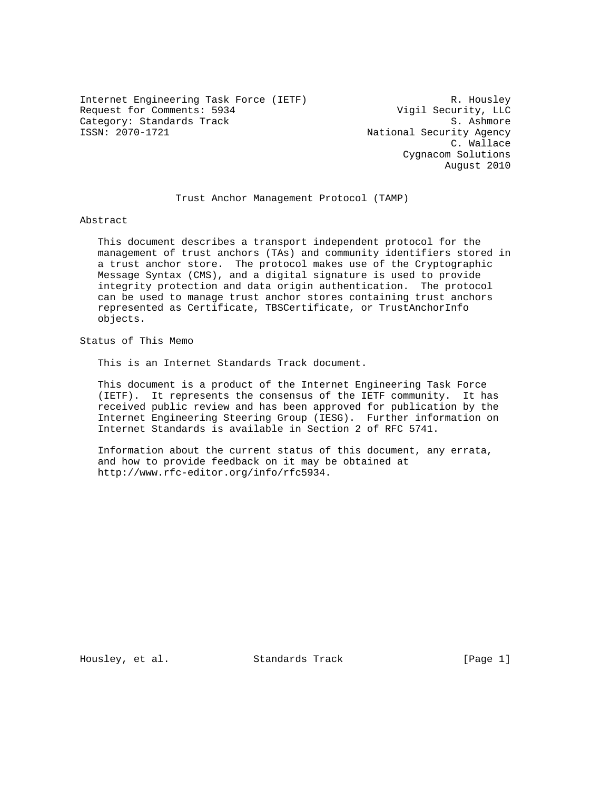Internet Engineering Task Force (IETF) R. Housley Request for Comments: 5934 Vigil Security, LLC Category: Standards Track and Society: Standards Track S. Ashmore<br>
S. Ashmore S. Ashmore S. Ashmore S. Ashmore

National Security Agency C. Wallace Cygnacom Solutions August 2010

Trust Anchor Management Protocol (TAMP)

Abstract

 This document describes a transport independent protocol for the management of trust anchors (TAs) and community identifiers stored in a trust anchor store. The protocol makes use of the Cryptographic Message Syntax (CMS), and a digital signature is used to provide integrity protection and data origin authentication. The protocol can be used to manage trust anchor stores containing trust anchors represented as Certificate, TBSCertificate, or TrustAnchorInfo objects.

Status of This Memo

This is an Internet Standards Track document.

 This document is a product of the Internet Engineering Task Force (IETF). It represents the consensus of the IETF community. It has received public review and has been approved for publication by the Internet Engineering Steering Group (IESG). Further information on Internet Standards is available in Section 2 of RFC 5741.

 Information about the current status of this document, any errata, and how to provide feedback on it may be obtained at http://www.rfc-editor.org/info/rfc5934.

Housley, et al. Standards Track [Page 1]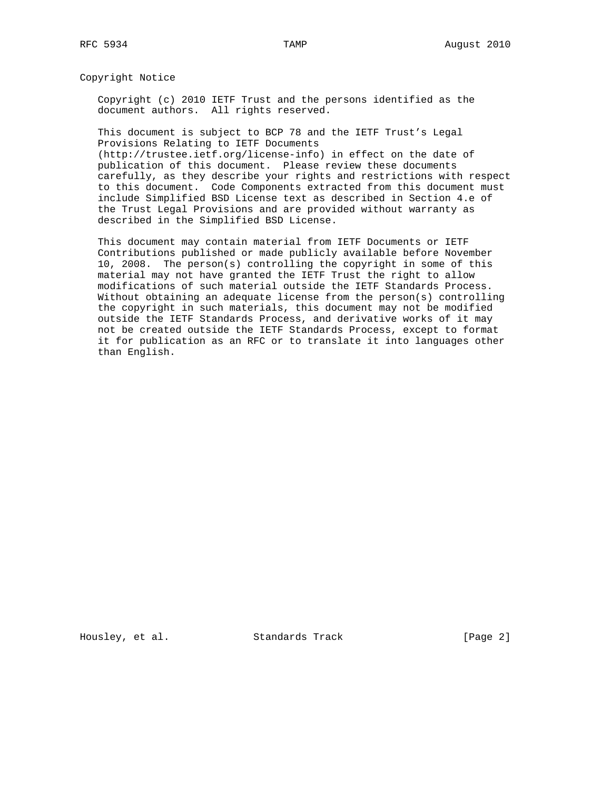Copyright Notice

 Copyright (c) 2010 IETF Trust and the persons identified as the document authors. All rights reserved.

 This document is subject to BCP 78 and the IETF Trust's Legal Provisions Relating to IETF Documents (http://trustee.ietf.org/license-info) in effect on the date of

 publication of this document. Please review these documents carefully, as they describe your rights and restrictions with respect to this document. Code Components extracted from this document must include Simplified BSD License text as described in Section 4.e of the Trust Legal Provisions and are provided without warranty as described in the Simplified BSD License.

 This document may contain material from IETF Documents or IETF Contributions published or made publicly available before November 10, 2008. The person(s) controlling the copyright in some of this material may not have granted the IETF Trust the right to allow modifications of such material outside the IETF Standards Process. Without obtaining an adequate license from the person(s) controlling the copyright in such materials, this document may not be modified outside the IETF Standards Process, and derivative works of it may not be created outside the IETF Standards Process, except to format it for publication as an RFC or to translate it into languages other than English.

Housley, et al. Standards Track [Page 2]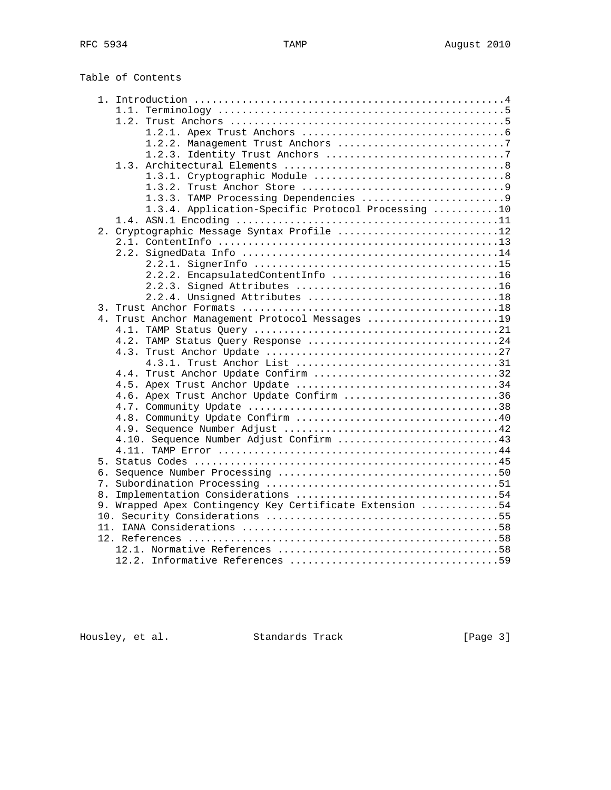|    | Table of Contents                                        |  |
|----|----------------------------------------------------------|--|
|    |                                                          |  |
|    | 1.2.                                                     |  |
|    |                                                          |  |
|    | 1.2.2. Management Trust Anchors 7                        |  |
|    |                                                          |  |
|    | 1.3.                                                     |  |
|    |                                                          |  |
|    |                                                          |  |
|    |                                                          |  |
|    | 1.3.4. Application-Specific Protocol Processing 10       |  |
|    |                                                          |  |
|    | 2. Cryptographic Message Syntax Profile 12               |  |
|    |                                                          |  |
|    | 2.2.                                                     |  |
|    |                                                          |  |
|    | 2.2.2. EncapsulatedContentInfo 16                        |  |
|    |                                                          |  |
|    |                                                          |  |
|    |                                                          |  |
|    | 4. Trust Anchor Management Protocol Messages 19          |  |
|    |                                                          |  |
|    | 4.2. TAMP Status Query Response 24                       |  |
|    |                                                          |  |
|    |                                                          |  |
|    | 4.4. Trust Anchor Update Confirm 32                      |  |
|    |                                                          |  |
|    | 4.6. Apex Trust Anchor Update Confirm 36                 |  |
|    |                                                          |  |
|    |                                                          |  |
|    |                                                          |  |
|    |                                                          |  |
|    |                                                          |  |
|    |                                                          |  |
|    |                                                          |  |
|    |                                                          |  |
| 8. |                                                          |  |
|    | 9. Wrapped Apex Contingency Key Certificate Extension 54 |  |
|    |                                                          |  |
|    |                                                          |  |
|    |                                                          |  |
|    |                                                          |  |
|    |                                                          |  |

Housley, et al. Standards Track [Page 3]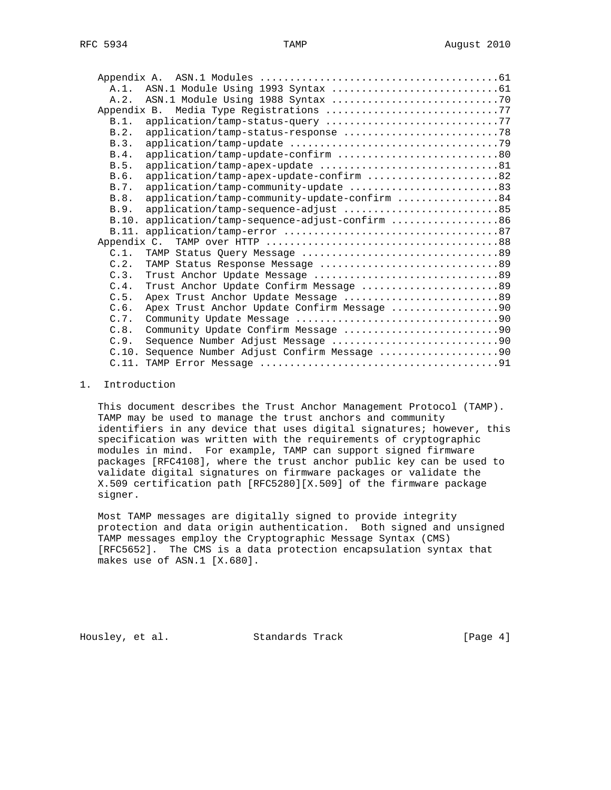| $A.1$ .     |                                                   |
|-------------|---------------------------------------------------|
| A.2.        |                                                   |
| Appendix B. |                                                   |
| B.1.        |                                                   |
| B.2.        |                                                   |
| B.3.        |                                                   |
| B.4.        | application/tamp-update-confirm 80                |
| B.5.        |                                                   |
| B.6.        | application/tamp-apex-update-confirm 82           |
| B.7.        | application/tamp-community-update 83              |
| B.8.        | application/tamp-community-update-confirm 84      |
| B.9.        |                                                   |
|             | B.10. application/tamp-sequence-adjust-confirm 86 |
|             |                                                   |
| Appendix C. |                                                   |
| C.1.        |                                                   |
| C.2.        | TAMP Status Response Message 89                   |
| C.3.        |                                                   |
| C.4.        | Trust Anchor Update Confirm Message 89            |
| C.5.        | Apex Trust Anchor Update Message 89               |
| C.6.        |                                                   |
| C.7.        |                                                   |
| C.8.        |                                                   |
| C.9.        | Sequence Number Adjust Message 90                 |
| C.10.       | Sequence Number Adjust Confirm Message 90         |
|             |                                                   |

## 1. Introduction

 This document describes the Trust Anchor Management Protocol (TAMP). TAMP may be used to manage the trust anchors and community identifiers in any device that uses digital signatures; however, this specification was written with the requirements of cryptographic modules in mind. For example, TAMP can support signed firmware packages [RFC4108], where the trust anchor public key can be used to validate digital signatures on firmware packages or validate the X.509 certification path [RFC5280][X.509] of the firmware package signer.

 Most TAMP messages are digitally signed to provide integrity protection and data origin authentication. Both signed and unsigned TAMP messages employ the Cryptographic Message Syntax (CMS) [RFC5652]. The CMS is a data protection encapsulation syntax that makes use of ASN.1 [X.680].

Housley, et al. Standards Track [Page 4]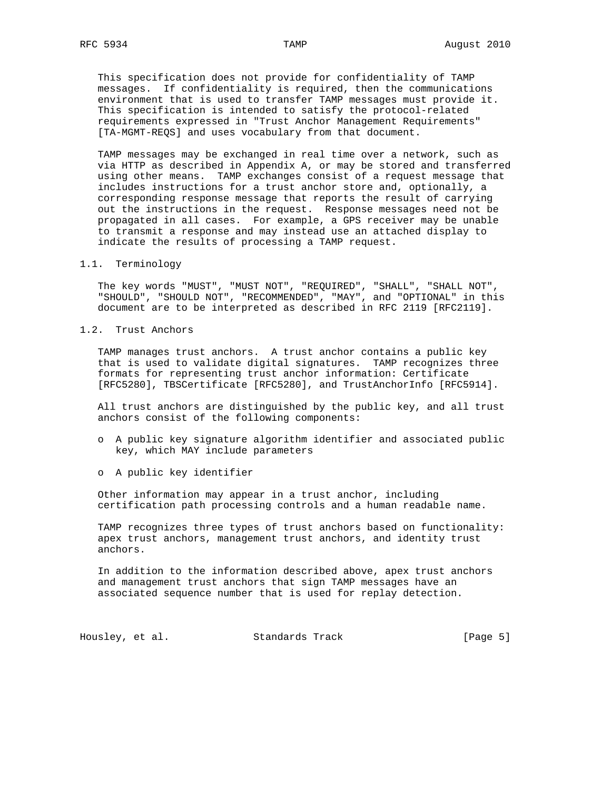This specification does not provide for confidentiality of TAMP messages. If confidentiality is required, then the communications environment that is used to transfer TAMP messages must provide it. This specification is intended to satisfy the protocol-related requirements expressed in "Trust Anchor Management Requirements" [TA-MGMT-REQS] and uses vocabulary from that document.

 TAMP messages may be exchanged in real time over a network, such as via HTTP as described in Appendix A, or may be stored and transferred using other means. TAMP exchanges consist of a request message that includes instructions for a trust anchor store and, optionally, a corresponding response message that reports the result of carrying out the instructions in the request. Response messages need not be propagated in all cases. For example, a GPS receiver may be unable to transmit a response and may instead use an attached display to indicate the results of processing a TAMP request.

#### 1.1. Terminology

 The key words "MUST", "MUST NOT", "REQUIRED", "SHALL", "SHALL NOT", "SHOULD", "SHOULD NOT", "RECOMMENDED", "MAY", and "OPTIONAL" in this document are to be interpreted as described in RFC 2119 [RFC2119].

1.2. Trust Anchors

 TAMP manages trust anchors. A trust anchor contains a public key that is used to validate digital signatures. TAMP recognizes three formats for representing trust anchor information: Certificate [RFC5280], TBSCertificate [RFC5280], and TrustAnchorInfo [RFC5914].

 All trust anchors are distinguished by the public key, and all trust anchors consist of the following components:

- o A public key signature algorithm identifier and associated public key, which MAY include parameters
- o A public key identifier

 Other information may appear in a trust anchor, including certification path processing controls and a human readable name.

 TAMP recognizes three types of trust anchors based on functionality: apex trust anchors, management trust anchors, and identity trust anchors.

 In addition to the information described above, apex trust anchors and management trust anchors that sign TAMP messages have an associated sequence number that is used for replay detection.

Housley, et al. Standards Track [Page 5]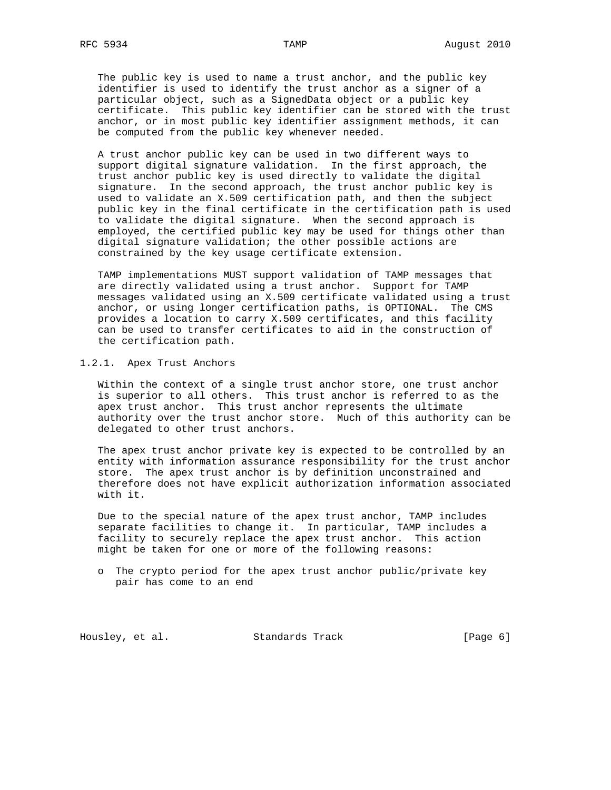The public key is used to name a trust anchor, and the public key identifier is used to identify the trust anchor as a signer of a particular object, such as a SignedData object or a public key certificate. This public key identifier can be stored with the trust anchor, or in most public key identifier assignment methods, it can be computed from the public key whenever needed.

 A trust anchor public key can be used in two different ways to support digital signature validation. In the first approach, the trust anchor public key is used directly to validate the digital signature. In the second approach, the trust anchor public key is used to validate an X.509 certification path, and then the subject public key in the final certificate in the certification path is used to validate the digital signature. When the second approach is employed, the certified public key may be used for things other than digital signature validation; the other possible actions are constrained by the key usage certificate extension.

 TAMP implementations MUST support validation of TAMP messages that are directly validated using a trust anchor. Support for TAMP messages validated using an X.509 certificate validated using a trust anchor, or using longer certification paths, is OPTIONAL. The CMS provides a location to carry X.509 certificates, and this facility can be used to transfer certificates to aid in the construction of the certification path.

### 1.2.1. Apex Trust Anchors

 Within the context of a single trust anchor store, one trust anchor is superior to all others. This trust anchor is referred to as the apex trust anchor. This trust anchor represents the ultimate authority over the trust anchor store. Much of this authority can be delegated to other trust anchors.

 The apex trust anchor private key is expected to be controlled by an entity with information assurance responsibility for the trust anchor store. The apex trust anchor is by definition unconstrained and therefore does not have explicit authorization information associated with it.

 Due to the special nature of the apex trust anchor, TAMP includes separate facilities to change it. In particular, TAMP includes a facility to securely replace the apex trust anchor. This action might be taken for one or more of the following reasons:

 o The crypto period for the apex trust anchor public/private key pair has come to an end

Housley, et al. Standards Track [Page 6]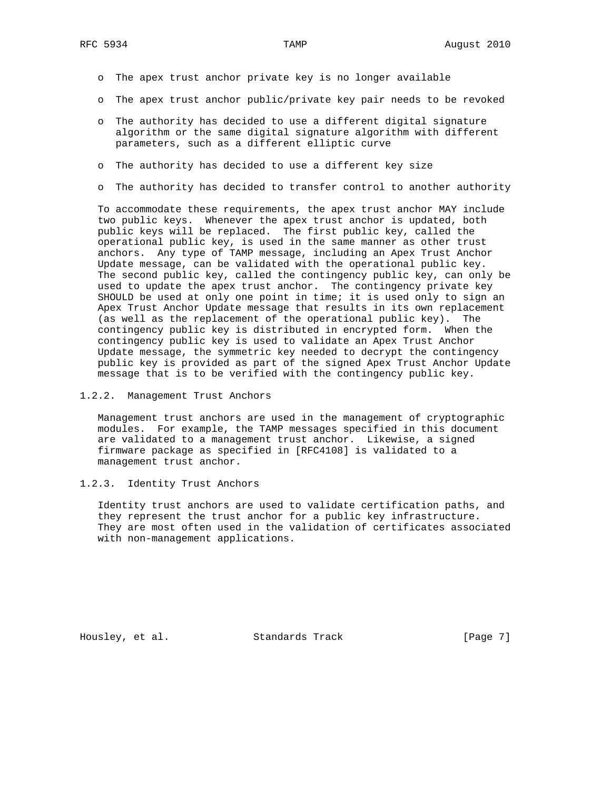- o The apex trust anchor private key is no longer available
- o The apex trust anchor public/private key pair needs to be revoked
- o The authority has decided to use a different digital signature algorithm or the same digital signature algorithm with different parameters, such as a different elliptic curve
- o The authority has decided to use a different key size
- o The authority has decided to transfer control to another authority

 To accommodate these requirements, the apex trust anchor MAY include two public keys. Whenever the apex trust anchor is updated, both public keys will be replaced. The first public key, called the operational public key, is used in the same manner as other trust anchors. Any type of TAMP message, including an Apex Trust Anchor Update message, can be validated with the operational public key. The second public key, called the contingency public key, can only be used to update the apex trust anchor. The contingency private key SHOULD be used at only one point in time; it is used only to sign an Apex Trust Anchor Update message that results in its own replacement (as well as the replacement of the operational public key). The contingency public key is distributed in encrypted form. When the contingency public key is used to validate an Apex Trust Anchor Update message, the symmetric key needed to decrypt the contingency public key is provided as part of the signed Apex Trust Anchor Update message that is to be verified with the contingency public key.

1.2.2. Management Trust Anchors

 Management trust anchors are used in the management of cryptographic modules. For example, the TAMP messages specified in this document are validated to a management trust anchor. Likewise, a signed firmware package as specified in [RFC4108] is validated to a management trust anchor.

1.2.3. Identity Trust Anchors

 Identity trust anchors are used to validate certification paths, and they represent the trust anchor for a public key infrastructure. They are most often used in the validation of certificates associated with non-management applications.

Housley, et al. Standards Track [Page 7]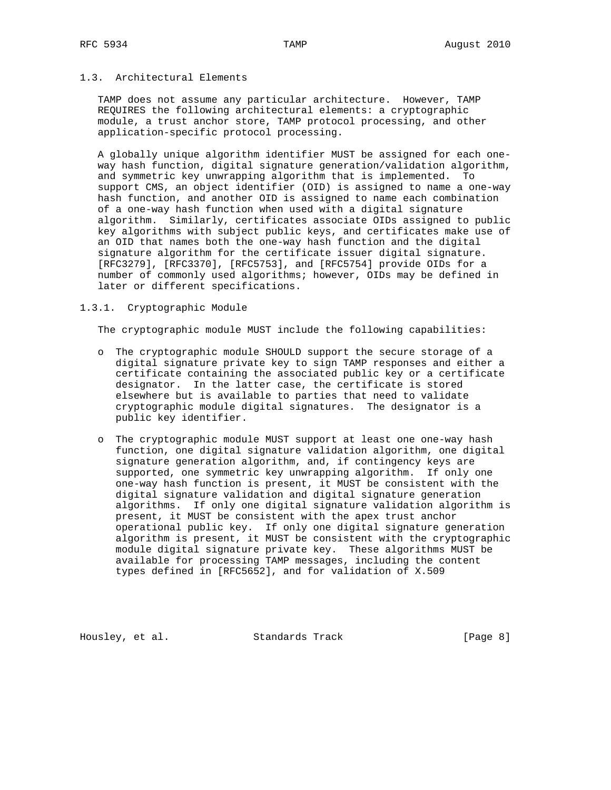# 1.3. Architectural Elements

 TAMP does not assume any particular architecture. However, TAMP REQUIRES the following architectural elements: a cryptographic module, a trust anchor store, TAMP protocol processing, and other application-specific protocol processing.

 A globally unique algorithm identifier MUST be assigned for each one way hash function, digital signature generation/validation algorithm, and symmetric key unwrapping algorithm that is implemented. To support CMS, an object identifier (OID) is assigned to name a one-way hash function, and another OID is assigned to name each combination of a one-way hash function when used with a digital signature algorithm. Similarly, certificates associate OIDs assigned to public key algorithms with subject public keys, and certificates make use of an OID that names both the one-way hash function and the digital signature algorithm for the certificate issuer digital signature. [RFC3279], [RFC3370], [RFC5753], and [RFC5754] provide OIDs for a number of commonly used algorithms; however, OIDs may be defined in later or different specifications.

#### 1.3.1. Cryptographic Module

The cryptographic module MUST include the following capabilities:

- o The cryptographic module SHOULD support the secure storage of a digital signature private key to sign TAMP responses and either a certificate containing the associated public key or a certificate designator. In the latter case, the certificate is stored elsewhere but is available to parties that need to validate cryptographic module digital signatures. The designator is a public key identifier.
- o The cryptographic module MUST support at least one one-way hash function, one digital signature validation algorithm, one digital signature generation algorithm, and, if contingency keys are supported, one symmetric key unwrapping algorithm. If only one one-way hash function is present, it MUST be consistent with the digital signature validation and digital signature generation algorithms. If only one digital signature validation algorithm is present, it MUST be consistent with the apex trust anchor operational public key. If only one digital signature generation algorithm is present, it MUST be consistent with the cryptographic module digital signature private key. These algorithms MUST be available for processing TAMP messages, including the content types defined in [RFC5652], and for validation of X.509

Housley, et al. Standards Track [Page 8]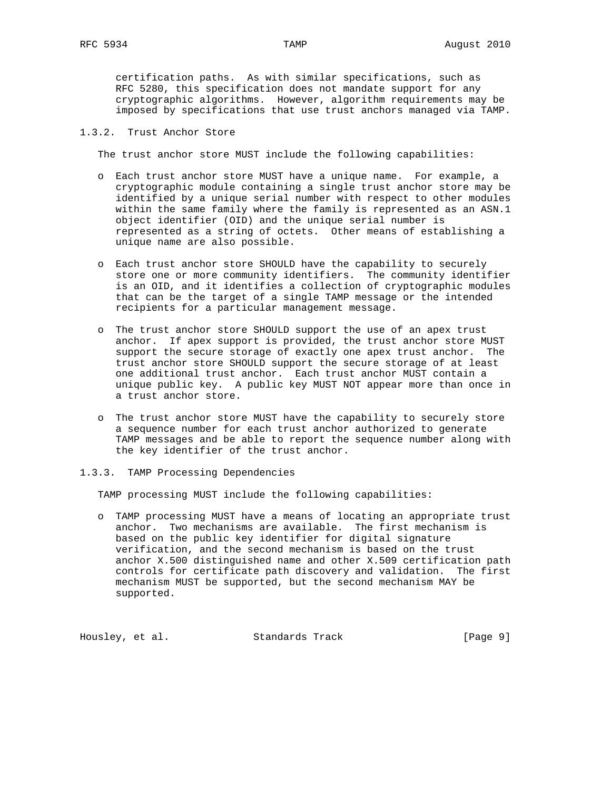certification paths. As with similar specifications, such as RFC 5280, this specification does not mandate support for any cryptographic algorithms. However, algorithm requirements may be imposed by specifications that use trust anchors managed via TAMP.

# 1.3.2. Trust Anchor Store

The trust anchor store MUST include the following capabilities:

- o Each trust anchor store MUST have a unique name. For example, a cryptographic module containing a single trust anchor store may be identified by a unique serial number with respect to other modules within the same family where the family is represented as an ASN.1 object identifier (OID) and the unique serial number is represented as a string of octets. Other means of establishing a unique name are also possible.
- o Each trust anchor store SHOULD have the capability to securely store one or more community identifiers. The community identifier is an OID, and it identifies a collection of cryptographic modules that can be the target of a single TAMP message or the intended recipients for a particular management message.
- o The trust anchor store SHOULD support the use of an apex trust anchor. If apex support is provided, the trust anchor store MUST support the secure storage of exactly one apex trust anchor. The trust anchor store SHOULD support the secure storage of at least one additional trust anchor. Each trust anchor MUST contain a unique public key. A public key MUST NOT appear more than once in a trust anchor store.
- o The trust anchor store MUST have the capability to securely store a sequence number for each trust anchor authorized to generate TAMP messages and be able to report the sequence number along with the key identifier of the trust anchor.
- 1.3.3. TAMP Processing Dependencies

TAMP processing MUST include the following capabilities:

 o TAMP processing MUST have a means of locating an appropriate trust anchor. Two mechanisms are available. The first mechanism is based on the public key identifier for digital signature verification, and the second mechanism is based on the trust anchor X.500 distinguished name and other X.509 certification path controls for certificate path discovery and validation. The first mechanism MUST be supported, but the second mechanism MAY be supported.

Housley, et al. Standards Track [Page 9]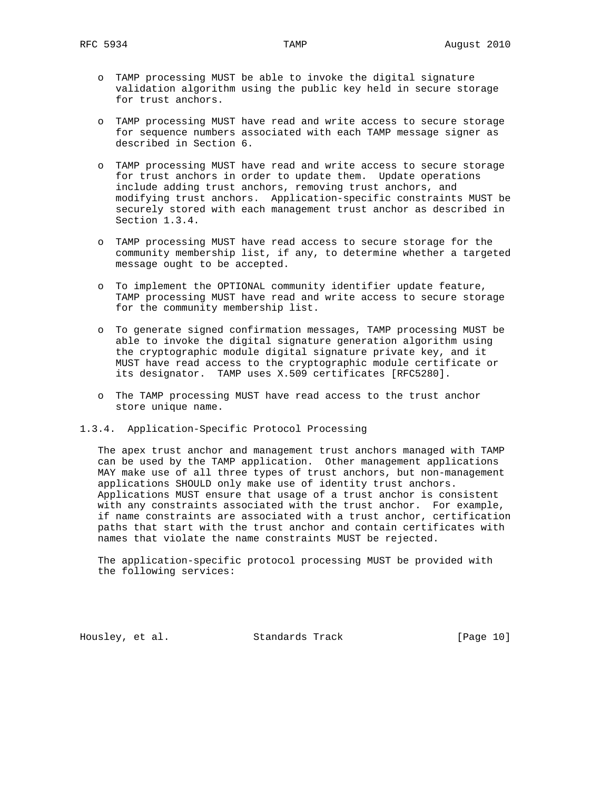- o TAMP processing MUST be able to invoke the digital signature validation algorithm using the public key held in secure storage for trust anchors.
- o TAMP processing MUST have read and write access to secure storage for sequence numbers associated with each TAMP message signer as described in Section 6.
- o TAMP processing MUST have read and write access to secure storage for trust anchors in order to update them. Update operations include adding trust anchors, removing trust anchors, and modifying trust anchors. Application-specific constraints MUST be securely stored with each management trust anchor as described in Section 1.3.4.
- o TAMP processing MUST have read access to secure storage for the community membership list, if any, to determine whether a targeted message ought to be accepted.
- o To implement the OPTIONAL community identifier update feature, TAMP processing MUST have read and write access to secure storage for the community membership list.
- o To generate signed confirmation messages, TAMP processing MUST be able to invoke the digital signature generation algorithm using the cryptographic module digital signature private key, and it MUST have read access to the cryptographic module certificate or its designator. TAMP uses X.509 certificates [RFC5280].
- o The TAMP processing MUST have read access to the trust anchor store unique name.
- 1.3.4. Application-Specific Protocol Processing

 The apex trust anchor and management trust anchors managed with TAMP can be used by the TAMP application. Other management applications MAY make use of all three types of trust anchors, but non-management applications SHOULD only make use of identity trust anchors. Applications MUST ensure that usage of a trust anchor is consistent with any constraints associated with the trust anchor. For example, if name constraints are associated with a trust anchor, certification paths that start with the trust anchor and contain certificates with names that violate the name constraints MUST be rejected.

 The application-specific protocol processing MUST be provided with the following services:

Housley, et al. Standards Track [Page 10]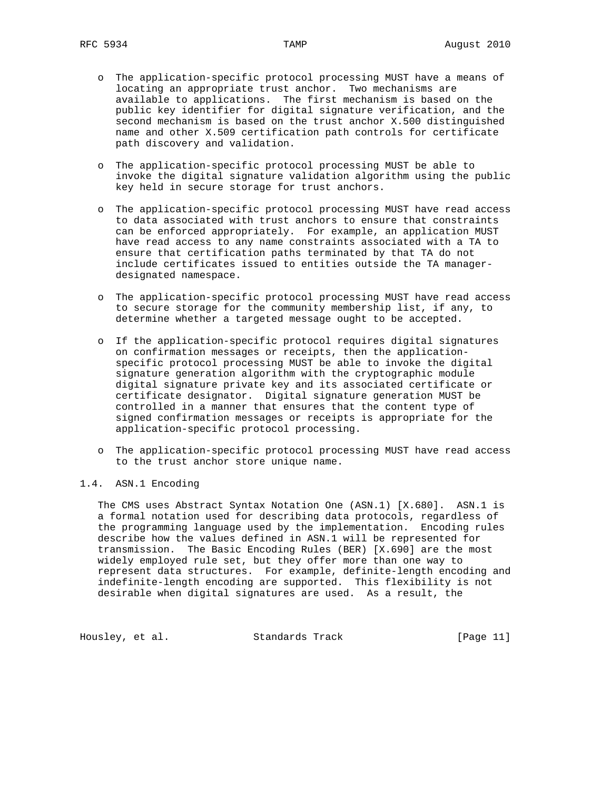- o The application-specific protocol processing MUST have a means of locating an appropriate trust anchor. Two mechanisms are available to applications. The first mechanism is based on the public key identifier for digital signature verification, and the second mechanism is based on the trust anchor X.500 distinguished name and other X.509 certification path controls for certificate path discovery and validation.
- o The application-specific protocol processing MUST be able to invoke the digital signature validation algorithm using the public key held in secure storage for trust anchors.
- o The application-specific protocol processing MUST have read access to data associated with trust anchors to ensure that constraints can be enforced appropriately. For example, an application MUST have read access to any name constraints associated with a TA to ensure that certification paths terminated by that TA do not include certificates issued to entities outside the TA manager designated namespace.
- o The application-specific protocol processing MUST have read access to secure storage for the community membership list, if any, to determine whether a targeted message ought to be accepted.
- o If the application-specific protocol requires digital signatures on confirmation messages or receipts, then the application specific protocol processing MUST be able to invoke the digital signature generation algorithm with the cryptographic module digital signature private key and its associated certificate or certificate designator. Digital signature generation MUST be controlled in a manner that ensures that the content type of signed confirmation messages or receipts is appropriate for the application-specific protocol processing.
- o The application-specific protocol processing MUST have read access to the trust anchor store unique name.

# 1.4. ASN.1 Encoding

 The CMS uses Abstract Syntax Notation One (ASN.1) [X.680]. ASN.1 is a formal notation used for describing data protocols, regardless of the programming language used by the implementation. Encoding rules describe how the values defined in ASN.1 will be represented for transmission. The Basic Encoding Rules (BER) [X.690] are the most widely employed rule set, but they offer more than one way to represent data structures. For example, definite-length encoding and indefinite-length encoding are supported. This flexibility is not desirable when digital signatures are used. As a result, the

Housley, et al. Standards Track [Page 11]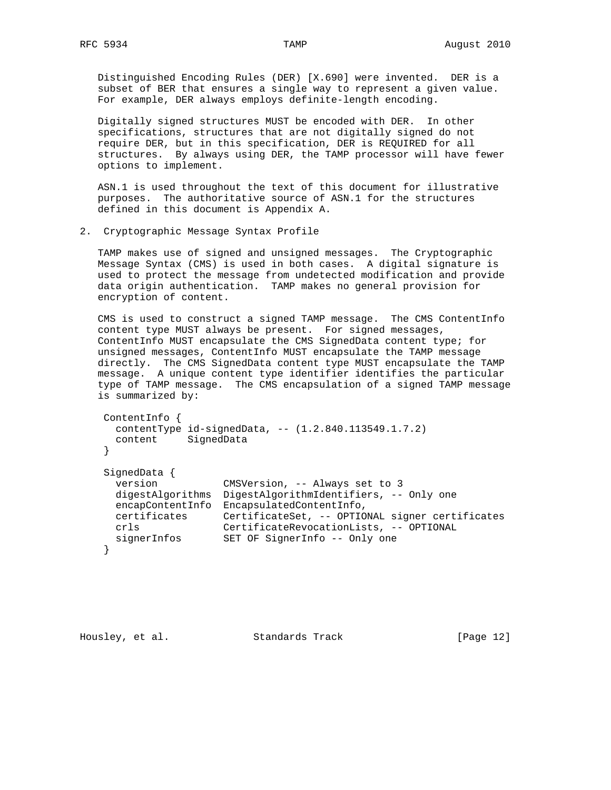Distinguished Encoding Rules (DER) [X.690] were invented. DER is a subset of BER that ensures a single way to represent a given value. For example, DER always employs definite-length encoding.

 Digitally signed structures MUST be encoded with DER. In other specifications, structures that are not digitally signed do not require DER, but in this specification, DER is REQUIRED for all structures. By always using DER, the TAMP processor will have fewer options to implement.

 ASN.1 is used throughout the text of this document for illustrative purposes. The authoritative source of ASN.1 for the structures defined in this document is Appendix A.

2. Cryptographic Message Syntax Profile

 TAMP makes use of signed and unsigned messages. The Cryptographic Message Syntax (CMS) is used in both cases. A digital signature is used to protect the message from undetected modification and provide data origin authentication. TAMP makes no general provision for encryption of content.

 CMS is used to construct a signed TAMP message. The CMS ContentInfo content type MUST always be present. For signed messages, ContentInfo MUST encapsulate the CMS SignedData content type; for unsigned messages, ContentInfo MUST encapsulate the TAMP message directly. The CMS SignedData content type MUST encapsulate the TAMP message. A unique content type identifier identifies the particular type of TAMP message. The CMS encapsulation of a signed TAMP message is summarized by:

```
 ContentInfo {
     contentType id-signedData, -- (1.2.840.113549.1.7.2)
      content SignedData
    }
    SignedData {
      version CMSVersion, -- Always set to 3
     digestAlgorithms DigestAlgorithmIdentifiers, -- Only one
      encapContentInfo EncapsulatedContentInfo,
 certificates CertificateSet, -- OPTIONAL signer certificates
 crls CertificateRevocationLists, -- OPTIONAL
     signerInfos SET OF SignerInfo -- Only one
    }
```
Housley, et al. Standards Track [Page 12]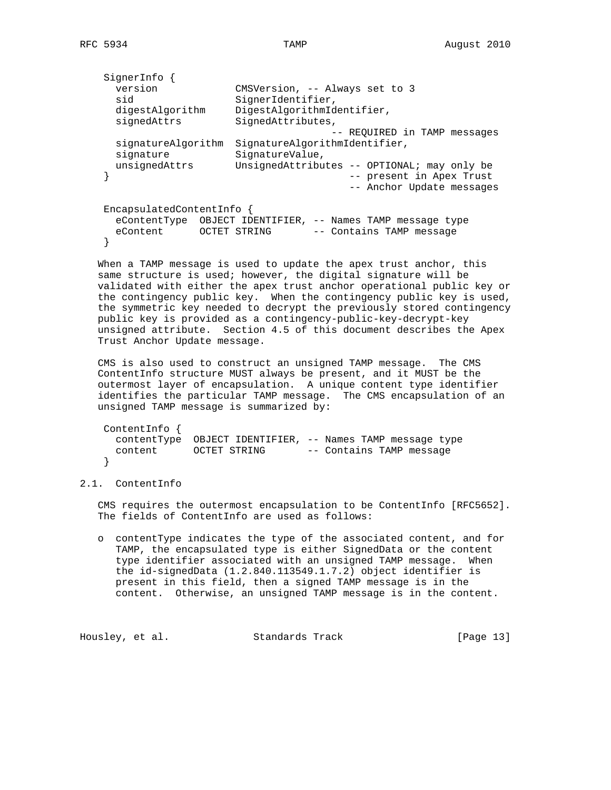```
 SignerInfo {
 version CMSVersion, -- Always set to 3
sid SignerIdentifier,
 digestAlgorithm DigestAlgorithmIdentifier,
signedAttrs SignedAttributes,
 -- REQUIRED in TAMP messages
     signatureAlgorithm SignatureAlgorithmIdentifier,
signature SignatureValue,
 unsignedAttrs UnsignedAttributes -- OPTIONAL; may only be
   } -- present in Apex Trust
                                  -- Anchor Update messages
   EncapsulatedContentInfo {
    eContentType OBJECT IDENTIFIER, -- Names TAMP message type
    eContent OCTET STRING -- Contains TAMP message
   }
```
 When a TAMP message is used to update the apex trust anchor, this same structure is used; however, the digital signature will be validated with either the apex trust anchor operational public key or the contingency public key. When the contingency public key is used, the symmetric key needed to decrypt the previously stored contingency public key is provided as a contingency-public-key-decrypt-key unsigned attribute. Section 4.5 of this document describes the Apex Trust Anchor Update message.

 CMS is also used to construct an unsigned TAMP message. The CMS ContentInfo structure MUST always be present, and it MUST be the outermost layer of encapsulation. A unique content type identifier identifies the particular TAMP message. The CMS encapsulation of an unsigned TAMP message is summarized by:

| ContentInfo $\{$ |              |                                                           |                          |
|------------------|--------------|-----------------------------------------------------------|--------------------------|
|                  |              | contentType OBJECT IDENTIFIER, -- Names TAMP message type |                          |
| content          | OCTET STRING |                                                           | -- Contains TAMP message |
|                  |              |                                                           |                          |

## 2.1. ContentInfo

 CMS requires the outermost encapsulation to be ContentInfo [RFC5652]. The fields of ContentInfo are used as follows:

 o contentType indicates the type of the associated content, and for TAMP, the encapsulated type is either SignedData or the content type identifier associated with an unsigned TAMP message. When the id-signedData (1.2.840.113549.1.7.2) object identifier is present in this field, then a signed TAMP message is in the content. Otherwise, an unsigned TAMP message is in the content.

Housley, et al. Standards Track [Page 13]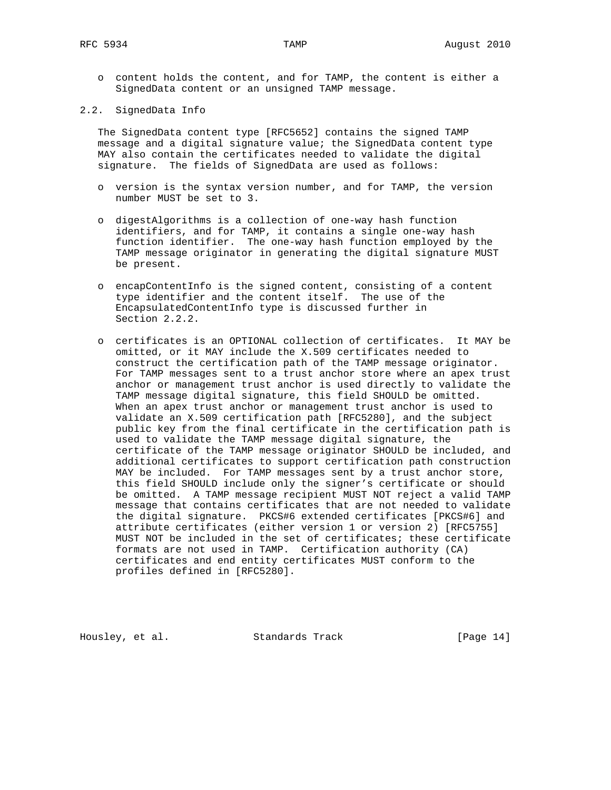o content holds the content, and for TAMP, the content is either a SignedData content or an unsigned TAMP message.

2.2. SignedData Info

 The SignedData content type [RFC5652] contains the signed TAMP message and a digital signature value; the SignedData content type MAY also contain the certificates needed to validate the digital signature. The fields of SignedData are used as follows:

- o version is the syntax version number, and for TAMP, the version number MUST be set to 3.
- o digestAlgorithms is a collection of one-way hash function identifiers, and for TAMP, it contains a single one-way hash function identifier. The one-way hash function employed by the TAMP message originator in generating the digital signature MUST be present.
- o encapContentInfo is the signed content, consisting of a content type identifier and the content itself. The use of the EncapsulatedContentInfo type is discussed further in Section 2.2.2.
- o certificates is an OPTIONAL collection of certificates. It MAY be omitted, or it MAY include the X.509 certificates needed to construct the certification path of the TAMP message originator. For TAMP messages sent to a trust anchor store where an apex trust anchor or management trust anchor is used directly to validate the TAMP message digital signature, this field SHOULD be omitted. When an apex trust anchor or management trust anchor is used to validate an X.509 certification path [RFC5280], and the subject public key from the final certificate in the certification path is used to validate the TAMP message digital signature, the certificate of the TAMP message originator SHOULD be included, and additional certificates to support certification path construction MAY be included. For TAMP messages sent by a trust anchor store, this field SHOULD include only the signer's certificate or should be omitted. A TAMP message recipient MUST NOT reject a valid TAMP message that contains certificates that are not needed to validate the digital signature. PKCS#6 extended certificates [PKCS#6] and attribute certificates (either version 1 or version 2) [RFC5755] MUST NOT be included in the set of certificates; these certificate formats are not used in TAMP. Certification authority (CA) certificates and end entity certificates MUST conform to the profiles defined in [RFC5280].

Housley, et al. Standards Track [Page 14]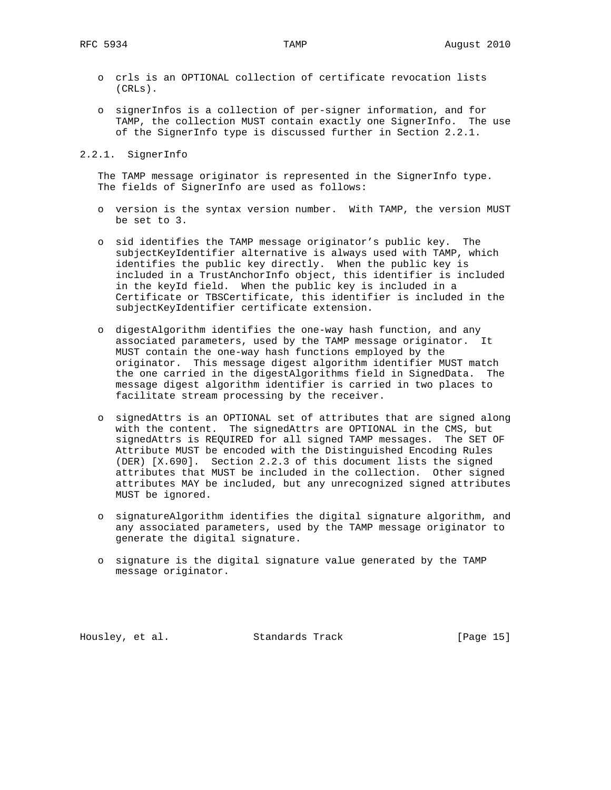- o crls is an OPTIONAL collection of certificate revocation lists (CRLs).
- o signerInfos is a collection of per-signer information, and for TAMP, the collection MUST contain exactly one SignerInfo. The use of the SignerInfo type is discussed further in Section 2.2.1.

2.2.1. SignerInfo

 The TAMP message originator is represented in the SignerInfo type. The fields of SignerInfo are used as follows:

- o version is the syntax version number. With TAMP, the version MUST be set to 3.
- o sid identifies the TAMP message originator's public key. The subjectKeyIdentifier alternative is always used with TAMP, which identifies the public key directly. When the public key is included in a TrustAnchorInfo object, this identifier is included in the keyId field. When the public key is included in a Certificate or TBSCertificate, this identifier is included in the subjectKeyIdentifier certificate extension.
- o digestAlgorithm identifies the one-way hash function, and any associated parameters, used by the TAMP message originator. It MUST contain the one-way hash functions employed by the originator. This message digest algorithm identifier MUST match the one carried in the digestAlgorithms field in SignedData. The message digest algorithm identifier is carried in two places to facilitate stream processing by the receiver.
- o signedAttrs is an OPTIONAL set of attributes that are signed along with the content. The signedAttrs are OPTIONAL in the CMS, but signedAttrs is REQUIRED for all signed TAMP messages. The SET OF Attribute MUST be encoded with the Distinguished Encoding Rules (DER) [X.690]. Section 2.2.3 of this document lists the signed attributes that MUST be included in the collection. Other signed attributes MAY be included, but any unrecognized signed attributes MUST be ignored.
- o signatureAlgorithm identifies the digital signature algorithm, and any associated parameters, used by the TAMP message originator to generate the digital signature.
- o signature is the digital signature value generated by the TAMP message originator.

Housley, et al. Standards Track [Page 15]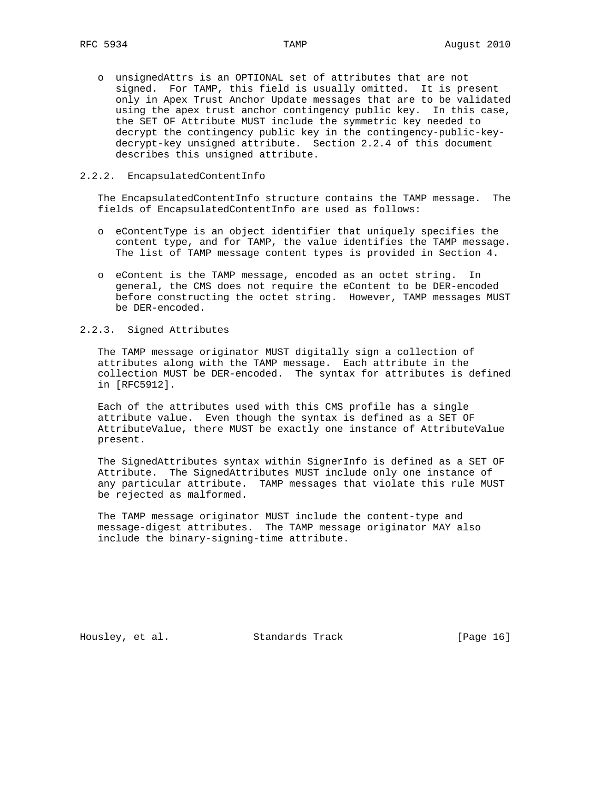o unsignedAttrs is an OPTIONAL set of attributes that are not signed. For TAMP, this field is usually omitted. It is present only in Apex Trust Anchor Update messages that are to be validated using the apex trust anchor contingency public key. In this case, the SET OF Attribute MUST include the symmetric key needed to decrypt the contingency public key in the contingency-public-key decrypt-key unsigned attribute. Section 2.2.4 of this document describes this unsigned attribute.

## 2.2.2. EncapsulatedContentInfo

 The EncapsulatedContentInfo structure contains the TAMP message. The fields of EncapsulatedContentInfo are used as follows:

- o eContentType is an object identifier that uniquely specifies the content type, and for TAMP, the value identifies the TAMP message. The list of TAMP message content types is provided in Section 4.
- o eContent is the TAMP message, encoded as an octet string. In general, the CMS does not require the eContent to be DER-encoded before constructing the octet string. However, TAMP messages MUST be DER-encoded.

## 2.2.3. Signed Attributes

 The TAMP message originator MUST digitally sign a collection of attributes along with the TAMP message. Each attribute in the collection MUST be DER-encoded. The syntax for attributes is defined in [RFC5912].

 Each of the attributes used with this CMS profile has a single attribute value. Even though the syntax is defined as a SET OF AttributeValue, there MUST be exactly one instance of AttributeValue present.

 The SignedAttributes syntax within SignerInfo is defined as a SET OF Attribute. The SignedAttributes MUST include only one instance of any particular attribute. TAMP messages that violate this rule MUST be rejected as malformed.

 The TAMP message originator MUST include the content-type and message-digest attributes. The TAMP message originator MAY also include the binary-signing-time attribute.

Housley, et al. Standards Track [Page 16]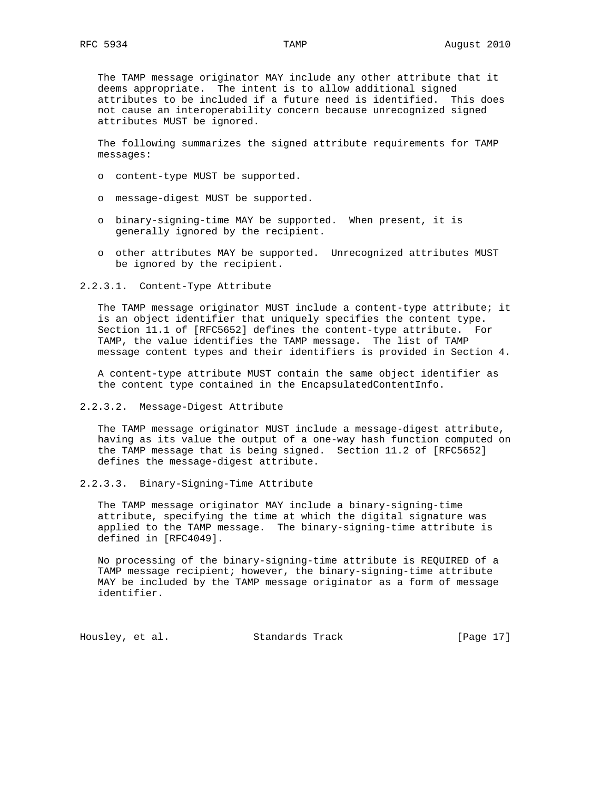The TAMP message originator MAY include any other attribute that it deems appropriate. The intent is to allow additional signed attributes to be included if a future need is identified. This does not cause an interoperability concern because unrecognized signed attributes MUST be ignored.

 The following summarizes the signed attribute requirements for TAMP messages:

- o content-type MUST be supported.
- o message-digest MUST be supported.
- o binary-signing-time MAY be supported. When present, it is generally ignored by the recipient.
- o other attributes MAY be supported. Unrecognized attributes MUST be ignored by the recipient.

#### 2.2.3.1. Content-Type Attribute

 The TAMP message originator MUST include a content-type attribute; it is an object identifier that uniquely specifies the content type. Section 11.1 of [RFC5652] defines the content-type attribute. For TAMP, the value identifies the TAMP message. The list of TAMP message content types and their identifiers is provided in Section 4.

 A content-type attribute MUST contain the same object identifier as the content type contained in the EncapsulatedContentInfo.

2.2.3.2. Message-Digest Attribute

 The TAMP message originator MUST include a message-digest attribute, having as its value the output of a one-way hash function computed on the TAMP message that is being signed. Section 11.2 of [RFC5652] defines the message-digest attribute.

2.2.3.3. Binary-Signing-Time Attribute

 The TAMP message originator MAY include a binary-signing-time attribute, specifying the time at which the digital signature was applied to the TAMP message. The binary-signing-time attribute is defined in [RFC4049].

 No processing of the binary-signing-time attribute is REQUIRED of a TAMP message recipient; however, the binary-signing-time attribute MAY be included by the TAMP message originator as a form of message identifier.

Housley, et al. Standards Track [Page 17]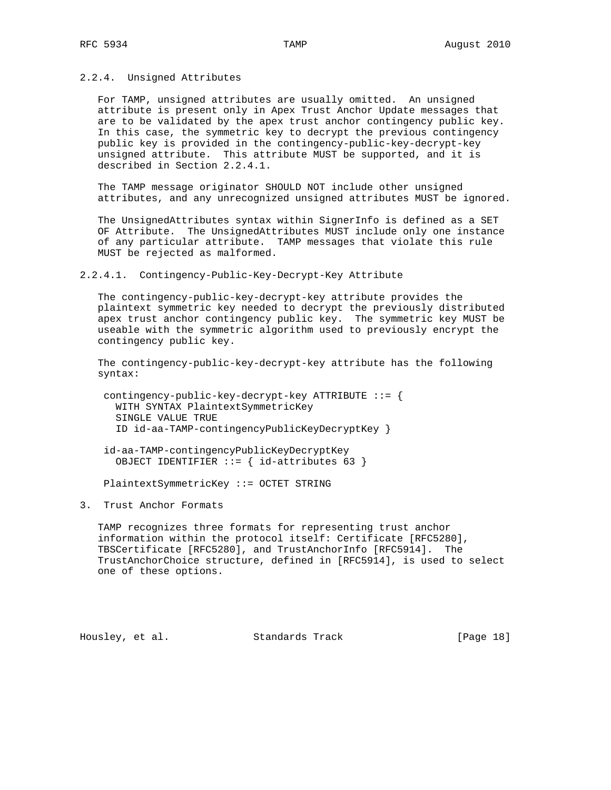### 2.2.4. Unsigned Attributes

 For TAMP, unsigned attributes are usually omitted. An unsigned attribute is present only in Apex Trust Anchor Update messages that are to be validated by the apex trust anchor contingency public key. In this case, the symmetric key to decrypt the previous contingency public key is provided in the contingency-public-key-decrypt-key unsigned attribute. This attribute MUST be supported, and it is described in Section 2.2.4.1.

 The TAMP message originator SHOULD NOT include other unsigned attributes, and any unrecognized unsigned attributes MUST be ignored.

 The UnsignedAttributes syntax within SignerInfo is defined as a SET OF Attribute. The UnsignedAttributes MUST include only one instance of any particular attribute. TAMP messages that violate this rule MUST be rejected as malformed.

#### 2.2.4.1. Contingency-Public-Key-Decrypt-Key Attribute

 The contingency-public-key-decrypt-key attribute provides the plaintext symmetric key needed to decrypt the previously distributed apex trust anchor contingency public key. The symmetric key MUST be useable with the symmetric algorithm used to previously encrypt the contingency public key.

 The contingency-public-key-decrypt-key attribute has the following syntax:

 contingency-public-key-decrypt-key ATTRIBUTE ::= { WITH SYNTAX PlaintextSymmetricKey SINGLE VALUE TRUE ID id-aa-TAMP-contingencyPublicKeyDecryptKey }

 id-aa-TAMP-contingencyPublicKeyDecryptKey OBJECT IDENTIFIER ::= { id-attributes 63 }

PlaintextSymmetricKey ::= OCTET STRING

3. Trust Anchor Formats

 TAMP recognizes three formats for representing trust anchor information within the protocol itself: Certificate [RFC5280], TBSCertificate [RFC5280], and TrustAnchorInfo [RFC5914]. The TrustAnchorChoice structure, defined in [RFC5914], is used to select one of these options.

Housley, et al. Standards Track [Page 18]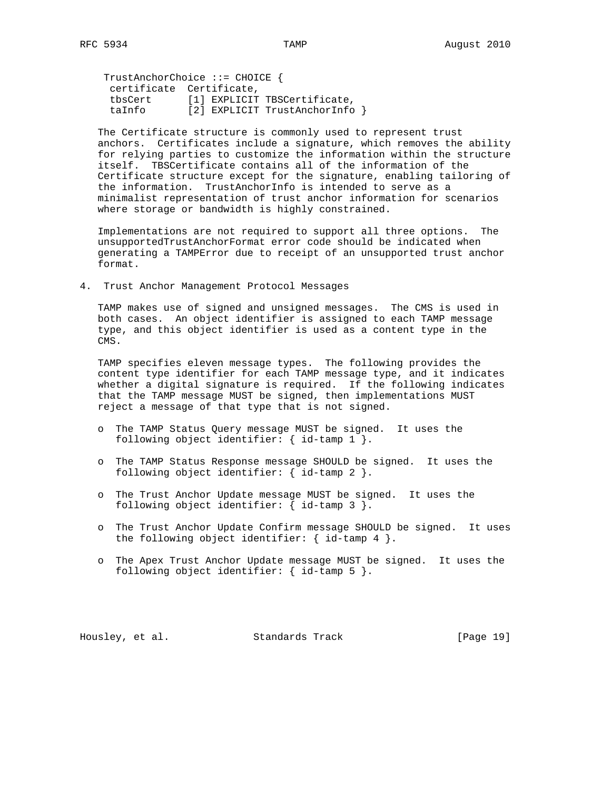TrustAnchorChoice ::= CHOICE { certificate Certificate, tbsCert [1] EXPLICIT TBSCertificate, taInfo [2] EXPLICIT TrustAnchorInfo }

 The Certificate structure is commonly used to represent trust anchors. Certificates include a signature, which removes the ability for relying parties to customize the information within the structure itself. TBSCertificate contains all of the information of the Certificate structure except for the signature, enabling tailoring of the information. TrustAnchorInfo is intended to serve as a minimalist representation of trust anchor information for scenarios where storage or bandwidth is highly constrained.

 Implementations are not required to support all three options. The unsupportedTrustAnchorFormat error code should be indicated when generating a TAMPError due to receipt of an unsupported trust anchor format.

4. Trust Anchor Management Protocol Messages

 TAMP makes use of signed and unsigned messages. The CMS is used in both cases. An object identifier is assigned to each TAMP message type, and this object identifier is used as a content type in the CMS.

 TAMP specifies eleven message types. The following provides the content type identifier for each TAMP message type, and it indicates whether a digital signature is required. If the following indicates that the TAMP message MUST be signed, then implementations MUST reject a message of that type that is not signed.

- o The TAMP Status Query message MUST be signed. It uses the following object identifier: { id-tamp 1 }.
- o The TAMP Status Response message SHOULD be signed. It uses the following object identifier: { id-tamp 2 }.
- o The Trust Anchor Update message MUST be signed. It uses the following object identifier: { id-tamp 3 }.
- o The Trust Anchor Update Confirm message SHOULD be signed. It uses the following object identifier: { id-tamp 4 }.
- o The Apex Trust Anchor Update message MUST be signed. It uses the following object identifier: { id-tamp 5 }.

Housley, et al. Standards Track [Page 19]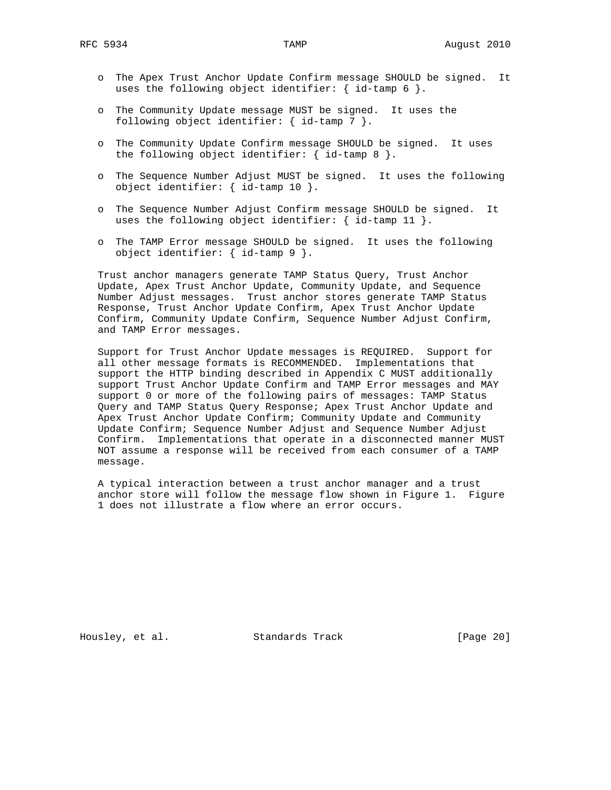- o The Apex Trust Anchor Update Confirm message SHOULD be signed. It uses the following object identifier: { id-tamp  $6$  }.
- o The Community Update message MUST be signed. It uses the following object identifier: { id-tamp 7 }.
- o The Community Update Confirm message SHOULD be signed. It uses the following object identifier:  $\{ id$ -tamp 8  $\}.$
- o The Sequence Number Adjust MUST be signed. It uses the following object identifier: { id-tamp 10 }.
- o The Sequence Number Adjust Confirm message SHOULD be signed. It uses the following object identifier:  $\{ id$ -tamp 11  $\}.$
- o The TAMP Error message SHOULD be signed. It uses the following object identifier: { id-tamp 9 }.

 Trust anchor managers generate TAMP Status Query, Trust Anchor Update, Apex Trust Anchor Update, Community Update, and Sequence Number Adjust messages. Trust anchor stores generate TAMP Status Response, Trust Anchor Update Confirm, Apex Trust Anchor Update Confirm, Community Update Confirm, Sequence Number Adjust Confirm, and TAMP Error messages.

 Support for Trust Anchor Update messages is REQUIRED. Support for all other message formats is RECOMMENDED. Implementations that support the HTTP binding described in Appendix C MUST additionally support Trust Anchor Update Confirm and TAMP Error messages and MAY support 0 or more of the following pairs of messages: TAMP Status Query and TAMP Status Query Response; Apex Trust Anchor Update and Apex Trust Anchor Update Confirm; Community Update and Community Update Confirm; Sequence Number Adjust and Sequence Number Adjust Confirm. Implementations that operate in a disconnected manner MUST NOT assume a response will be received from each consumer of a TAMP message.

 A typical interaction between a trust anchor manager and a trust anchor store will follow the message flow shown in Figure 1. Figure 1 does not illustrate a flow where an error occurs.

Housley, et al. Standards Track [Page 20]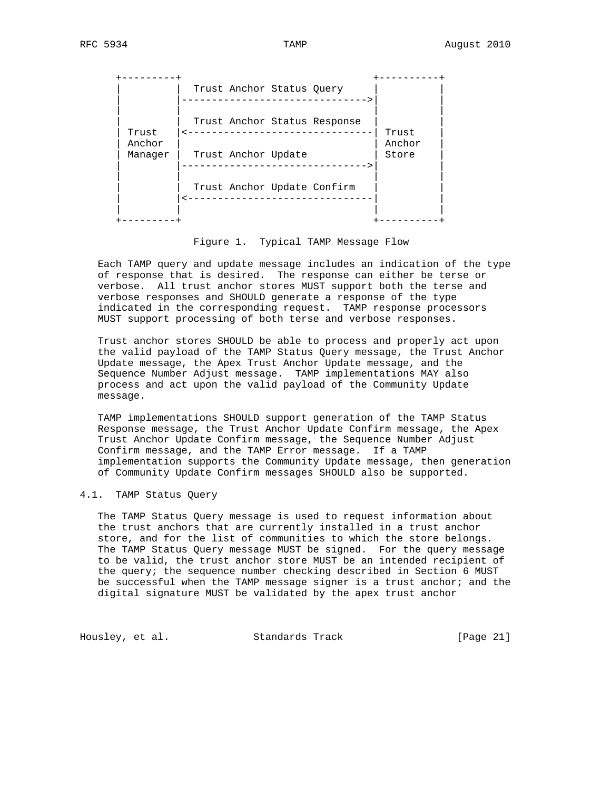+---------+ +----------+ | | Trust Anchor Status Query | | | |------------------------------->| | | | | | | | Trust Anchor Status Response | | | Trust |<-------------------------------| Trust | | Anchor | | Anchor | Manager | Trust Anchor Update | Store | |------------------------------->| | | | | | Trust Anchor Update Confirm | |<-------------------------------| | | | | | +---------+ +----------+

Figure 1. Typical TAMP Message Flow

 Each TAMP query and update message includes an indication of the type of response that is desired. The response can either be terse or verbose. All trust anchor stores MUST support both the terse and verbose responses and SHOULD generate a response of the type indicated in the corresponding request. TAMP response processors MUST support processing of both terse and verbose responses.

 Trust anchor stores SHOULD be able to process and properly act upon the valid payload of the TAMP Status Query message, the Trust Anchor Update message, the Apex Trust Anchor Update message, and the Sequence Number Adjust message. TAMP implementations MAY also process and act upon the valid payload of the Community Update message.

 TAMP implementations SHOULD support generation of the TAMP Status Response message, the Trust Anchor Update Confirm message, the Apex Trust Anchor Update Confirm message, the Sequence Number Adjust Confirm message, and the TAMP Error message. If a TAMP implementation supports the Community Update message, then generation of Community Update Confirm messages SHOULD also be supported.

# 4.1. TAMP Status Query

 The TAMP Status Query message is used to request information about the trust anchors that are currently installed in a trust anchor store, and for the list of communities to which the store belongs. The TAMP Status Query message MUST be signed. For the query message to be valid, the trust anchor store MUST be an intended recipient of the query; the sequence number checking described in Section 6 MUST be successful when the TAMP message signer is a trust anchor; and the digital signature MUST be validated by the apex trust anchor

Housley, et al. Standards Track [Page 21]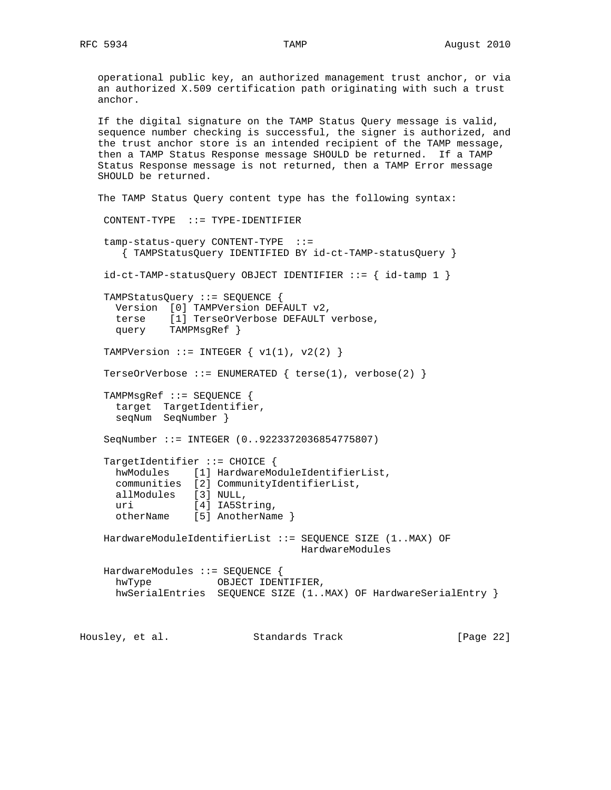operational public key, an authorized management trust anchor, or via an authorized X.509 certification path originating with such a trust anchor.

 If the digital signature on the TAMP Status Query message is valid, sequence number checking is successful, the signer is authorized, and the trust anchor store is an intended recipient of the TAMP message, then a TAMP Status Response message SHOULD be returned. If a TAMP Status Response message is not returned, then a TAMP Error message SHOULD be returned.

```
 The TAMP Status Query content type has the following syntax:
    CONTENT-TYPE ::= TYPE-IDENTIFIER
    tamp-status-query CONTENT-TYPE ::=
       { TAMPStatusQuery IDENTIFIED BY id-ct-TAMP-statusQuery }
    id-ct-TAMP-statusQuery OBJECT IDENTIFIER ::= { id-tamp 1 }
    TAMPStatusQuery ::= SEQUENCE {
      Version [0] TAMPVersion DEFAULT v2,
      terse [1] TerseOrVerbose DEFAULT verbose,
      query TAMPMsgRef }
   TAMPVersion ::= INTEGER \{ v1(1), v2(2) \} TerseOrVerbose ::= ENUMERATED { terse(1), verbose(2) }
    TAMPMsgRef ::= SEQUENCE {
      target TargetIdentifier,
      seqNum SeqNumber }
    SeqNumber ::= INTEGER (0..9223372036854775807)
    TargetIdentifier ::= CHOICE {
      hwModules [1] HardwareModuleIdentifierList,
 communities [2] CommunityIdentifierList,
 allModules [3] NULL,
     uri [4] IA5String,
      otherName [5] AnotherName }
    HardwareModuleIdentifierList ::= SEQUENCE SIZE (1..MAX) OF
                                    HardwareModules
    HardwareModules ::= SEQUENCE {
      hwType OBJECT IDENTIFIER,
      hwSerialEntries SEQUENCE SIZE (1..MAX) OF HardwareSerialEntry }
```
Housley, et al. Standards Track [Page 22]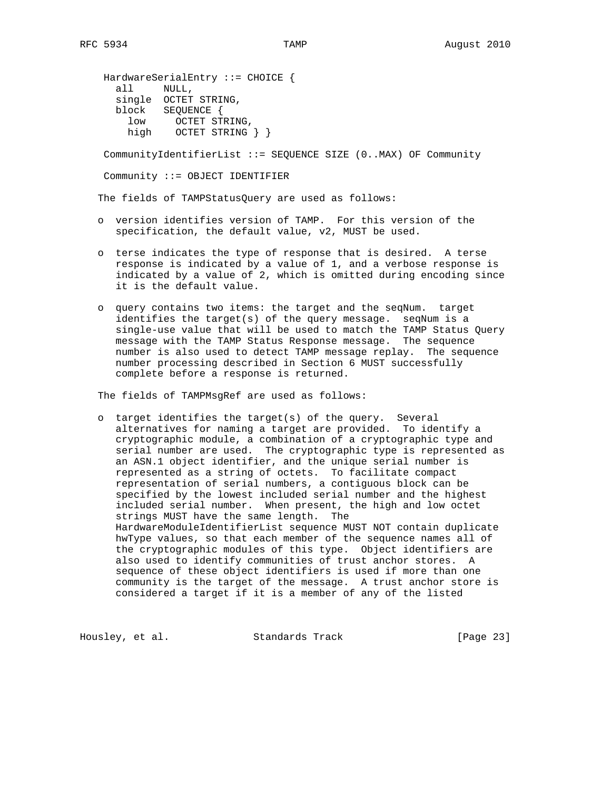HardwareSerialEntry ::= CHOICE { all NULL, single OCTET STRING, block SEQUENCE { low OCTET STRING, high OCTET STRING } }

CommunityIdentifierList ::= SEQUENCE SIZE (0..MAX) OF Community

Community ::= OBJECT IDENTIFIER

The fields of TAMPStatusQuery are used as follows:

- o version identifies version of TAMP. For this version of the specification, the default value, v2, MUST be used.
- o terse indicates the type of response that is desired. A terse response is indicated by a value of 1, and a verbose response is indicated by a value of 2, which is omitted during encoding since it is the default value.
- o query contains two items: the target and the seqNum. target identifies the target(s) of the query message. seqNum is a single-use value that will be used to match the TAMP Status Query message with the TAMP Status Response message. The sequence number is also used to detect TAMP message replay. The sequence number processing described in Section 6 MUST successfully complete before a response is returned.

The fields of TAMPMsgRef are used as follows:

 o target identifies the target(s) of the query. Several alternatives for naming a target are provided. To identify a cryptographic module, a combination of a cryptographic type and serial number are used. The cryptographic type is represented as an ASN.1 object identifier, and the unique serial number is represented as a string of octets. To facilitate compact representation of serial numbers, a contiguous block can be specified by the lowest included serial number and the highest included serial number. When present, the high and low octet strings MUST have the same length. The HardwareModuleIdentifierList sequence MUST NOT contain duplicate hwType values, so that each member of the sequence names all of the cryptographic modules of this type. Object identifiers are also used to identify communities of trust anchor stores. A sequence of these object identifiers is used if more than one community is the target of the message. A trust anchor store is considered a target if it is a member of any of the listed

Housley, et al. Standards Track [Page 23]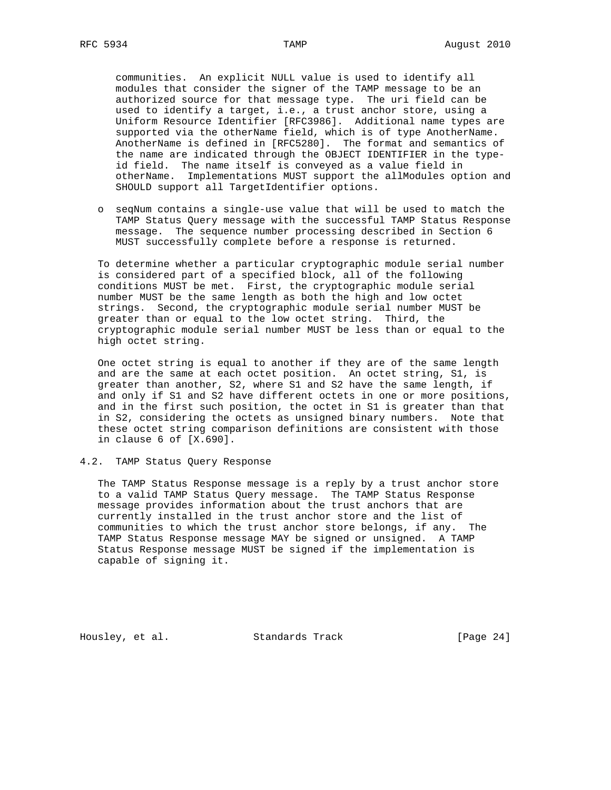communities. An explicit NULL value is used to identify all modules that consider the signer of the TAMP message to be an authorized source for that message type. The uri field can be used to identify a target, i.e., a trust anchor store, using a Uniform Resource Identifier [RFC3986]. Additional name types are supported via the otherName field, which is of type AnotherName. AnotherName is defined in [RFC5280]. The format and semantics of the name are indicated through the OBJECT IDENTIFIER in the type id field. The name itself is conveyed as a value field in otherName. Implementations MUST support the allModules option and SHOULD support all TargetIdentifier options.

 o seqNum contains a single-use value that will be used to match the TAMP Status Query message with the successful TAMP Status Response message. The sequence number processing described in Section 6 MUST successfully complete before a response is returned.

 To determine whether a particular cryptographic module serial number is considered part of a specified block, all of the following conditions MUST be met. First, the cryptographic module serial number MUST be the same length as both the high and low octet strings. Second, the cryptographic module serial number MUST be greater than or equal to the low octet string. Third, the cryptographic module serial number MUST be less than or equal to the high octet string.

 One octet string is equal to another if they are of the same length and are the same at each octet position. An octet string, S1, is greater than another, S2, where S1 and S2 have the same length, if and only if S1 and S2 have different octets in one or more positions, and in the first such position, the octet in S1 is greater than that in S2, considering the octets as unsigned binary numbers. Note that these octet string comparison definitions are consistent with those in clause 6 of [X.690].

## 4.2. TAMP Status Query Response

 The TAMP Status Response message is a reply by a trust anchor store to a valid TAMP Status Query message. The TAMP Status Response message provides information about the trust anchors that are currently installed in the trust anchor store and the list of communities to which the trust anchor store belongs, if any. The TAMP Status Response message MAY be signed or unsigned. A TAMP Status Response message MUST be signed if the implementation is capable of signing it.

Housley, et al. Standards Track [Page 24]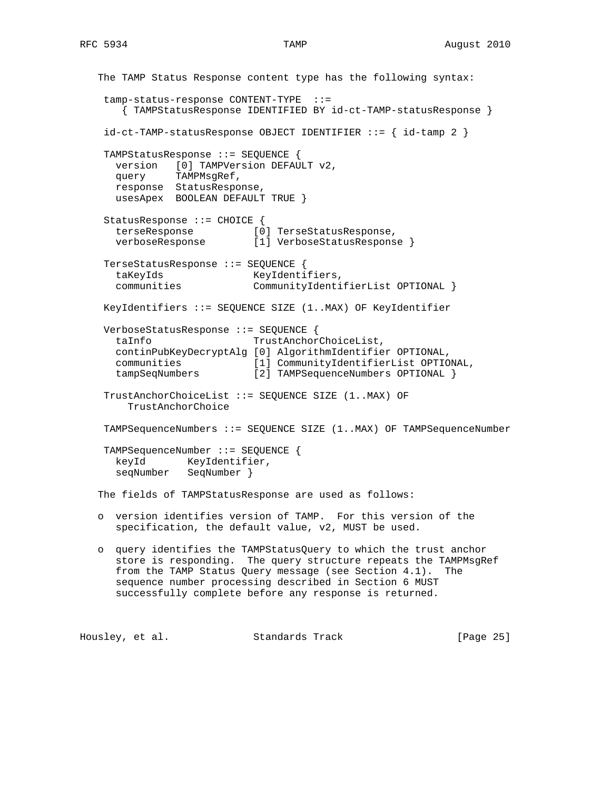```
 The TAMP Status Response content type has the following syntax:
    tamp-status-response CONTENT-TYPE ::=
       { TAMPStatusResponse IDENTIFIED BY id-ct-TAMP-statusResponse }
    id-ct-TAMP-statusResponse OBJECT IDENTIFIER ::= { id-tamp 2 }
    TAMPStatusResponse ::= SEQUENCE {
      version [0] TAMPVersion DEFAULT v2,
      query TAMPMsgRef,
      response StatusResponse,
      usesApex BOOLEAN DEFAULT TRUE }
    StatusResponse ::= CHOICE {
     terseResponse [0] TerseStatusResponse,<br>verboseResponse [1] VerboseStatusRespons
                           [1] VerboseStatusResponse }
    TerseStatusResponse ::= SEQUENCE {
     taKeyIds KeyIdentifiers,
      communities CommunityIdentifierList OPTIONAL }
    KeyIdentifiers ::= SEQUENCE SIZE (1..MAX) OF KeyIdentifier
    VerboseStatusResponse ::= SEQUENCE {
      taInfo TrustAnchorChoiceList,
      continPubKeyDecryptAlg [0] AlgorithmIdentifier OPTIONAL,
 communities [1] CommunityIdentifierList OPTIONAL,
 tampSeqNumbers [2] TAMPSequenceNumbers OPTIONAL }
    TrustAnchorChoiceList ::= SEQUENCE SIZE (1..MAX) OF
        TrustAnchorChoice
    TAMPSequenceNumbers ::= SEQUENCE SIZE (1..MAX) OF TAMPSequenceNumber
    TAMPSequenceNumber ::= SEQUENCE {
     keyId KeyIdentifier,
      seqNumber SeqNumber }
   The fields of TAMPStatusResponse are used as follows:
   o version identifies version of TAMP. For this version of the
      specification, the default value, v2, MUST be used.
   o query identifies the TAMPStatusQuery to which the trust anchor
      store is responding. The query structure repeats the TAMPMsgRef
      from the TAMP Status Query message (see Section 4.1). The
```
 sequence number processing described in Section 6 MUST successfully complete before any response is returned.

Housley, et al. Standards Track [Page 25]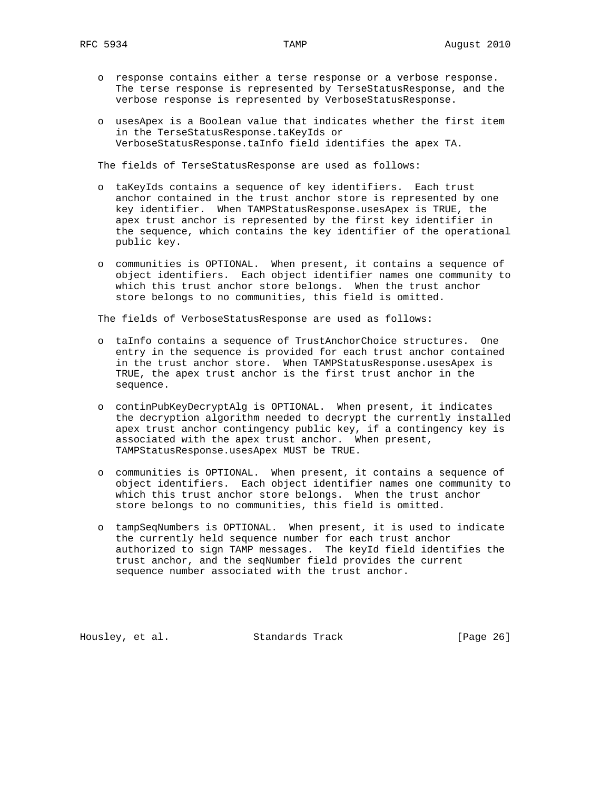- o response contains either a terse response or a verbose response. The terse response is represented by TerseStatusResponse, and the verbose response is represented by VerboseStatusResponse.
- o usesApex is a Boolean value that indicates whether the first item in the TerseStatusResponse.taKeyIds or VerboseStatusResponse.taInfo field identifies the apex TA.

The fields of TerseStatusResponse are used as follows:

- o taKeyIds contains a sequence of key identifiers. Each trust anchor contained in the trust anchor store is represented by one key identifier. When TAMPStatusResponse.usesApex is TRUE, the apex trust anchor is represented by the first key identifier in the sequence, which contains the key identifier of the operational public key.
- o communities is OPTIONAL. When present, it contains a sequence of object identifiers. Each object identifier names one community to which this trust anchor store belongs. When the trust anchor store belongs to no communities, this field is omitted.

The fields of VerboseStatusResponse are used as follows:

- o taInfo contains a sequence of TrustAnchorChoice structures. One entry in the sequence is provided for each trust anchor contained in the trust anchor store. When TAMPStatusResponse.usesApex is TRUE, the apex trust anchor is the first trust anchor in the sequence.
- o continPubKeyDecryptAlg is OPTIONAL. When present, it indicates the decryption algorithm needed to decrypt the currently installed apex trust anchor contingency public key, if a contingency key is associated with the apex trust anchor. When present, TAMPStatusResponse.usesApex MUST be TRUE.
- o communities is OPTIONAL. When present, it contains a sequence of object identifiers. Each object identifier names one community to which this trust anchor store belongs. When the trust anchor store belongs to no communities, this field is omitted.
- o tampSeqNumbers is OPTIONAL. When present, it is used to indicate the currently held sequence number for each trust anchor authorized to sign TAMP messages. The keyId field identifies the trust anchor, and the seqNumber field provides the current sequence number associated with the trust anchor.

Housley, et al. Standards Track [Page 26]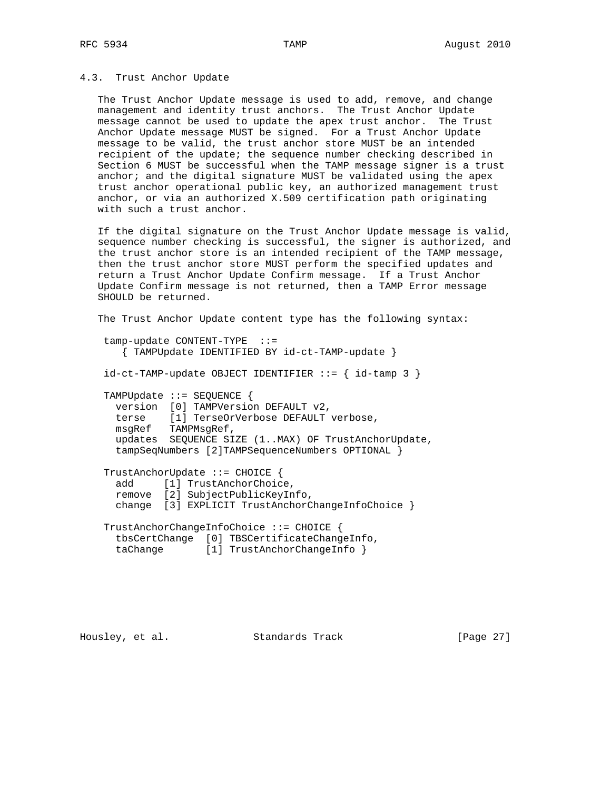#### 4.3. Trust Anchor Update

 The Trust Anchor Update message is used to add, remove, and change management and identity trust anchors. The Trust Anchor Update message cannot be used to update the apex trust anchor. The Trust Anchor Update message MUST be signed. For a Trust Anchor Update message to be valid, the trust anchor store MUST be an intended recipient of the update; the sequence number checking described in Section 6 MUST be successful when the TAMP message signer is a trust anchor; and the digital signature MUST be validated using the apex trust anchor operational public key, an authorized management trust anchor, or via an authorized X.509 certification path originating with such a trust anchor.

 If the digital signature on the Trust Anchor Update message is valid, sequence number checking is successful, the signer is authorized, and the trust anchor store is an intended recipient of the TAMP message, then the trust anchor store MUST perform the specified updates and return a Trust Anchor Update Confirm message. If a Trust Anchor Update Confirm message is not returned, then a TAMP Error message SHOULD be returned.

 The Trust Anchor Update content type has the following syntax: tamp-update CONTENT-TYPE ::= { TAMPUpdate IDENTIFIED BY id-ct-TAMP-update }  $id-ct-TAMP-update$  OBJECT IDENTIFIER  $::=$  {  $id-tamp$  3 } TAMPUpdate ::= SEQUENCE { version [0] TAMPVersion DEFAULT v2, terse [1] TerseOrVerbose DEFAULT verbose, msgRef TAMPMsgRef, updates SEQUENCE SIZE (1..MAX) OF TrustAnchorUpdate, tampSeqNumbers [2]TAMPSequenceNumbers OPTIONAL } TrustAnchorUpdate ::= CHOICE { add [1] TrustAnchorChoice, remove [2] SubjectPublicKeyInfo, change [3] EXPLICIT TrustAnchorChangeInfoChoice } TrustAnchorChangeInfoChoice ::= CHOICE { tbsCertChange [0] TBSCertificateChangeInfo, taChange [1] TrustAnchorChangeInfo }

Housley, et al. Standards Track [Page 27]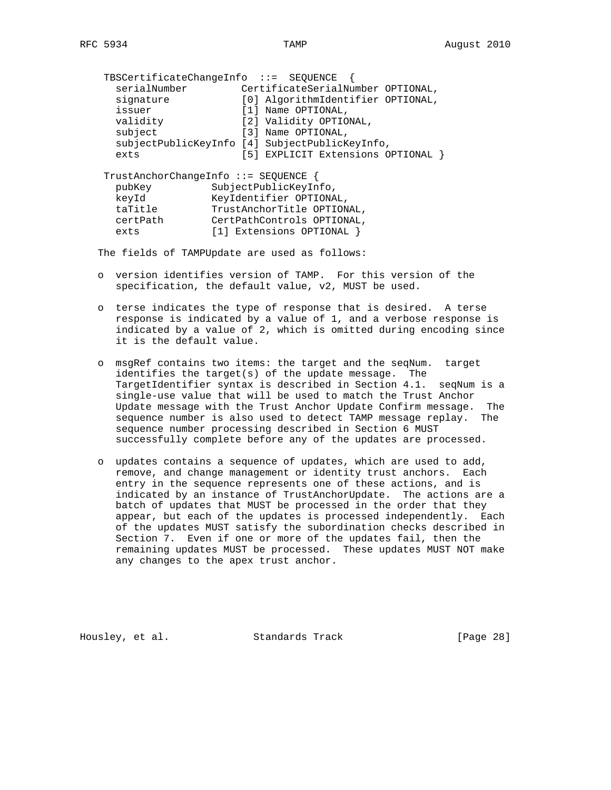| $TBSCertificate ChangeInfo ::= SEOUENCE$                                               |                                                                                                                                         |  |                        |                                   |  |
|----------------------------------------------------------------------------------------|-----------------------------------------------------------------------------------------------------------------------------------------|--|------------------------|-----------------------------------|--|
| serialNumber                                                                           |                                                                                                                                         |  |                        | CertificateSerialNumber OPTIONAL, |  |
| signature                                                                              |                                                                                                                                         |  |                        | [0] AlgorithmIdentifier OPTIONAL, |  |
| issuer                                                                                 |                                                                                                                                         |  | [1] Name OPTIONAL,     |                                   |  |
| validity                                                                               |                                                                                                                                         |  | [2] Validity OPTIONAL, |                                   |  |
| subject                                                                                |                                                                                                                                         |  | [3] Name OPTIONAL,     |                                   |  |
| subjectPublicKeyInfo [4] SubjectPublicKeyInfo,                                         |                                                                                                                                         |  |                        |                                   |  |
| exts                                                                                   |                                                                                                                                         |  |                        | [5] EXPLICIT Extensions OPTIONAL  |  |
| TrustAnchorChangeInfo ::= SEQUENCE {<br>pubKey<br>keyId<br>taTitle<br>certPath<br>exts | SubjectPublicKeyInfo,<br>KeyIdentifier OPTIONAL,<br>TrustAnchorTitle OPTIONAL,<br>CertPathControls OPTIONAL,<br>[1] Extensions OPTIONAL |  |                        |                                   |  |

The fields of TAMPUpdate are used as follows:

- o version identifies version of TAMP. For this version of the specification, the default value, v2, MUST be used.
- o terse indicates the type of response that is desired. A terse response is indicated by a value of 1, and a verbose response is indicated by a value of 2, which is omitted during encoding since it is the default value.
- o msgRef contains two items: the target and the seqNum. target identifies the target(s) of the update message. The TargetIdentifier syntax is described in Section 4.1. seqNum is a single-use value that will be used to match the Trust Anchor Update message with the Trust Anchor Update Confirm message. The sequence number is also used to detect TAMP message replay. The sequence number processing described in Section 6 MUST successfully complete before any of the updates are processed.
- o updates contains a sequence of updates, which are used to add, remove, and change management or identity trust anchors. Each entry in the sequence represents one of these actions, and is indicated by an instance of TrustAnchorUpdate. The actions are a batch of updates that MUST be processed in the order that they appear, but each of the updates is processed independently. Each of the updates MUST satisfy the subordination checks described in Section 7. Even if one or more of the updates fail, then the remaining updates MUST be processed. These updates MUST NOT make any changes to the apex trust anchor.

Housley, et al. Standards Track [Page 28]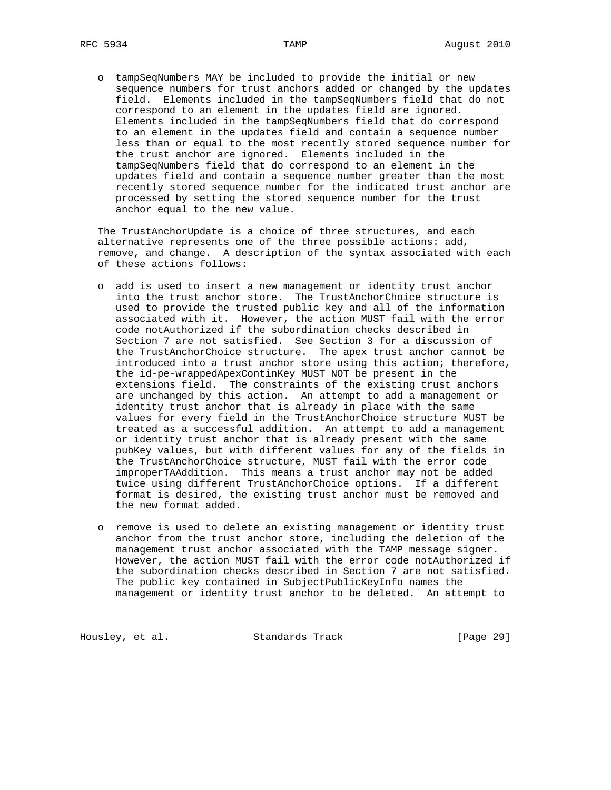o tampSeqNumbers MAY be included to provide the initial or new sequence numbers for trust anchors added or changed by the updates field. Elements included in the tampSeqNumbers field that do not correspond to an element in the updates field are ignored. Elements included in the tampSeqNumbers field that do correspond to an element in the updates field and contain a sequence number less than or equal to the most recently stored sequence number for the trust anchor are ignored. Elements included in the tampSeqNumbers field that do correspond to an element in the updates field and contain a sequence number greater than the most recently stored sequence number for the indicated trust anchor are processed by setting the stored sequence number for the trust anchor equal to the new value.

 The TrustAnchorUpdate is a choice of three structures, and each alternative represents one of the three possible actions: add, remove, and change. A description of the syntax associated with each of these actions follows:

- o add is used to insert a new management or identity trust anchor into the trust anchor store. The TrustAnchorChoice structure is used to provide the trusted public key and all of the information associated with it. However, the action MUST fail with the error code notAuthorized if the subordination checks described in Section 7 are not satisfied. See Section 3 for a discussion of the TrustAnchorChoice structure. The apex trust anchor cannot be introduced into a trust anchor store using this action; therefore, the id-pe-wrappedApexContinKey MUST NOT be present in the extensions field. The constraints of the existing trust anchors are unchanged by this action. An attempt to add a management or identity trust anchor that is already in place with the same values for every field in the TrustAnchorChoice structure MUST be treated as a successful addition. An attempt to add a management or identity trust anchor that is already present with the same pubKey values, but with different values for any of the fields in the TrustAnchorChoice structure, MUST fail with the error code improperTAAddition. This means a trust anchor may not be added twice using different TrustAnchorChoice options. If a different format is desired, the existing trust anchor must be removed and the new format added.
- o remove is used to delete an existing management or identity trust anchor from the trust anchor store, including the deletion of the management trust anchor associated with the TAMP message signer. However, the action MUST fail with the error code notAuthorized if the subordination checks described in Section 7 are not satisfied. The public key contained in SubjectPublicKeyInfo names the management or identity trust anchor to be deleted. An attempt to

Housley, et al. Standards Track [Page 29]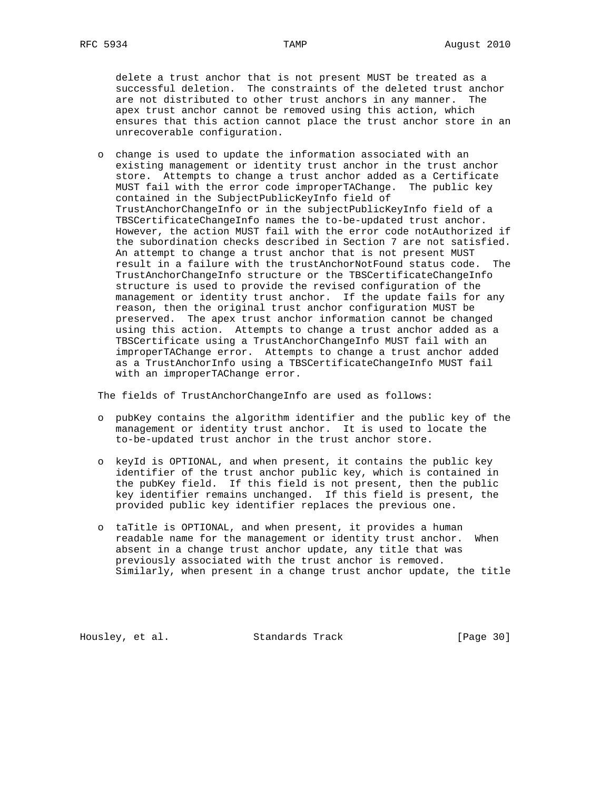delete a trust anchor that is not present MUST be treated as a successful deletion. The constraints of the deleted trust anchor are not distributed to other trust anchors in any manner. The apex trust anchor cannot be removed using this action, which ensures that this action cannot place the trust anchor store in an unrecoverable configuration.

 o change is used to update the information associated with an existing management or identity trust anchor in the trust anchor store. Attempts to change a trust anchor added as a Certificate MUST fail with the error code improperTAChange. The public key contained in the SubjectPublicKeyInfo field of TrustAnchorChangeInfo or in the subjectPublicKeyInfo field of a TBSCertificateChangeInfo names the to-be-updated trust anchor. However, the action MUST fail with the error code notAuthorized if the subordination checks described in Section 7 are not satisfied. An attempt to change a trust anchor that is not present MUST result in a failure with the trustAnchorNotFound status code. The TrustAnchorChangeInfo structure or the TBSCertificateChangeInfo structure is used to provide the revised configuration of the management or identity trust anchor. If the update fails for any reason, then the original trust anchor configuration MUST be preserved. The apex trust anchor information cannot be changed using this action. Attempts to change a trust anchor added as a TBSCertificate using a TrustAnchorChangeInfo MUST fail with an improperTAChange error. Attempts to change a trust anchor added as a TrustAnchorInfo using a TBSCertificateChangeInfo MUST fail with an improperTAChange error.

The fields of TrustAnchorChangeInfo are used as follows:

- o pubKey contains the algorithm identifier and the public key of the management or identity trust anchor. It is used to locate the to-be-updated trust anchor in the trust anchor store.
- o keyId is OPTIONAL, and when present, it contains the public key identifier of the trust anchor public key, which is contained in the pubKey field. If this field is not present, then the public key identifier remains unchanged. If this field is present, the provided public key identifier replaces the previous one.
- o taTitle is OPTIONAL, and when present, it provides a human readable name for the management or identity trust anchor. When absent in a change trust anchor update, any title that was previously associated with the trust anchor is removed. Similarly, when present in a change trust anchor update, the title

Housley, et al. Standards Track [Page 30]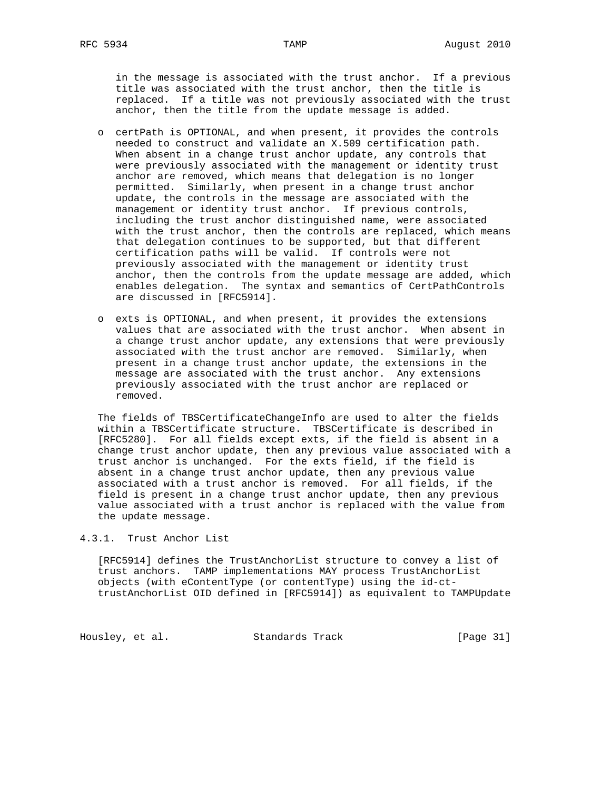in the message is associated with the trust anchor. If a previous title was associated with the trust anchor, then the title is replaced. If a title was not previously associated with the trust anchor, then the title from the update message is added.

- o certPath is OPTIONAL, and when present, it provides the controls needed to construct and validate an X.509 certification path. When absent in a change trust anchor update, any controls that were previously associated with the management or identity trust anchor are removed, which means that delegation is no longer permitted. Similarly, when present in a change trust anchor update, the controls in the message are associated with the management or identity trust anchor. If previous controls, including the trust anchor distinguished name, were associated with the trust anchor, then the controls are replaced, which means that delegation continues to be supported, but that different certification paths will be valid. If controls were not previously associated with the management or identity trust anchor, then the controls from the update message are added, which enables delegation. The syntax and semantics of CertPathControls are discussed in [RFC5914].
- o exts is OPTIONAL, and when present, it provides the extensions values that are associated with the trust anchor. When absent in a change trust anchor update, any extensions that were previously associated with the trust anchor are removed. Similarly, when present in a change trust anchor update, the extensions in the message are associated with the trust anchor. Any extensions previously associated with the trust anchor are replaced or removed.

 The fields of TBSCertificateChangeInfo are used to alter the fields within a TBSCertificate structure. TBSCertificate is described in [RFC5280]. For all fields except exts, if the field is absent in a change trust anchor update, then any previous value associated with a trust anchor is unchanged. For the exts field, if the field is absent in a change trust anchor update, then any previous value associated with a trust anchor is removed. For all fields, if the field is present in a change trust anchor update, then any previous value associated with a trust anchor is replaced with the value from the update message.

#### 4.3.1. Trust Anchor List

 [RFC5914] defines the TrustAnchorList structure to convey a list of trust anchors. TAMP implementations MAY process TrustAnchorList objects (with eContentType (or contentType) using the id-ct trustAnchorList OID defined in [RFC5914]) as equivalent to TAMPUpdate

Housley, et al. Standards Track [Page 31]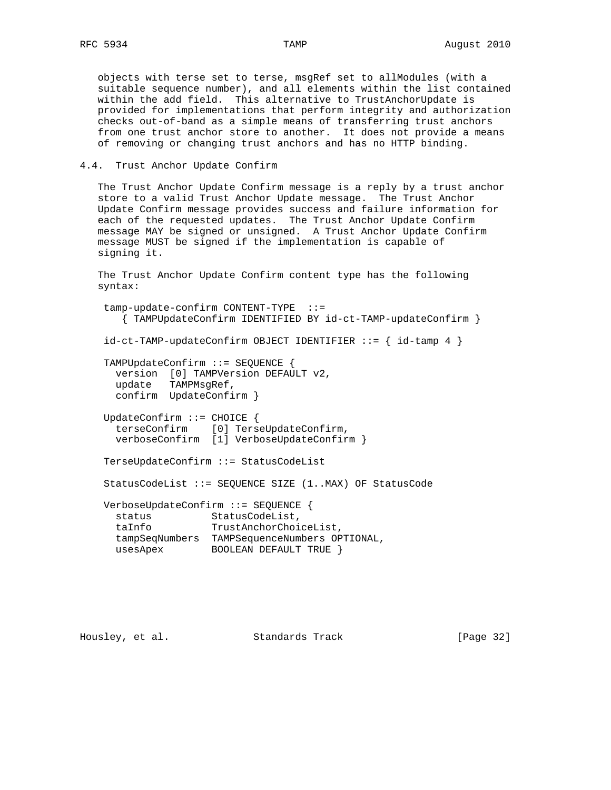objects with terse set to terse, msgRef set to allModules (with a suitable sequence number), and all elements within the list contained within the add field. This alternative to TrustAnchorUpdate is provided for implementations that perform integrity and authorization checks out-of-band as a simple means of transferring trust anchors from one trust anchor store to another. It does not provide a means of removing or changing trust anchors and has no HTTP binding.

4.4. Trust Anchor Update Confirm

 The Trust Anchor Update Confirm message is a reply by a trust anchor store to a valid Trust Anchor Update message. The Trust Anchor Update Confirm message provides success and failure information for each of the requested updates. The Trust Anchor Update Confirm message MAY be signed or unsigned. A Trust Anchor Update Confirm message MUST be signed if the implementation is capable of signing it.

 The Trust Anchor Update Confirm content type has the following syntax:

 tamp-update-confirm CONTENT-TYPE ::= { TAMPUpdateConfirm IDENTIFIED BY id-ct-TAMP-updateConfirm } id-ct-TAMP-updateConfirm OBJECT IDENTIFIER ::= { id-tamp 4 } TAMPUpdateConfirm ::= SEQUENCE { version [0] TAMPVersion DEFAULT v2, update TAMPMsgRef, confirm UpdateConfirm } UpdateConfirm ::= CHOICE { terseConfirm [0] TerseUpdateConfirm, verboseConfirm [1] VerboseUpdateConfirm } TerseUpdateConfirm ::= StatusCodeList StatusCodeList ::= SEQUENCE SIZE (1..MAX) OF StatusCode VerboseUpdateConfirm ::= SEQUENCE { status StatusCodeList, taInfo TrustAnchorChoiceList, tampSeqNumbers TAMPSequenceNumbers OPTIONAL, usesApex BOOLEAN DEFAULT TRUE }

Housley, et al. Standards Track [Page 32]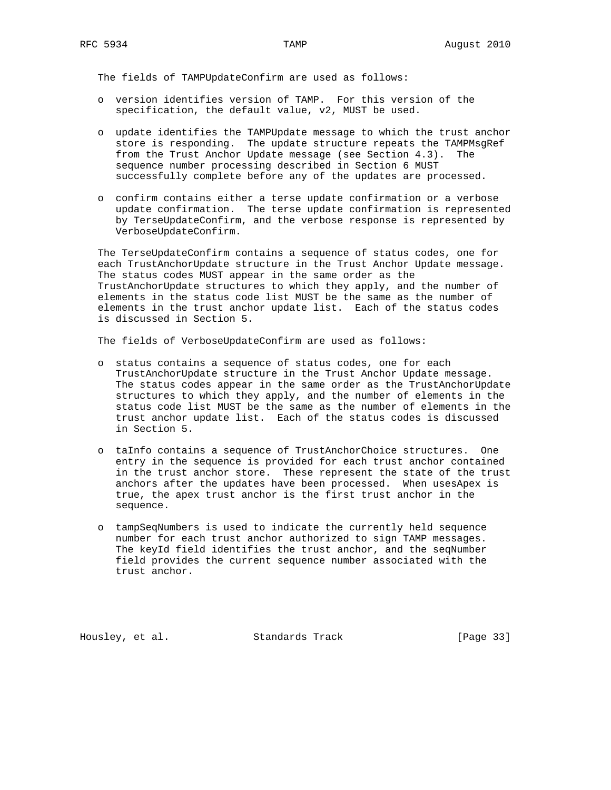The fields of TAMPUpdateConfirm are used as follows:

- o version identifies version of TAMP. For this version of the specification, the default value, v2, MUST be used.
- o update identifies the TAMPUpdate message to which the trust anchor store is responding. The update structure repeats the TAMPMsgRef from the Trust Anchor Update message (see Section 4.3). The sequence number processing described in Section 6 MUST successfully complete before any of the updates are processed.
- o confirm contains either a terse update confirmation or a verbose update confirmation. The terse update confirmation is represented by TerseUpdateConfirm, and the verbose response is represented by VerboseUpdateConfirm.

 The TerseUpdateConfirm contains a sequence of status codes, one for each TrustAnchorUpdate structure in the Trust Anchor Update message. The status codes MUST appear in the same order as the TrustAnchorUpdate structures to which they apply, and the number of elements in the status code list MUST be the same as the number of elements in the trust anchor update list. Each of the status codes is discussed in Section 5.

The fields of VerboseUpdateConfirm are used as follows:

- o status contains a sequence of status codes, one for each TrustAnchorUpdate structure in the Trust Anchor Update message. The status codes appear in the same order as the TrustAnchorUpdate structures to which they apply, and the number of elements in the status code list MUST be the same as the number of elements in the trust anchor update list. Each of the status codes is discussed in Section 5.
- o taInfo contains a sequence of TrustAnchorChoice structures. One entry in the sequence is provided for each trust anchor contained in the trust anchor store. These represent the state of the trust anchors after the updates have been processed. When usesApex is true, the apex trust anchor is the first trust anchor in the sequence.
- o tampSeqNumbers is used to indicate the currently held sequence number for each trust anchor authorized to sign TAMP messages. The keyId field identifies the trust anchor, and the seqNumber field provides the current sequence number associated with the trust anchor.

Housley, et al. Standards Track [Page 33]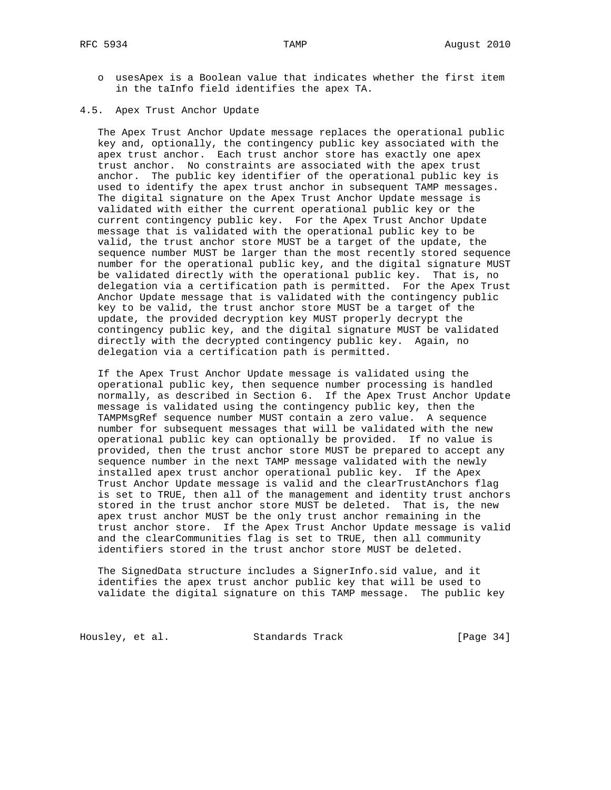- o usesApex is a Boolean value that indicates whether the first item in the taInfo field identifies the apex TA.
- 4.5. Apex Trust Anchor Update

 The Apex Trust Anchor Update message replaces the operational public key and, optionally, the contingency public key associated with the apex trust anchor. Each trust anchor store has exactly one apex trust anchor. No constraints are associated with the apex trust anchor. The public key identifier of the operational public key is used to identify the apex trust anchor in subsequent TAMP messages. The digital signature on the Apex Trust Anchor Update message is validated with either the current operational public key or the current contingency public key. For the Apex Trust Anchor Update message that is validated with the operational public key to be valid, the trust anchor store MUST be a target of the update, the sequence number MUST be larger than the most recently stored sequence number for the operational public key, and the digital signature MUST be validated directly with the operational public key. That is, no delegation via a certification path is permitted. For the Apex Trust Anchor Update message that is validated with the contingency public key to be valid, the trust anchor store MUST be a target of the update, the provided decryption key MUST properly decrypt the contingency public key, and the digital signature MUST be validated directly with the decrypted contingency public key. Again, no delegation via a certification path is permitted.

 If the Apex Trust Anchor Update message is validated using the operational public key, then sequence number processing is handled normally, as described in Section 6. If the Apex Trust Anchor Update message is validated using the contingency public key, then the TAMPMsgRef sequence number MUST contain a zero value. A sequence number for subsequent messages that will be validated with the new operational public key can optionally be provided. If no value is provided, then the trust anchor store MUST be prepared to accept any sequence number in the next TAMP message validated with the newly installed apex trust anchor operational public key. If the Apex Trust Anchor Update message is valid and the clearTrustAnchors flag is set to TRUE, then all of the management and identity trust anchors stored in the trust anchor store MUST be deleted. That is, the new apex trust anchor MUST be the only trust anchor remaining in the trust anchor store. If the Apex Trust Anchor Update message is valid and the clearCommunities flag is set to TRUE, then all community identifiers stored in the trust anchor store MUST be deleted.

 The SignedData structure includes a SignerInfo.sid value, and it identifies the apex trust anchor public key that will be used to validate the digital signature on this TAMP message. The public key

Housley, et al. Standards Track [Page 34]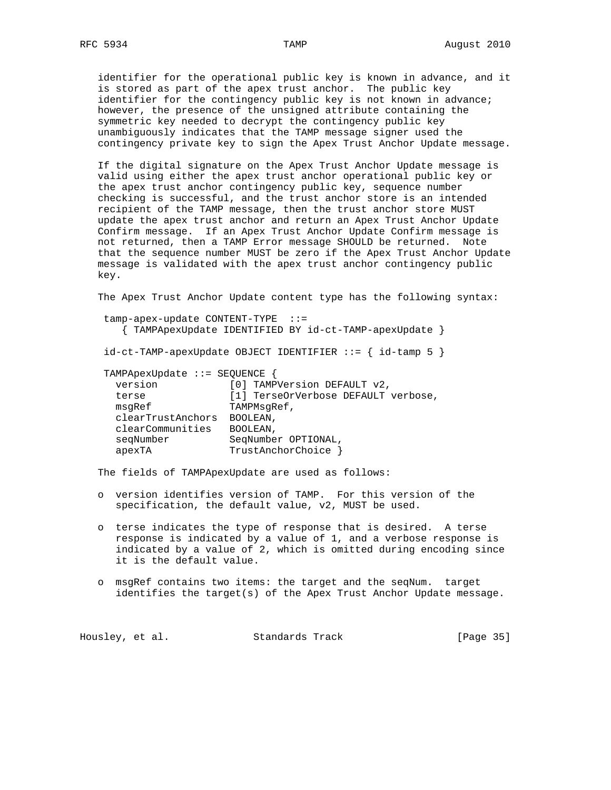identifier for the operational public key is known in advance, and it is stored as part of the apex trust anchor. The public key identifier for the contingency public key is not known in advance; however, the presence of the unsigned attribute containing the symmetric key needed to decrypt the contingency public key unambiguously indicates that the TAMP message signer used the contingency private key to sign the Apex Trust Anchor Update message.

 If the digital signature on the Apex Trust Anchor Update message is valid using either the apex trust anchor operational public key or the apex trust anchor contingency public key, sequence number checking is successful, and the trust anchor store is an intended recipient of the TAMP message, then the trust anchor store MUST update the apex trust anchor and return an Apex Trust Anchor Update Confirm message. If an Apex Trust Anchor Update Confirm message is not returned, then a TAMP Error message SHOULD be returned. Note that the sequence number MUST be zero if the Apex Trust Anchor Update message is validated with the apex trust anchor contingency public key.

The Apex Trust Anchor Update content type has the following syntax:

| tamp-apex-update CONTENT-TYPE ::= | { TAMPApexUpdate IDENTIFIED BY id-ct-TAMP-apexUpdate }         |
|-----------------------------------|----------------------------------------------------------------|
|                                   | $id-ct-TAMP-apexUpdate OBJECT IDENTIFYER :: = \{ id-tamp 5 \}$ |
| TAMPApexUpdate ::= SEQUENCE {     |                                                                |
| version                           | [0] TAMPVersion DEFAULT v2,                                    |
| terse                             | [1] TerseOrVerbose DEFAULT verbose,                            |
| msqRef                            | TAMPMsqRef,                                                    |
| clearTrustAnchors                 | BOOLEAN,                                                       |
| clearCommunities                  | BOOLEAN,                                                       |
| seqNumber                         | SeqNumber OPTIONAL,                                            |
| apexTA                            | TrustAnchorChoice                                              |

The fields of TAMPApexUpdate are used as follows:

- o version identifies version of TAMP. For this version of the specification, the default value, v2, MUST be used.
- o terse indicates the type of response that is desired. A terse response is indicated by a value of 1, and a verbose response is indicated by a value of 2, which is omitted during encoding since it is the default value.
- o msgRef contains two items: the target and the seqNum. target identifies the target(s) of the Apex Trust Anchor Update message.

| Housley, et al. | Standards Track | [Page 35] |
|-----------------|-----------------|-----------|
|-----------------|-----------------|-----------|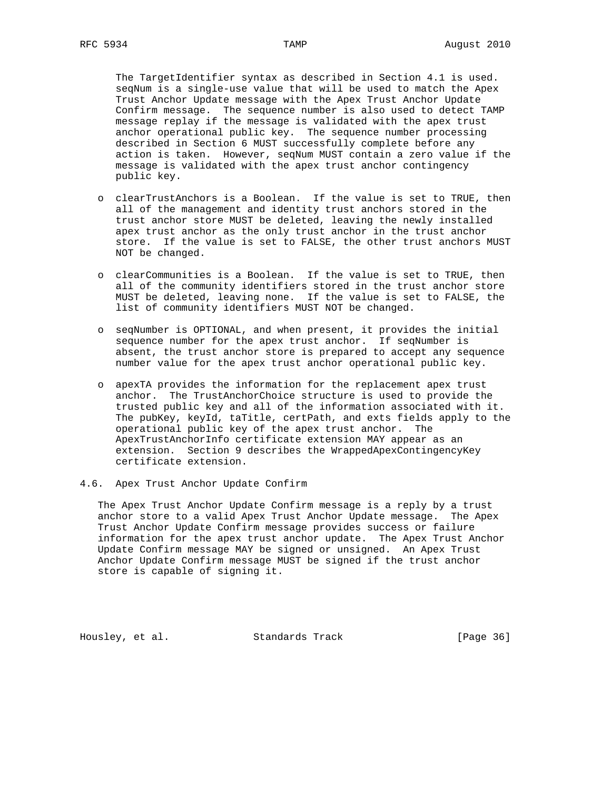The TargetIdentifier syntax as described in Section 4.1 is used. seqNum is a single-use value that will be used to match the Apex Trust Anchor Update message with the Apex Trust Anchor Update Confirm message. The sequence number is also used to detect TAMP message replay if the message is validated with the apex trust anchor operational public key. The sequence number processing described in Section 6 MUST successfully complete before any action is taken. However, seqNum MUST contain a zero value if the message is validated with the apex trust anchor contingency public key.

- o clearTrustAnchors is a Boolean. If the value is set to TRUE, then all of the management and identity trust anchors stored in the trust anchor store MUST be deleted, leaving the newly installed apex trust anchor as the only trust anchor in the trust anchor store. If the value is set to FALSE, the other trust anchors MUST NOT be changed.
- o clearCommunities is a Boolean. If the value is set to TRUE, then all of the community identifiers stored in the trust anchor store MUST be deleted, leaving none. If the value is set to FALSE, the list of community identifiers MUST NOT be changed.
- o seqNumber is OPTIONAL, and when present, it provides the initial sequence number for the apex trust anchor. If seqNumber is absent, the trust anchor store is prepared to accept any sequence number value for the apex trust anchor operational public key.
- o apexTA provides the information for the replacement apex trust anchor. The TrustAnchorChoice structure is used to provide the trusted public key and all of the information associated with it. The pubKey, keyId, taTitle, certPath, and exts fields apply to the operational public key of the apex trust anchor. The ApexTrustAnchorInfo certificate extension MAY appear as an extension. Section 9 describes the WrappedApexContingencyKey certificate extension.
- 4.6. Apex Trust Anchor Update Confirm

 The Apex Trust Anchor Update Confirm message is a reply by a trust anchor store to a valid Apex Trust Anchor Update message. The Apex Trust Anchor Update Confirm message provides success or failure information for the apex trust anchor update. The Apex Trust Anchor Update Confirm message MAY be signed or unsigned. An Apex Trust Anchor Update Confirm message MUST be signed if the trust anchor store is capable of signing it.

Housley, et al. Standards Track [Page 36]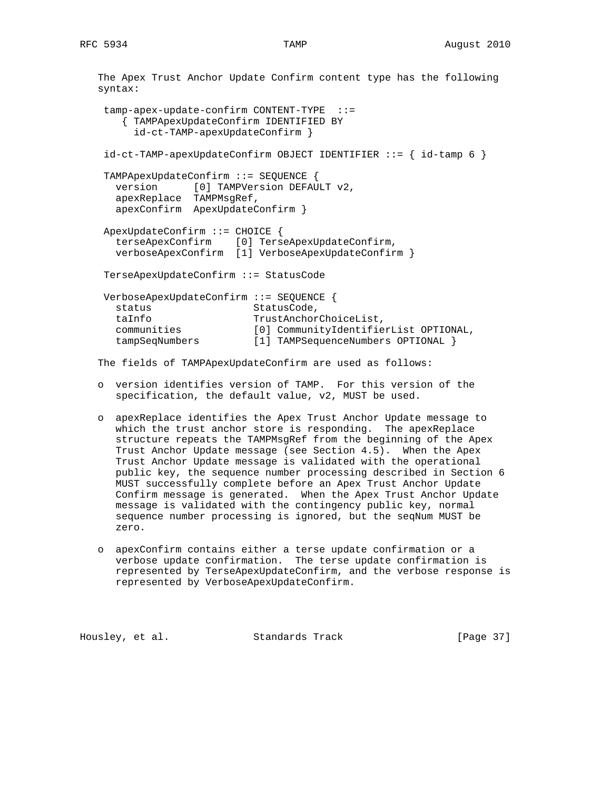The Apex Trust Anchor Update Confirm content type has the following syntax: tamp-apex-update-confirm CONTENT-TYPE ::= { TAMPApexUpdateConfirm IDENTIFIED BY id-ct-TAMP-apexUpdateConfirm } id-ct-TAMP-apexUpdateConfirm OBJECT IDENTIFIER ::= { id-tamp 6 } TAMPApexUpdateConfirm ::= SEQUENCE { version [0] TAMPVersion DEFAULT v2, apexReplace TAMPMsgRef, apexConfirm ApexUpdateConfirm } ApexUpdateConfirm ::= CHOICE { terseApexConfirm [0] TerseApexUpdateConfirm, verboseApexConfirm [1] VerboseApexUpdateConfirm } TerseApexUpdateConfirm ::= StatusCode VerboseApexUpdateConfirm ::= SEQUENCE { status StatusCode, taInfo TrustAnchorChoiceList, communities [0] CommunityIdentifierList OPTIONAL, tampSeqNumbers [1] TAMPSequenceNumbers OPTIONAL }

The fields of TAMPApexUpdateConfirm are used as follows:

- o version identifies version of TAMP. For this version of the specification, the default value, v2, MUST be used.
- o apexReplace identifies the Apex Trust Anchor Update message to which the trust anchor store is responding. The apexReplace structure repeats the TAMPMsgRef from the beginning of the Apex Trust Anchor Update message (see Section 4.5). When the Apex Trust Anchor Update message is validated with the operational public key, the sequence number processing described in Section 6 MUST successfully complete before an Apex Trust Anchor Update Confirm message is generated. When the Apex Trust Anchor Update message is validated with the contingency public key, normal sequence number processing is ignored, but the seqNum MUST be zero.
- o apexConfirm contains either a terse update confirmation or a verbose update confirmation. The terse update confirmation is represented by TerseApexUpdateConfirm, and the verbose response is represented by VerboseApexUpdateConfirm.

Housley, et al. Standards Track [Page 37]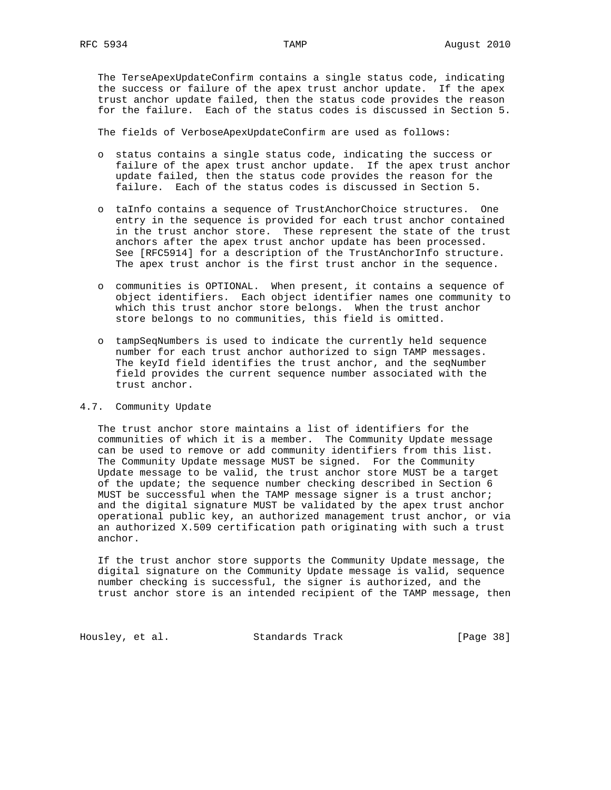The TerseApexUpdateConfirm contains a single status code, indicating the success or failure of the apex trust anchor update. If the apex trust anchor update failed, then the status code provides the reason for the failure. Each of the status codes is discussed in Section 5.

The fields of VerboseApexUpdateConfirm are used as follows:

- o status contains a single status code, indicating the success or failure of the apex trust anchor update. If the apex trust anchor update failed, then the status code provides the reason for the failure. Each of the status codes is discussed in Section 5.
- o taInfo contains a sequence of TrustAnchorChoice structures. One entry in the sequence is provided for each trust anchor contained in the trust anchor store. These represent the state of the trust anchors after the apex trust anchor update has been processed. See [RFC5914] for a description of the TrustAnchorInfo structure. The apex trust anchor is the first trust anchor in the sequence.
- o communities is OPTIONAL. When present, it contains a sequence of object identifiers. Each object identifier names one community to which this trust anchor store belongs. When the trust anchor store belongs to no communities, this field is omitted.
- o tampSeqNumbers is used to indicate the currently held sequence number for each trust anchor authorized to sign TAMP messages. The keyId field identifies the trust anchor, and the seqNumber field provides the current sequence number associated with the trust anchor.

# 4.7. Community Update

 The trust anchor store maintains a list of identifiers for the communities of which it is a member. The Community Update message can be used to remove or add community identifiers from this list. The Community Update message MUST be signed. For the Community Update message to be valid, the trust anchor store MUST be a target of the update; the sequence number checking described in Section 6 MUST be successful when the TAMP message signer is a trust anchor; and the digital signature MUST be validated by the apex trust anchor operational public key, an authorized management trust anchor, or via an authorized X.509 certification path originating with such a trust anchor.

 If the trust anchor store supports the Community Update message, the digital signature on the Community Update message is valid, sequence number checking is successful, the signer is authorized, and the trust anchor store is an intended recipient of the TAMP message, then

Housley, et al. Standards Track [Page 38]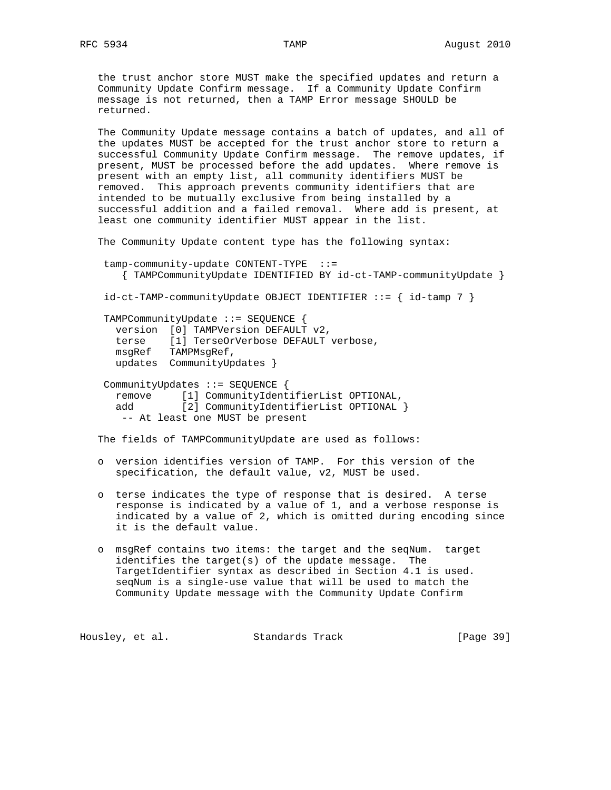the trust anchor store MUST make the specified updates and return a Community Update Confirm message. If a Community Update Confirm message is not returned, then a TAMP Error message SHOULD be returned.

 The Community Update message contains a batch of updates, and all of the updates MUST be accepted for the trust anchor store to return a successful Community Update Confirm message. The remove updates, if present, MUST be processed before the add updates. Where remove is present with an empty list, all community identifiers MUST be removed. This approach prevents community identifiers that are intended to be mutually exclusive from being installed by a successful addition and a failed removal. Where add is present, at least one community identifier MUST appear in the list.

The Community Update content type has the following syntax:

 tamp-community-update CONTENT-TYPE ::= { TAMPCommunityUpdate IDENTIFIED BY id-ct-TAMP-communityUpdate }

id-ct-TAMP-communityUpdate OBJECT IDENTIFIER ::= { id-tamp 7 }

 TAMPCommunityUpdate ::= SEQUENCE { version [0] TAMPVersion DEFAULT v2, terse [1] TerseOrVerbose DEFAULT verbose, msgRef TAMPMsgRef, updates CommunityUpdates }

 CommunityUpdates ::= SEQUENCE { remove [1] CommunityIdentifierList OPTIONAL, add [2] CommunityIdentifierList OPTIONAL } -- At least one MUST be present

The fields of TAMPCommunityUpdate are used as follows:

- o version identifies version of TAMP. For this version of the specification, the default value, v2, MUST be used.
- o terse indicates the type of response that is desired. A terse response is indicated by a value of 1, and a verbose response is indicated by a value of 2, which is omitted during encoding since it is the default value.
- o msgRef contains two items: the target and the seqNum. target identifies the target(s) of the update message. The TargetIdentifier syntax as described in Section 4.1 is used. seqNum is a single-use value that will be used to match the Community Update message with the Community Update Confirm

Housley, et al. Standards Track [Page 39]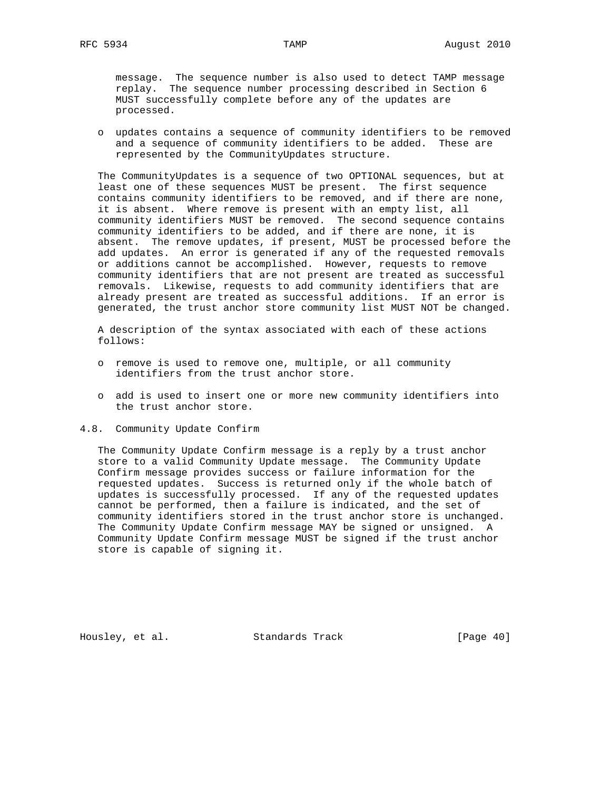message. The sequence number is also used to detect TAMP message replay. The sequence number processing described in Section 6 MUST successfully complete before any of the updates are processed.

 o updates contains a sequence of community identifiers to be removed and a sequence of community identifiers to be added. These are represented by the CommunityUpdates structure.

 The CommunityUpdates is a sequence of two OPTIONAL sequences, but at least one of these sequences MUST be present. The first sequence contains community identifiers to be removed, and if there are none, it is absent. Where remove is present with an empty list, all community identifiers MUST be removed. The second sequence contains community identifiers to be added, and if there are none, it is absent. The remove updates, if present, MUST be processed before the add updates. An error is generated if any of the requested removals or additions cannot be accomplished. However, requests to remove community identifiers that are not present are treated as successful removals. Likewise, requests to add community identifiers that are already present are treated as successful additions. If an error is generated, the trust anchor store community list MUST NOT be changed.

 A description of the syntax associated with each of these actions follows:

- o remove is used to remove one, multiple, or all community identifiers from the trust anchor store.
- o add is used to insert one or more new community identifiers into the trust anchor store.
- 4.8. Community Update Confirm

 The Community Update Confirm message is a reply by a trust anchor store to a valid Community Update message. The Community Update Confirm message provides success or failure information for the requested updates. Success is returned only if the whole batch of updates is successfully processed. If any of the requested updates cannot be performed, then a failure is indicated, and the set of community identifiers stored in the trust anchor store is unchanged. The Community Update Confirm message MAY be signed or unsigned. A Community Update Confirm message MUST be signed if the trust anchor store is capable of signing it.

Housley, et al. Standards Track [Page 40]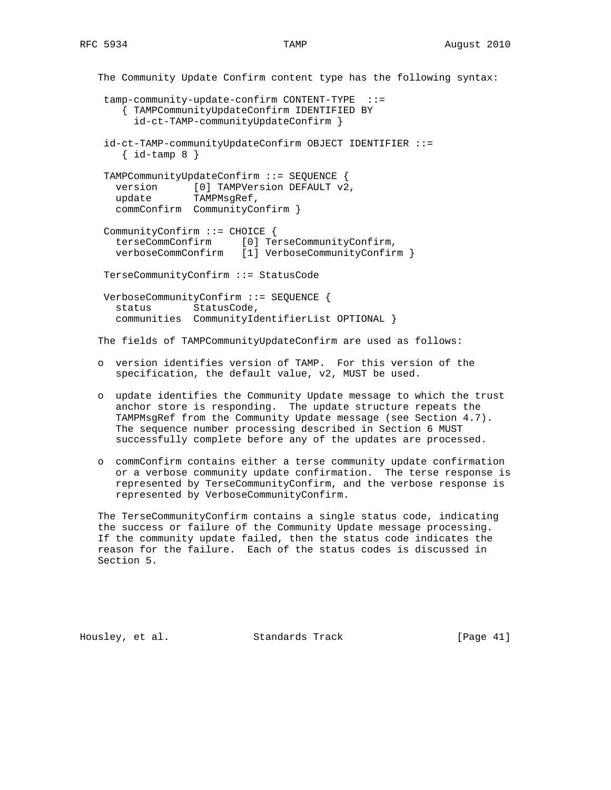The Community Update Confirm content type has the following syntax: tamp-community-update-confirm CONTENT-TYPE ::= { TAMPCommunityUpdateConfirm IDENTIFIED BY id-ct-TAMP-communityUpdateConfirm } id-ct-TAMP-communityUpdateConfirm OBJECT IDENTIFIER ::=  $\{ id-tamp 8 \}$  TAMPCommunityUpdateConfirm ::= SEQUENCE { version [0] TAMPVersion DEFAULT v2, update TAMPMsgRef, commConfirm CommunityConfirm } CommunityConfirm ::= CHOICE { terseCommConfirm [0] TerseCommunityConfirm, verboseCommConfirm [1] VerboseCommunityConfirm } TerseCommunityConfirm ::= StatusCode VerboseCommunityConfirm ::= SEQUENCE { status StatusCode, communities CommunityIdentifierList OPTIONAL } The fields of TAMPCommunityUpdateConfirm are used as follows: o version identifies version of TAMP. For this version of the specification, the default value, v2, MUST be used.

- o update identifies the Community Update message to which the trust anchor store is responding. The update structure repeats the TAMPMsgRef from the Community Update message (see Section 4.7). The sequence number processing described in Section 6 MUST successfully complete before any of the updates are processed.
- o commConfirm contains either a terse community update confirmation or a verbose community update confirmation. The terse response is represented by TerseCommunityConfirm, and the verbose response is represented by VerboseCommunityConfirm.

 The TerseCommunityConfirm contains a single status code, indicating the success or failure of the Community Update message processing. If the community update failed, then the status code indicates the reason for the failure. Each of the status codes is discussed in Section 5.

Housley, et al. Standards Track [Page 41]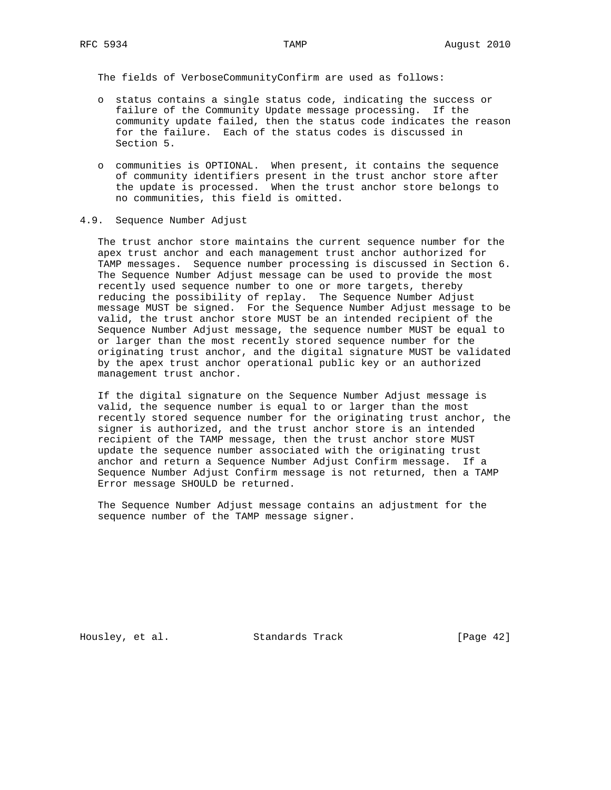The fields of VerboseCommunityConfirm are used as follows:

- o status contains a single status code, indicating the success or failure of the Community Update message processing. If the community update failed, then the status code indicates the reason for the failure. Each of the status codes is discussed in Section 5.
- o communities is OPTIONAL. When present, it contains the sequence of community identifiers present in the trust anchor store after the update is processed. When the trust anchor store belongs to no communities, this field is omitted.
- 4.9. Sequence Number Adjust

 The trust anchor store maintains the current sequence number for the apex trust anchor and each management trust anchor authorized for TAMP messages. Sequence number processing is discussed in Section 6. The Sequence Number Adjust message can be used to provide the most recently used sequence number to one or more targets, thereby reducing the possibility of replay. The Sequence Number Adjust message MUST be signed. For the Sequence Number Adjust message to be valid, the trust anchor store MUST be an intended recipient of the Sequence Number Adjust message, the sequence number MUST be equal to or larger than the most recently stored sequence number for the originating trust anchor, and the digital signature MUST be validated by the apex trust anchor operational public key or an authorized management trust anchor.

 If the digital signature on the Sequence Number Adjust message is valid, the sequence number is equal to or larger than the most recently stored sequence number for the originating trust anchor, the signer is authorized, and the trust anchor store is an intended recipient of the TAMP message, then the trust anchor store MUST update the sequence number associated with the originating trust anchor and return a Sequence Number Adjust Confirm message. If a Sequence Number Adjust Confirm message is not returned, then a TAMP Error message SHOULD be returned.

 The Sequence Number Adjust message contains an adjustment for the sequence number of the TAMP message signer.

Housley, et al. Standards Track [Page 42]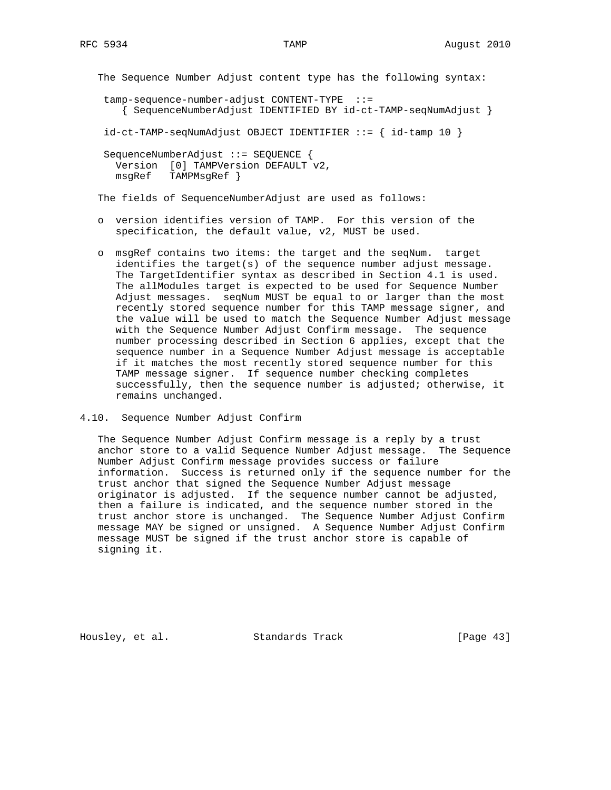```
 The Sequence Number Adjust content type has the following syntax:
```
 tamp-sequence-number-adjust CONTENT-TYPE ::= { SequenceNumberAdjust IDENTIFIED BY id-ct-TAMP-seqNumAdjust }

 $id-ct-TAMP-seqNumAdjust OBJECT IDENTIFIER ::= { id-tamp 10 }$ 

 SequenceNumberAdjust ::= SEQUENCE { Version [0] TAMPVersion DEFAULT v2, msgRef TAMPMsgRef }

The fields of SequenceNumberAdjust are used as follows:

- o version identifies version of TAMP. For this version of the specification, the default value, v2, MUST be used.
- o msgRef contains two items: the target and the seqNum. target identifies the target(s) of the sequence number adjust message. The TargetIdentifier syntax as described in Section 4.1 is used. The allModules target is expected to be used for Sequence Number Adjust messages. seqNum MUST be equal to or larger than the most recently stored sequence number for this TAMP message signer, and the value will be used to match the Sequence Number Adjust message with the Sequence Number Adjust Confirm message. The sequence number processing described in Section 6 applies, except that the sequence number in a Sequence Number Adjust message is acceptable if it matches the most recently stored sequence number for this TAMP message signer. If sequence number checking completes successfully, then the sequence number is adjusted; otherwise, it remains unchanged.
- 4.10. Sequence Number Adjust Confirm

 The Sequence Number Adjust Confirm message is a reply by a trust anchor store to a valid Sequence Number Adjust message. The Sequence Number Adjust Confirm message provides success or failure information. Success is returned only if the sequence number for the trust anchor that signed the Sequence Number Adjust message originator is adjusted. If the sequence number cannot be adjusted, then a failure is indicated, and the sequence number stored in the trust anchor store is unchanged. The Sequence Number Adjust Confirm message MAY be signed or unsigned. A Sequence Number Adjust Confirm message MUST be signed if the trust anchor store is capable of signing it.

Housley, et al. Standards Track [Page 43]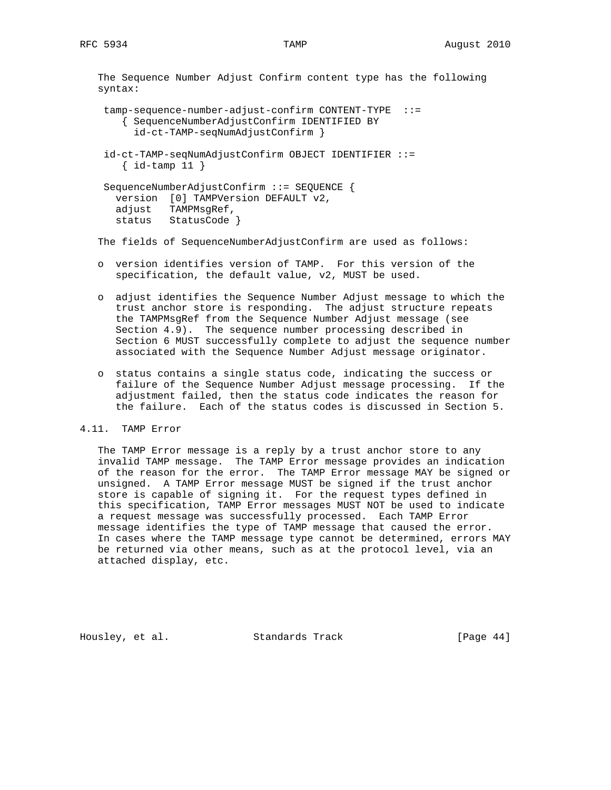The Sequence Number Adjust Confirm content type has the following syntax:

```
 tamp-sequence-number-adjust-confirm CONTENT-TYPE ::=
    { SequenceNumberAdjustConfirm IDENTIFIED BY
      id-ct-TAMP-seqNumAdjustConfirm }
```

```
 id-ct-TAMP-seqNumAdjustConfirm OBJECT IDENTIFIER ::=
   \{ id-tamp 11 \}
```

```
 SequenceNumberAdjustConfirm ::= SEQUENCE {
  version [0] TAMPVersion DEFAULT v2,
   adjust TAMPMsgRef,
  status StatusCode }
```
The fields of SequenceNumberAdjustConfirm are used as follows:

- o version identifies version of TAMP. For this version of the specification, the default value, v2, MUST be used.
- o adjust identifies the Sequence Number Adjust message to which the trust anchor store is responding. The adjust structure repeats the TAMPMsgRef from the Sequence Number Adjust message (see Section 4.9). The sequence number processing described in Section 6 MUST successfully complete to adjust the sequence number associated with the Sequence Number Adjust message originator.
- o status contains a single status code, indicating the success or failure of the Sequence Number Adjust message processing. If the adjustment failed, then the status code indicates the reason for the failure. Each of the status codes is discussed in Section 5.

## 4.11. TAMP Error

 The TAMP Error message is a reply by a trust anchor store to any invalid TAMP message. The TAMP Error message provides an indication of the reason for the error. The TAMP Error message MAY be signed or unsigned. A TAMP Error message MUST be signed if the trust anchor store is capable of signing it. For the request types defined in this specification, TAMP Error messages MUST NOT be used to indicate a request message was successfully processed. Each TAMP Error message identifies the type of TAMP message that caused the error. In cases where the TAMP message type cannot be determined, errors MAY be returned via other means, such as at the protocol level, via an attached display, etc.

Housley, et al. Standards Track [Page 44]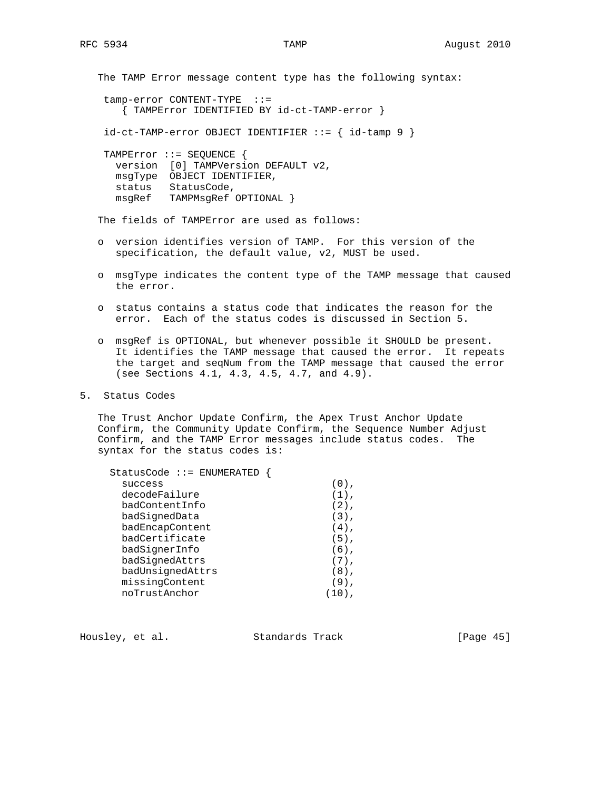The TAMP Error message content type has the following syntax: tamp-error CONTENT-TYPE ::= { TAMPError IDENTIFIED BY id-ct-TAMP-error } id-ct-TAMP-error OBJECT IDENTIFIER ::= { id-tamp 9 } TAMPError ::= SEQUENCE { version [0] TAMPVersion DEFAULT v2, msgType OBJECT IDENTIFIER, status StatusCode, msgRef TAMPMsgRef OPTIONAL } The fields of TAMPError are used as follows:

- o version identifies version of TAMP. For this version of the specification, the default value, v2, MUST be used.
- o msgType indicates the content type of the TAMP message that caused the error.
- o status contains a status code that indicates the reason for the error. Each of the status codes is discussed in Section 5.
- o msgRef is OPTIONAL, but whenever possible it SHOULD be present. It identifies the TAMP message that caused the error. It repeats the target and seqNum from the TAMP message that caused the error (see Sections 4.1, 4.3, 4.5, 4.7, and 4.9).
- 5. Status Codes

 The Trust Anchor Update Confirm, the Apex Trust Anchor Update Confirm, the Community Update Confirm, the Sequence Number Adjust Confirm, and the TAMP Error messages include status codes. The syntax for the status codes is:

| StatusCode ::= ENUMERATED |         |
|---------------------------|---------|
| success                   | $(0)$ , |
| decodeFailure             | $(1)$ , |
| badContentInfo            | $(2)$ , |
| badSignedData             | $(3)$ , |
| badEncapContent           | $(4)$ , |
| badCertificate            | $(5)$ , |
| badSignerInfo             | $(6)$ , |
| badSignedAttrs            | $(7)$ , |
| badUnsignedAttrs          | $(8)$ , |
| missingContent            | $(9)$ , |
| noTrustAnchor             |         |

Housley, et al. Standards Track [Page 45]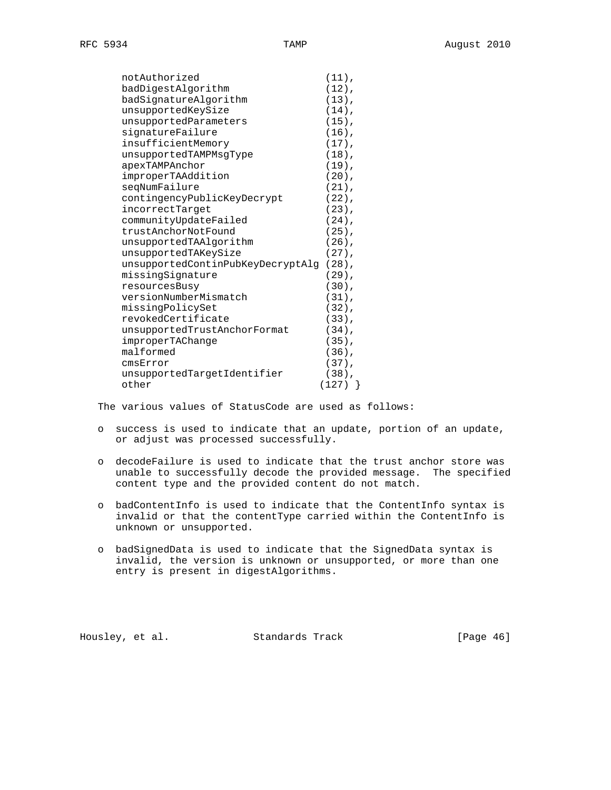| notAuthorized                     | $(11)$ ,  |
|-----------------------------------|-----------|
| badDigestAlgorithm                | $(12)$ ,  |
| badSignatureAlgorithm             | $(13)$ ,  |
| unsupportedKeySize                | $(14)$ ,  |
| unsupportedParameters             | $(15)$ ,  |
| signatureFailure                  | $(16)$ ,  |
| insufficientMemory                | $(17)$ ,  |
| unsupportedTAMPMsgType            | $(18)$ ,  |
| apexTAMPAnchor                    | $(19)$ ,  |
| improperTAAddition                | $(20)$ ,  |
| seqNumFailure                     | $(21)$ ,  |
| contingencyPublicKeyDecrypt       | $(22)$ ,  |
| incorrectTarget                   | $(23)$ ,  |
| communityUpdateFailed             | $(24)$ ,  |
| trustAnchorNotFound               | $(25)$ ,  |
| unsupportedTAAlgorithm            | $(26)$ ,  |
| unsupportedTAKeySize              | $(27)$ ,  |
| unsupportedContinPubKeyDecryptAlg | $(28)$ ,  |
| missingSignature                  | $(29)$ ,  |
| resourcesBusy                     | $(30)$ ,  |
| versionNumberMismatch             | $(31)$ ,  |
| missingPolicySet                  | $(32)$ ,  |
| revokedCertificate                | $(33)$ ,  |
| unsupportedTrustAnchorFormat      | $(34)$ ,  |
| improperTAChange                  | $(35)$ ,  |
| malformed                         | $(36)$ ,  |
| cmsError                          | $(37)$ ,  |
| unsupportedTargetIdentifier       | $(38)$ ,  |
| other                             | $(127)$ } |

The various values of StatusCode are used as follows:

- o success is used to indicate that an update, portion of an update, or adjust was processed successfully.
- o decodeFailure is used to indicate that the trust anchor store was unable to successfully decode the provided message. The specified content type and the provided content do not match.
- o badContentInfo is used to indicate that the ContentInfo syntax is invalid or that the contentType carried within the ContentInfo is unknown or unsupported.
- o badSignedData is used to indicate that the SignedData syntax is invalid, the version is unknown or unsupported, or more than one entry is present in digestAlgorithms.

Housley, et al. Standards Track [Page 46]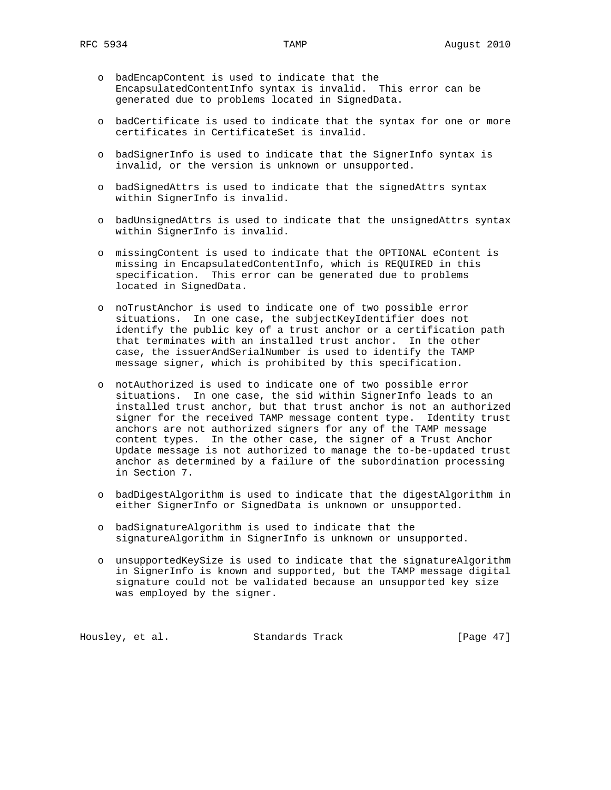- o badEncapContent is used to indicate that the EncapsulatedContentInfo syntax is invalid. This error can be generated due to problems located in SignedData.
- o badCertificate is used to indicate that the syntax for one or more certificates in CertificateSet is invalid.
- o badSignerInfo is used to indicate that the SignerInfo syntax is invalid, or the version is unknown or unsupported.
- o badSignedAttrs is used to indicate that the signedAttrs syntax within SignerInfo is invalid.
- o badUnsignedAttrs is used to indicate that the unsignedAttrs syntax within SignerInfo is invalid.
- o missingContent is used to indicate that the OPTIONAL eContent is missing in EncapsulatedContentInfo, which is REQUIRED in this specification. This error can be generated due to problems located in SignedData.
- o noTrustAnchor is used to indicate one of two possible error situations. In one case, the subjectKeyIdentifier does not identify the public key of a trust anchor or a certification path that terminates with an installed trust anchor. In the other case, the issuerAndSerialNumber is used to identify the TAMP message signer, which is prohibited by this specification.
- o notAuthorized is used to indicate one of two possible error situations. In one case, the sid within SignerInfo leads to an installed trust anchor, but that trust anchor is not an authorized signer for the received TAMP message content type. Identity trust anchors are not authorized signers for any of the TAMP message content types. In the other case, the signer of a Trust Anchor Update message is not authorized to manage the to-be-updated trust anchor as determined by a failure of the subordination processing in Section 7.
- o badDigestAlgorithm is used to indicate that the digestAlgorithm in either SignerInfo or SignedData is unknown or unsupported.
- o badSignatureAlgorithm is used to indicate that the signatureAlgorithm in SignerInfo is unknown or unsupported.
- o unsupportedKeySize is used to indicate that the signatureAlgorithm in SignerInfo is known and supported, but the TAMP message digital signature could not be validated because an unsupported key size was employed by the signer.

Housley, et al. Standards Track [Page 47]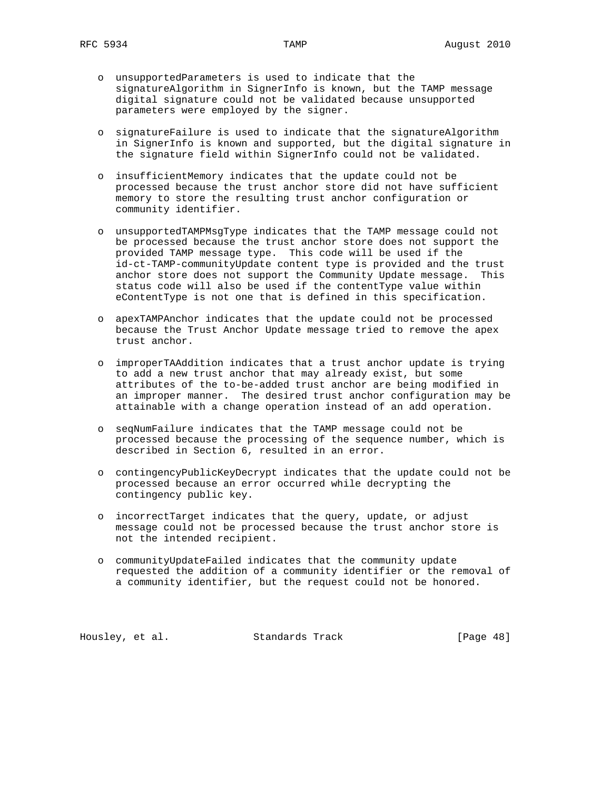- o unsupportedParameters is used to indicate that the signatureAlgorithm in SignerInfo is known, but the TAMP message digital signature could not be validated because unsupported parameters were employed by the signer.
- o signatureFailure is used to indicate that the signatureAlgorithm in SignerInfo is known and supported, but the digital signature in the signature field within SignerInfo could not be validated.
- o insufficientMemory indicates that the update could not be processed because the trust anchor store did not have sufficient memory to store the resulting trust anchor configuration or community identifier.
- o unsupportedTAMPMsgType indicates that the TAMP message could not be processed because the trust anchor store does not support the provided TAMP message type. This code will be used if the id-ct-TAMP-communityUpdate content type is provided and the trust anchor store does not support the Community Update message. This status code will also be used if the contentType value within eContentType is not one that is defined in this specification.
- o apexTAMPAnchor indicates that the update could not be processed because the Trust Anchor Update message tried to remove the apex trust anchor.
- o improperTAAddition indicates that a trust anchor update is trying to add a new trust anchor that may already exist, but some attributes of the to-be-added trust anchor are being modified in an improper manner. The desired trust anchor configuration may be attainable with a change operation instead of an add operation.
- o seqNumFailure indicates that the TAMP message could not be processed because the processing of the sequence number, which is described in Section 6, resulted in an error.
- o contingencyPublicKeyDecrypt indicates that the update could not be processed because an error occurred while decrypting the contingency public key.
- o incorrectTarget indicates that the query, update, or adjust message could not be processed because the trust anchor store is not the intended recipient.
- o communityUpdateFailed indicates that the community update requested the addition of a community identifier or the removal of a community identifier, but the request could not be honored.

Housley, et al. Standards Track [Page 48]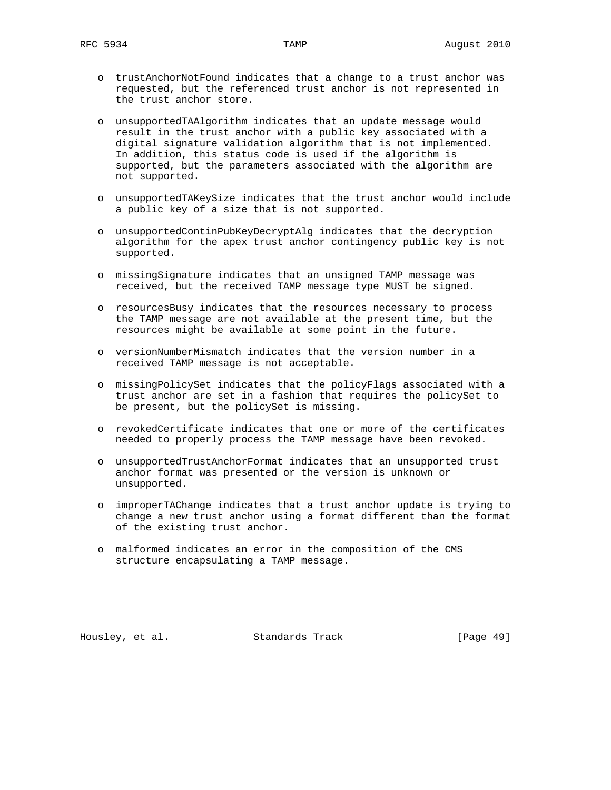- o trustAnchorNotFound indicates that a change to a trust anchor was requested, but the referenced trust anchor is not represented in the trust anchor store.
- o unsupportedTAAlgorithm indicates that an update message would result in the trust anchor with a public key associated with a digital signature validation algorithm that is not implemented. In addition, this status code is used if the algorithm is supported, but the parameters associated with the algorithm are not supported.
- o unsupportedTAKeySize indicates that the trust anchor would include a public key of a size that is not supported.
- o unsupportedContinPubKeyDecryptAlg indicates that the decryption algorithm for the apex trust anchor contingency public key is not supported.
- o missingSignature indicates that an unsigned TAMP message was received, but the received TAMP message type MUST be signed.
- o resourcesBusy indicates that the resources necessary to process the TAMP message are not available at the present time, but the resources might be available at some point in the future.
- o versionNumberMismatch indicates that the version number in a received TAMP message is not acceptable.
- o missingPolicySet indicates that the policyFlags associated with a trust anchor are set in a fashion that requires the policySet to be present, but the policySet is missing.
- o revokedCertificate indicates that one or more of the certificates needed to properly process the TAMP message have been revoked.
- o unsupportedTrustAnchorFormat indicates that an unsupported trust anchor format was presented or the version is unknown or unsupported.
- o improperTAChange indicates that a trust anchor update is trying to change a new trust anchor using a format different than the format of the existing trust anchor.
- o malformed indicates an error in the composition of the CMS structure encapsulating a TAMP message.

Housley, et al. Standards Track [Page 49]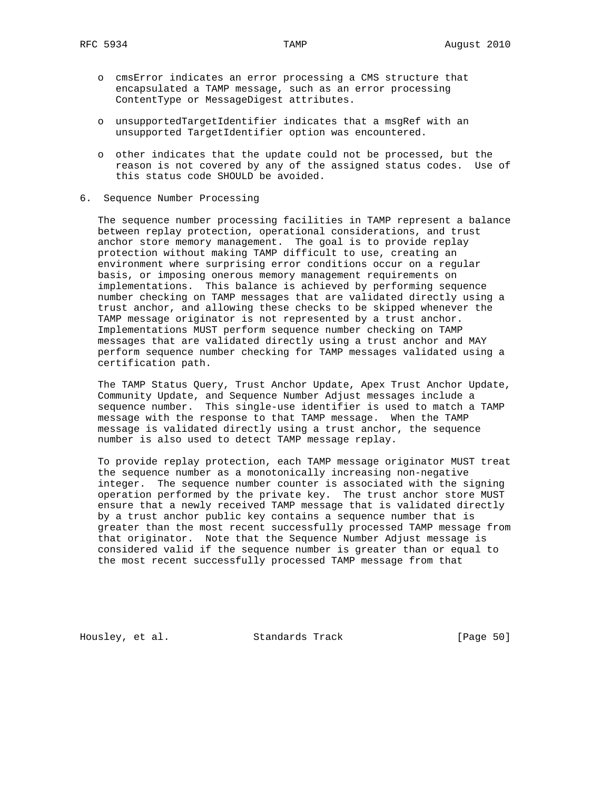- o cmsError indicates an error processing a CMS structure that encapsulated a TAMP message, such as an error processing ContentType or MessageDigest attributes.
- o unsupportedTargetIdentifier indicates that a msgRef with an unsupported TargetIdentifier option was encountered.
- o other indicates that the update could not be processed, but the reason is not covered by any of the assigned status codes. Use of this status code SHOULD be avoided.
- 6. Sequence Number Processing

 The sequence number processing facilities in TAMP represent a balance between replay protection, operational considerations, and trust anchor store memory management. The goal is to provide replay protection without making TAMP difficult to use, creating an environment where surprising error conditions occur on a regular basis, or imposing onerous memory management requirements on implementations. This balance is achieved by performing sequence number checking on TAMP messages that are validated directly using a trust anchor, and allowing these checks to be skipped whenever the TAMP message originator is not represented by a trust anchor. Implementations MUST perform sequence number checking on TAMP messages that are validated directly using a trust anchor and MAY perform sequence number checking for TAMP messages validated using a certification path.

 The TAMP Status Query, Trust Anchor Update, Apex Trust Anchor Update, Community Update, and Sequence Number Adjust messages include a sequence number. This single-use identifier is used to match a TAMP message with the response to that TAMP message. When the TAMP message is validated directly using a trust anchor, the sequence number is also used to detect TAMP message replay.

 To provide replay protection, each TAMP message originator MUST treat the sequence number as a monotonically increasing non-negative integer. The sequence number counter is associated with the signing operation performed by the private key. The trust anchor store MUST ensure that a newly received TAMP message that is validated directly by a trust anchor public key contains a sequence number that is greater than the most recent successfully processed TAMP message from that originator. Note that the Sequence Number Adjust message is considered valid if the sequence number is greater than or equal to the most recent successfully processed TAMP message from that

Housley, et al. Standards Track [Page 50]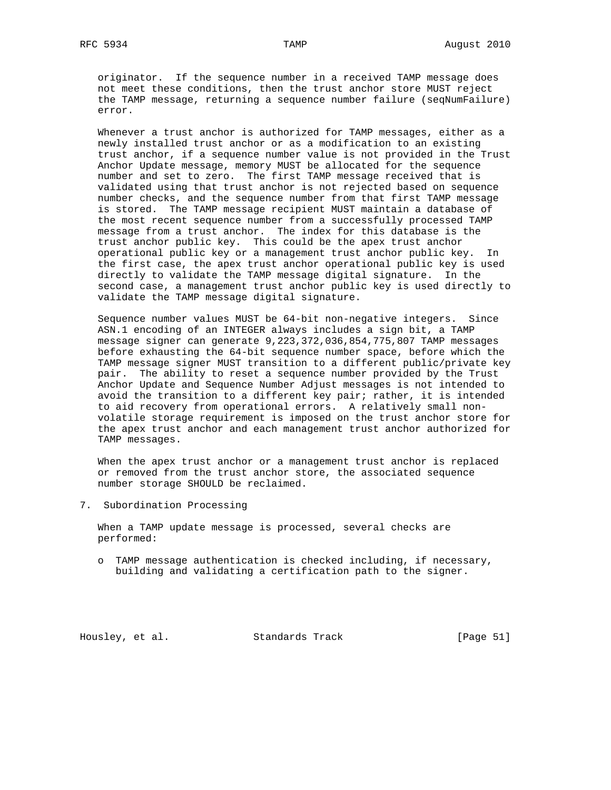originator. If the sequence number in a received TAMP message does not meet these conditions, then the trust anchor store MUST reject the TAMP message, returning a sequence number failure (seqNumFailure) error.

 Whenever a trust anchor is authorized for TAMP messages, either as a newly installed trust anchor or as a modification to an existing trust anchor, if a sequence number value is not provided in the Trust Anchor Update message, memory MUST be allocated for the sequence number and set to zero. The first TAMP message received that is validated using that trust anchor is not rejected based on sequence number checks, and the sequence number from that first TAMP message is stored. The TAMP message recipient MUST maintain a database of the most recent sequence number from a successfully processed TAMP message from a trust anchor. The index for this database is the trust anchor public key. This could be the apex trust anchor operational public key or a management trust anchor public key. In the first case, the apex trust anchor operational public key is used directly to validate the TAMP message digital signature. In the second case, a management trust anchor public key is used directly to validate the TAMP message digital signature.

 Sequence number values MUST be 64-bit non-negative integers. Since ASN.1 encoding of an INTEGER always includes a sign bit, a TAMP message signer can generate 9,223,372,036,854,775,807 TAMP messages before exhausting the 64-bit sequence number space, before which the TAMP message signer MUST transition to a different public/private key pair. The ability to reset a sequence number provided by the Trust Anchor Update and Sequence Number Adjust messages is not intended to avoid the transition to a different key pair; rather, it is intended to aid recovery from operational errors. A relatively small non volatile storage requirement is imposed on the trust anchor store for the apex trust anchor and each management trust anchor authorized for TAMP messages.

 When the apex trust anchor or a management trust anchor is replaced or removed from the trust anchor store, the associated sequence number storage SHOULD be reclaimed.

7. Subordination Processing

 When a TAMP update message is processed, several checks are performed:

 o TAMP message authentication is checked including, if necessary, building and validating a certification path to the signer.

Housley, et al. Standards Track [Page 51]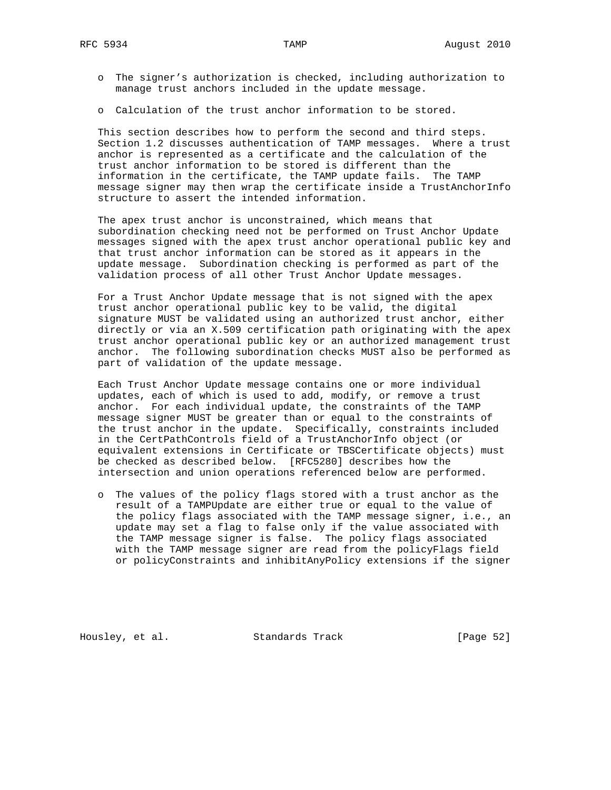- o The signer's authorization is checked, including authorization to manage trust anchors included in the update message.
- o Calculation of the trust anchor information to be stored.

 This section describes how to perform the second and third steps. Section 1.2 discusses authentication of TAMP messages. Where a trust anchor is represented as a certificate and the calculation of the trust anchor information to be stored is different than the information in the certificate, the TAMP update fails. The TAMP message signer may then wrap the certificate inside a TrustAnchorInfo structure to assert the intended information.

 The apex trust anchor is unconstrained, which means that subordination checking need not be performed on Trust Anchor Update messages signed with the apex trust anchor operational public key and that trust anchor information can be stored as it appears in the update message. Subordination checking is performed as part of the validation process of all other Trust Anchor Update messages.

 For a Trust Anchor Update message that is not signed with the apex trust anchor operational public key to be valid, the digital signature MUST be validated using an authorized trust anchor, either directly or via an X.509 certification path originating with the apex trust anchor operational public key or an authorized management trust anchor. The following subordination checks MUST also be performed as part of validation of the update message.

 Each Trust Anchor Update message contains one or more individual updates, each of which is used to add, modify, or remove a trust anchor. For each individual update, the constraints of the TAMP message signer MUST be greater than or equal to the constraints of the trust anchor in the update. Specifically, constraints included in the CertPathControls field of a TrustAnchorInfo object (or equivalent extensions in Certificate or TBSCertificate objects) must be checked as described below. [RFC5280] describes how the intersection and union operations referenced below are performed.

 o The values of the policy flags stored with a trust anchor as the result of a TAMPUpdate are either true or equal to the value of the policy flags associated with the TAMP message signer, i.e., an update may set a flag to false only if the value associated with the TAMP message signer is false. The policy flags associated with the TAMP message signer are read from the policyFlags field or policyConstraints and inhibitAnyPolicy extensions if the signer

Housley, et al. Standards Track [Page 52]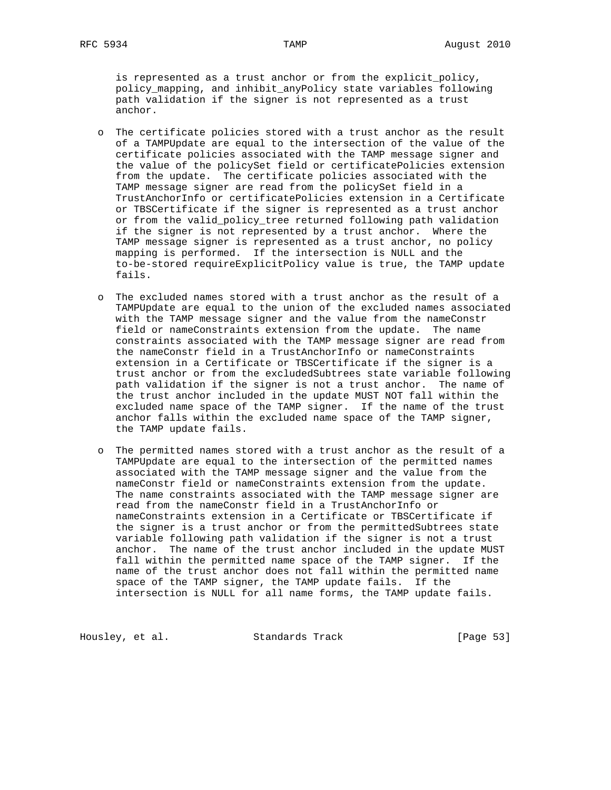is represented as a trust anchor or from the explicit\_policy, policy\_mapping, and inhibit\_anyPolicy state variables following path validation if the signer is not represented as a trust anchor.

- o The certificate policies stored with a trust anchor as the result of a TAMPUpdate are equal to the intersection of the value of the certificate policies associated with the TAMP message signer and the value of the policySet field or certificatePolicies extension from the update. The certificate policies associated with the TAMP message signer are read from the policySet field in a TrustAnchorInfo or certificatePolicies extension in a Certificate or TBSCertificate if the signer is represented as a trust anchor or from the valid\_policy\_tree returned following path validation if the signer is not represented by a trust anchor. Where the TAMP message signer is represented as a trust anchor, no policy mapping is performed. If the intersection is NULL and the to-be-stored requireExplicitPolicy value is true, the TAMP update fails.
- o The excluded names stored with a trust anchor as the result of a TAMPUpdate are equal to the union of the excluded names associated with the TAMP message signer and the value from the nameConstr field or nameConstraints extension from the update. The name constraints associated with the TAMP message signer are read from the nameConstr field in a TrustAnchorInfo or nameConstraints extension in a Certificate or TBSCertificate if the signer is a trust anchor or from the excludedSubtrees state variable following path validation if the signer is not a trust anchor. The name of the trust anchor included in the update MUST NOT fall within the excluded name space of the TAMP signer. If the name of the trust anchor falls within the excluded name space of the TAMP signer, the TAMP update fails.
- o The permitted names stored with a trust anchor as the result of a TAMPUpdate are equal to the intersection of the permitted names associated with the TAMP message signer and the value from the nameConstr field or nameConstraints extension from the update. The name constraints associated with the TAMP message signer are read from the nameConstr field in a TrustAnchorInfo or nameConstraints extension in a Certificate or TBSCertificate if the signer is a trust anchor or from the permittedSubtrees state variable following path validation if the signer is not a trust anchor. The name of the trust anchor included in the update MUST fall within the permitted name space of the TAMP signer. If the name of the trust anchor does not fall within the permitted name space of the TAMP signer, the TAMP update fails. If the intersection is NULL for all name forms, the TAMP update fails.

Housley, et al. Standards Track [Page 53]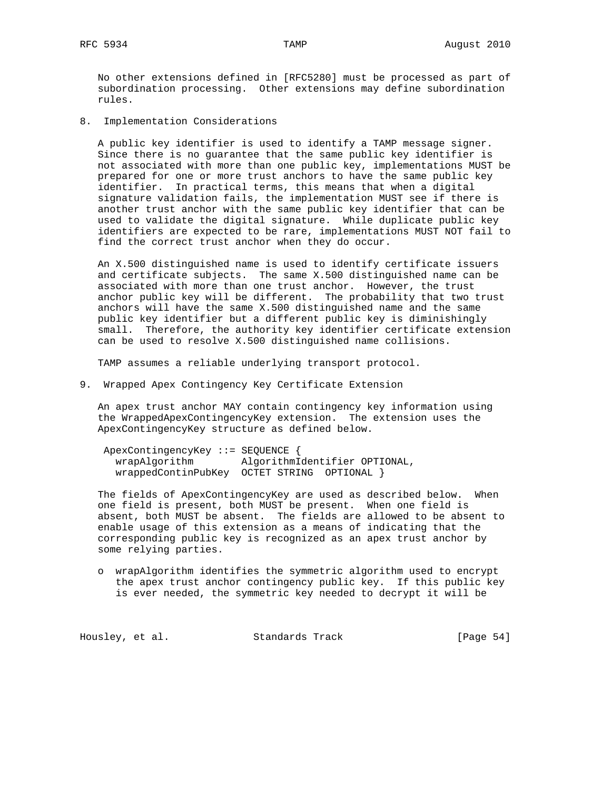No other extensions defined in [RFC5280] must be processed as part of subordination processing. Other extensions may define subordination rules.

8. Implementation Considerations

 A public key identifier is used to identify a TAMP message signer. Since there is no guarantee that the same public key identifier is not associated with more than one public key, implementations MUST be prepared for one or more trust anchors to have the same public key identifier. In practical terms, this means that when a digital signature validation fails, the implementation MUST see if there is another trust anchor with the same public key identifier that can be used to validate the digital signature. While duplicate public key identifiers are expected to be rare, implementations MUST NOT fail to find the correct trust anchor when they do occur.

 An X.500 distinguished name is used to identify certificate issuers and certificate subjects. The same X.500 distinguished name can be associated with more than one trust anchor. However, the trust anchor public key will be different. The probability that two trust anchors will have the same X.500 distinguished name and the same public key identifier but a different public key is diminishingly small. Therefore, the authority key identifier certificate extension can be used to resolve X.500 distinguished name collisions.

TAMP assumes a reliable underlying transport protocol.

9. Wrapped Apex Contingency Key Certificate Extension

 An apex trust anchor MAY contain contingency key information using the WrappedApexContingencyKey extension. The extension uses the ApexContingencyKey structure as defined below.

 ApexContingencyKey ::= SEQUENCE { wrapAlgorithm AlgorithmIdentifier OPTIONAL, wrappedContinPubKey OCTET STRING OPTIONAL }

 The fields of ApexContingencyKey are used as described below. When one field is present, both MUST be present. When one field is absent, both MUST be absent. The fields are allowed to be absent to enable usage of this extension as a means of indicating that the corresponding public key is recognized as an apex trust anchor by some relying parties.

 o wrapAlgorithm identifies the symmetric algorithm used to encrypt the apex trust anchor contingency public key. If this public key is ever needed, the symmetric key needed to decrypt it will be

Housley, et al. Standards Track [Page 54]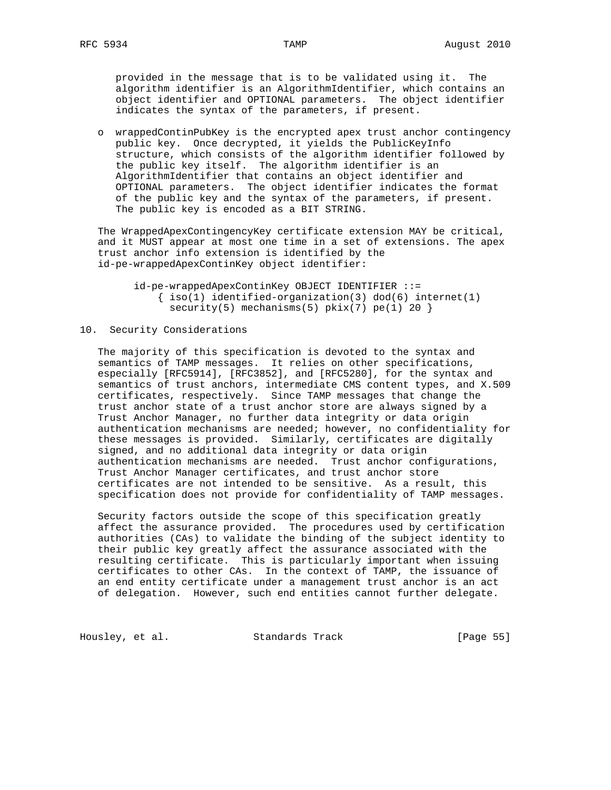provided in the message that is to be validated using it. The algorithm identifier is an AlgorithmIdentifier, which contains an object identifier and OPTIONAL parameters. The object identifier indicates the syntax of the parameters, if present.

 o wrappedContinPubKey is the encrypted apex trust anchor contingency public key. Once decrypted, it yields the PublicKeyInfo structure, which consists of the algorithm identifier followed by the public key itself. The algorithm identifier is an AlgorithmIdentifier that contains an object identifier and OPTIONAL parameters. The object identifier indicates the format of the public key and the syntax of the parameters, if present. The public key is encoded as a BIT STRING.

 The WrappedApexContingencyKey certificate extension MAY be critical, and it MUST appear at most one time in a set of extensions. The apex trust anchor info extension is identified by the id-pe-wrappedApexContinKey object identifier:

 id-pe-wrappedApexContinKey OBJECT IDENTIFIER ::=  $\{ iso(1)$  identified-organization(3) dod(6) internet(1) security(5) mechanisms(5)  $pkix(7) pe(1) 20$ 

# 10. Security Considerations

 The majority of this specification is devoted to the syntax and semantics of TAMP messages. It relies on other specifications, especially [RFC5914], [RFC3852], and [RFC5280], for the syntax and semantics of trust anchors, intermediate CMS content types, and X.509 certificates, respectively. Since TAMP messages that change the trust anchor state of a trust anchor store are always signed by a Trust Anchor Manager, no further data integrity or data origin authentication mechanisms are needed; however, no confidentiality for these messages is provided. Similarly, certificates are digitally signed, and no additional data integrity or data origin authentication mechanisms are needed. Trust anchor configurations, Trust Anchor Manager certificates, and trust anchor store certificates are not intended to be sensitive. As a result, this specification does not provide for confidentiality of TAMP messages.

 Security factors outside the scope of this specification greatly affect the assurance provided. The procedures used by certification authorities (CAs) to validate the binding of the subject identity to their public key greatly affect the assurance associated with the resulting certificate. This is particularly important when issuing certificates to other CAs. In the context of TAMP, the issuance of an end entity certificate under a management trust anchor is an act of delegation. However, such end entities cannot further delegate.

Housley, et al. Standards Track [Page 55]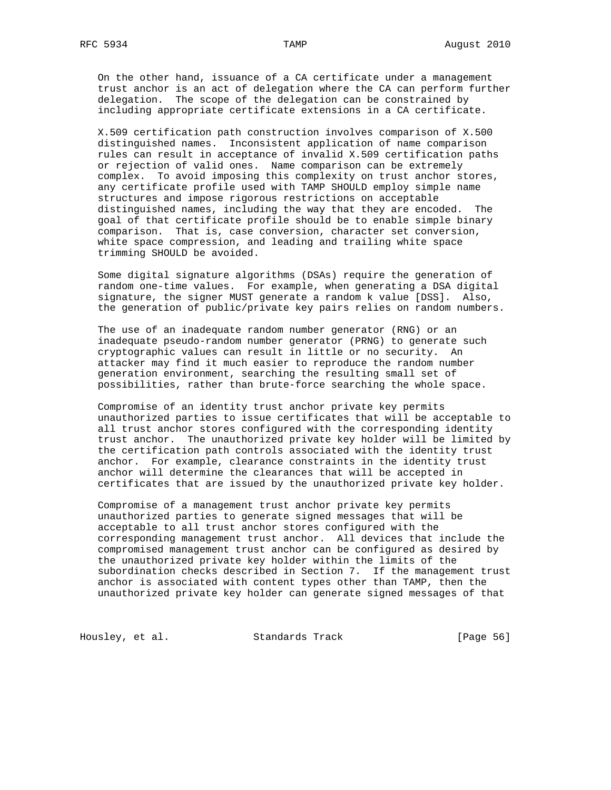On the other hand, issuance of a CA certificate under a management trust anchor is an act of delegation where the CA can perform further delegation. The scope of the delegation can be constrained by including appropriate certificate extensions in a CA certificate.

 X.509 certification path construction involves comparison of X.500 distinguished names. Inconsistent application of name comparison rules can result in acceptance of invalid X.509 certification paths or rejection of valid ones. Name comparison can be extremely complex. To avoid imposing this complexity on trust anchor stores, any certificate profile used with TAMP SHOULD employ simple name structures and impose rigorous restrictions on acceptable distinguished names, including the way that they are encoded. The goal of that certificate profile should be to enable simple binary comparison. That is, case conversion, character set conversion, white space compression, and leading and trailing white space trimming SHOULD be avoided.

 Some digital signature algorithms (DSAs) require the generation of random one-time values. For example, when generating a DSA digital signature, the signer MUST generate a random k value [DSS]. Also, the generation of public/private key pairs relies on random numbers.

 The use of an inadequate random number generator (RNG) or an inadequate pseudo-random number generator (PRNG) to generate such cryptographic values can result in little or no security. An attacker may find it much easier to reproduce the random number generation environment, searching the resulting small set of possibilities, rather than brute-force searching the whole space.

 Compromise of an identity trust anchor private key permits unauthorized parties to issue certificates that will be acceptable to all trust anchor stores configured with the corresponding identity trust anchor. The unauthorized private key holder will be limited by the certification path controls associated with the identity trust anchor. For example, clearance constraints in the identity trust anchor will determine the clearances that will be accepted in certificates that are issued by the unauthorized private key holder.

 Compromise of a management trust anchor private key permits unauthorized parties to generate signed messages that will be acceptable to all trust anchor stores configured with the corresponding management trust anchor. All devices that include the compromised management trust anchor can be configured as desired by the unauthorized private key holder within the limits of the subordination checks described in Section 7. If the management trust anchor is associated with content types other than TAMP, then the unauthorized private key holder can generate signed messages of that

Housley, et al. Standards Track [Page 56]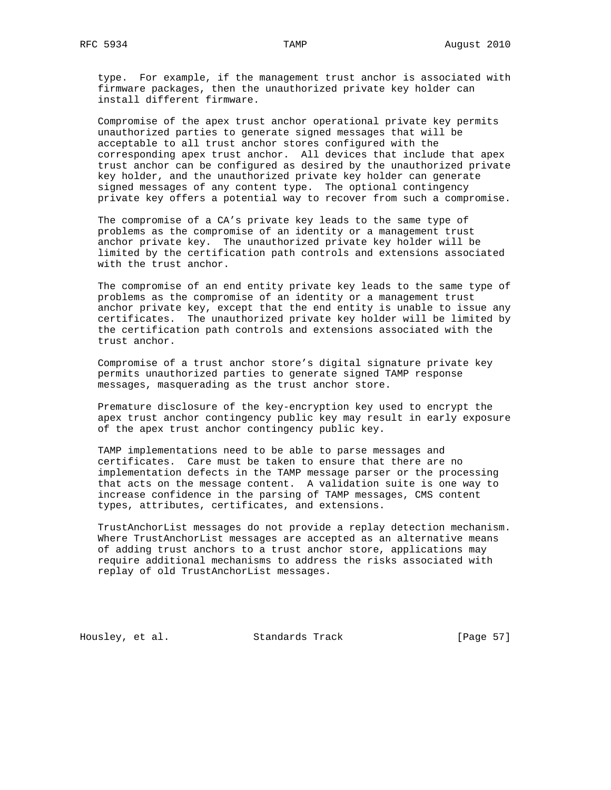type. For example, if the management trust anchor is associated with firmware packages, then the unauthorized private key holder can install different firmware.

 Compromise of the apex trust anchor operational private key permits unauthorized parties to generate signed messages that will be acceptable to all trust anchor stores configured with the corresponding apex trust anchor. All devices that include that apex trust anchor can be configured as desired by the unauthorized private key holder, and the unauthorized private key holder can generate signed messages of any content type. The optional contingency private key offers a potential way to recover from such a compromise.

 The compromise of a CA's private key leads to the same type of problems as the compromise of an identity or a management trust anchor private key. The unauthorized private key holder will be limited by the certification path controls and extensions associated with the trust anchor.

 The compromise of an end entity private key leads to the same type of problems as the compromise of an identity or a management trust anchor private key, except that the end entity is unable to issue any certificates. The unauthorized private key holder will be limited by the certification path controls and extensions associated with the trust anchor.

 Compromise of a trust anchor store's digital signature private key permits unauthorized parties to generate signed TAMP response messages, masquerading as the trust anchor store.

 Premature disclosure of the key-encryption key used to encrypt the apex trust anchor contingency public key may result in early exposure of the apex trust anchor contingency public key.

 TAMP implementations need to be able to parse messages and certificates. Care must be taken to ensure that there are no implementation defects in the TAMP message parser or the processing that acts on the message content. A validation suite is one way to increase confidence in the parsing of TAMP messages, CMS content types, attributes, certificates, and extensions.

 TrustAnchorList messages do not provide a replay detection mechanism. Where TrustAnchorList messages are accepted as an alternative means of adding trust anchors to a trust anchor store, applications may require additional mechanisms to address the risks associated with replay of old TrustAnchorList messages.

Housley, et al. Standards Track [Page 57]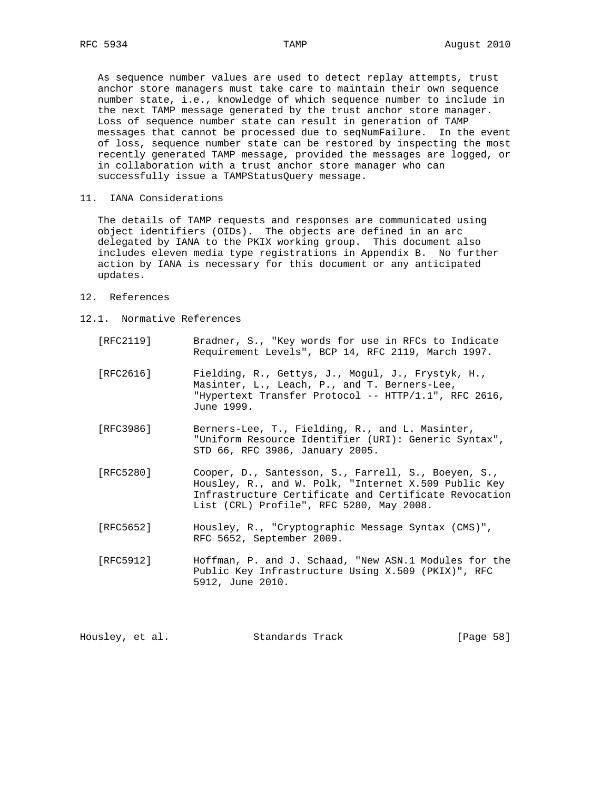As sequence number values are used to detect replay attempts, trust anchor store managers must take care to maintain their own sequence number state, i.e., knowledge of which sequence number to include in the next TAMP message generated by the trust anchor store manager. Loss of sequence number state can result in generation of TAMP messages that cannot be processed due to seqNumFailure. In the event of loss, sequence number state can be restored by inspecting the most recently generated TAMP message, provided the messages are logged, or in collaboration with a trust anchor store manager who can successfully issue a TAMPStatusQuery message.

11. IANA Considerations

 The details of TAMP requests and responses are communicated using object identifiers (OIDs). The objects are defined in an arc delegated by IANA to the PKIX working group. This document also includes eleven media type registrations in Appendix B. No further action by IANA is necessary for this document or any anticipated updates.

- 12. References
- 12.1. Normative References
	- [RFC2119] Bradner, S., "Key words for use in RFCs to Indicate Requirement Levels", BCP 14, RFC 2119, March 1997.
	- [RFC2616] Fielding, R., Gettys, J., Mogul, J., Frystyk, H., Masinter, L., Leach, P., and T. Berners-Lee, "Hypertext Transfer Protocol -- HTTP/1.1", RFC 2616, June 1999.
	- [RFC3986] Berners-Lee, T., Fielding, R., and L. Masinter, "Uniform Resource Identifier (URI): Generic Syntax", STD 66, RFC 3986, January 2005.
	- [RFC5280] Cooper, D., Santesson, S., Farrell, S., Boeyen, S., Housley, R., and W. Polk, "Internet X.509 Public Key Infrastructure Certificate and Certificate Revocation List (CRL) Profile", RFC 5280, May 2008.
	- [RFC5652] Housley, R., "Cryptographic Message Syntax (CMS)", RFC 5652, September 2009.
	- [RFC5912] Hoffman, P. and J. Schaad, "New ASN.1 Modules for the Public Key Infrastructure Using X.509 (PKIX)", RFC 5912, June 2010.

| Housley, et al.<br>Standards Track | [Page 58] |  |  |
|------------------------------------|-----------|--|--|
|------------------------------------|-----------|--|--|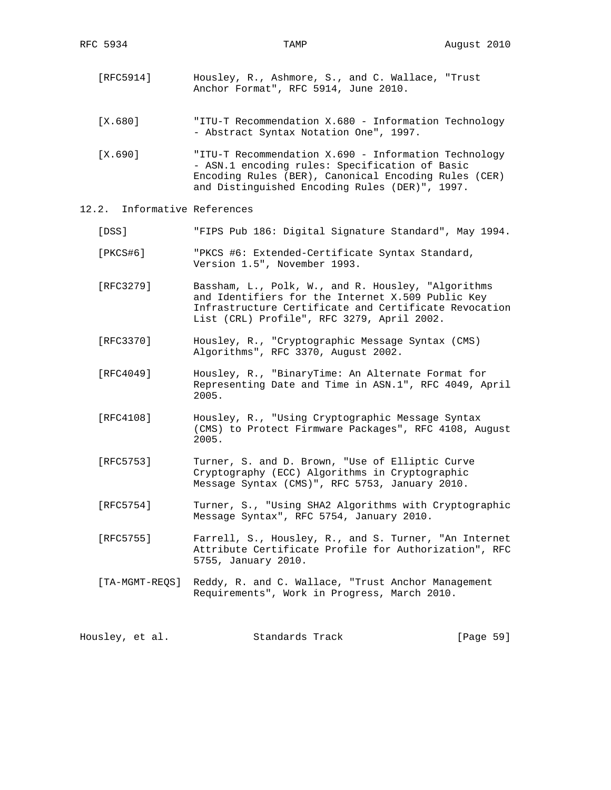- [RFC5914] Housley, R., Ashmore, S., and C. Wallace, "Trust Anchor Format", RFC 5914, June 2010.
- [X.680] "ITU-T Recommendation X.680 Information Technology - Abstract Syntax Notation One", 1997.
- [X.690] "ITU-T Recommendation X.690 Information Technology - ASN.1 encoding rules: Specification of Basic Encoding Rules (BER), Canonical Encoding Rules (CER) and Distinguished Encoding Rules (DER)", 1997.
- 12.2. Informative References
	- [DSS] "FIPS Pub 186: Digital Signature Standard", May 1994.
	- [PKCS#6] "PKCS #6: Extended-Certificate Syntax Standard, Version 1.5", November 1993.
	- [RFC3279] Bassham, L., Polk, W., and R. Housley, "Algorithms and Identifiers for the Internet X.509 Public Key Infrastructure Certificate and Certificate Revocation List (CRL) Profile", RFC 3279, April 2002.
	- [RFC3370] Housley, R., "Cryptographic Message Syntax (CMS) Algorithms", RFC 3370, August 2002.
	- [RFC4049] Housley, R., "BinaryTime: An Alternate Format for Representing Date and Time in ASN.1", RFC 4049, April 2005.
	- [RFC4108] Housley, R., "Using Cryptographic Message Syntax (CMS) to Protect Firmware Packages", RFC 4108, August 2005.
	- [RFC5753] Turner, S. and D. Brown, "Use of Elliptic Curve Cryptography (ECC) Algorithms in Cryptographic Message Syntax (CMS)", RFC 5753, January 2010.
	- [RFC5754] Turner, S., "Using SHA2 Algorithms with Cryptographic Message Syntax", RFC 5754, January 2010.
	- [RFC5755] Farrell, S., Housley, R., and S. Turner, "An Internet Attribute Certificate Profile for Authorization", RFC 5755, January 2010.
	- [TA-MGMT-REQS] Reddy, R. and C. Wallace, "Trust Anchor Management Requirements", Work in Progress, March 2010.

Housley, et al. Standards Track [Page 59]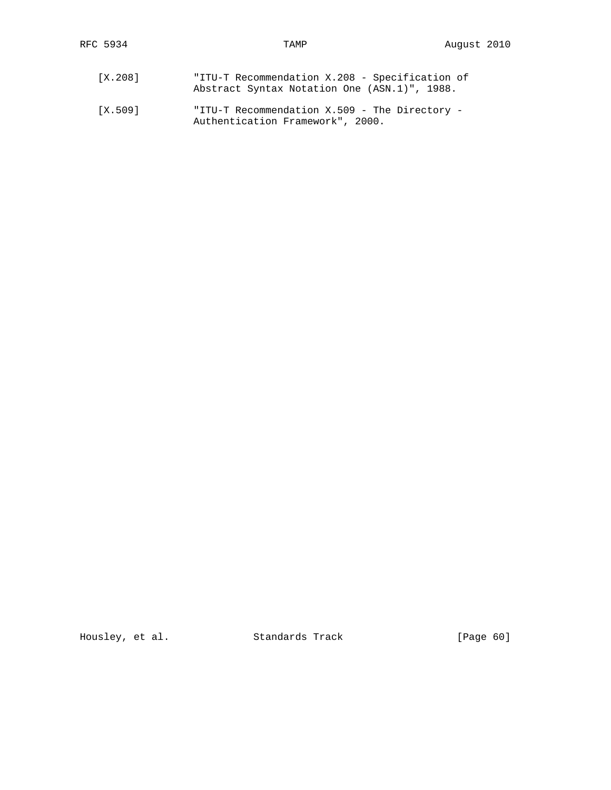| [X.208] | "ITU-T Recommendation X.208 - Specification of |
|---------|------------------------------------------------|
|         | Abstract Syntax Notation One (ASN.1)", 1988.   |
|         |                                                |

 [X.509] "ITU-T Recommendation X.509 - The Directory - Authentication Framework", 2000.

Housley, et al. Standards Track [Page 60]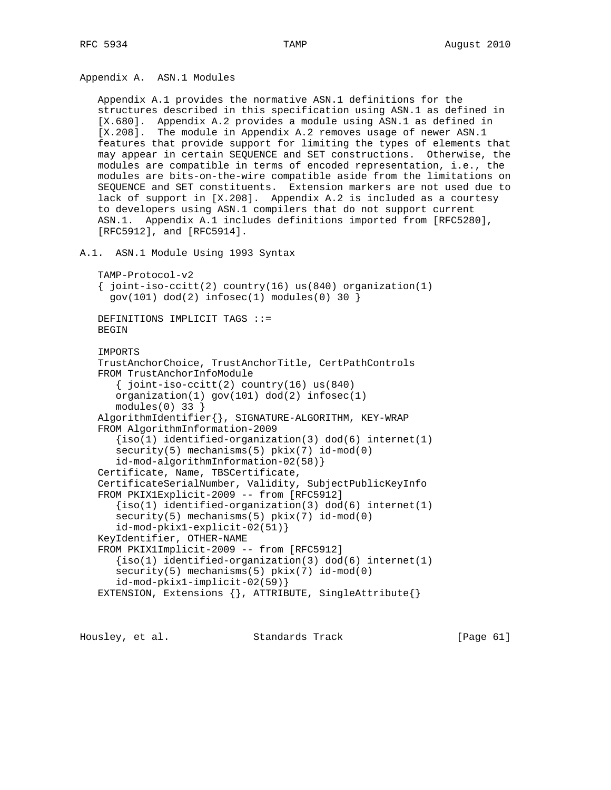Appendix A. ASN.1 Modules

 Appendix A.1 provides the normative ASN.1 definitions for the structures described in this specification using ASN.1 as defined in [X.680]. Appendix A.2 provides a module using ASN.1 as defined in [X.208]. The module in Appendix A.2 removes usage of newer ASN.1 features that provide support for limiting the types of elements that may appear in certain SEQUENCE and SET constructions. Otherwise, the modules are compatible in terms of encoded representation, i.e., the modules are bits-on-the-wire compatible aside from the limitations on SEQUENCE and SET constituents. Extension markers are not used due to lack of support in [X.208]. Appendix A.2 is included as a courtesy to developers using ASN.1 compilers that do not support current ASN.1. Appendix A.1 includes definitions imported from [RFC5280], [RFC5912], and [RFC5914].

A.1. ASN.1 Module Using 1993 Syntax

```
 TAMP-Protocol-v2
```

```
\{ joint-iso-ccitt(2) country(16) us(840) organization(1)
 gov(101) dod(2) infosec(1) modules(0) 30 }
```
 DEFINITIONS IMPLICIT TAGS ::= BEGIN

 IMPORTS TrustAnchorChoice, TrustAnchorTitle, CertPathControls FROM TrustAnchorInfoModule  $\{$  joint-iso-ccitt(2) country(16) us(840) organization(1) gov(101) dod(2) infosec(1) modules(0) 33 } AlgorithmIdentifier{}, SIGNATURE-ALGORITHM, KEY-WRAP FROM AlgorithmInformation-2009  ${iso(1)}$  identified-organization(3) dod(6) internet(1) security(5) mechanisms(5) pkix(7) id-mod(0) id-mod-algorithmInformation-02(58)} Certificate, Name, TBSCertificate, CertificateSerialNumber, Validity, SubjectPublicKeyInfo FROM PKIX1Explicit-2009 -- from [RFC5912]  ${iso(1)}$  identified-organization(3) dod(6) internet(1) security(5) mechanisms(5) pkix(7) id-mod(0) id-mod-pkix1-explicit-02(51)} KeyIdentifier, OTHER-NAME FROM PKIX1Implicit-2009 -- from [RFC5912]  $\{iso(1)$  identified-organization(3) dod(6) internet(1) security(5) mechanisms(5) pkix(7) id-mod(0) id-mod-pkix1-implicit-02(59)} EXTENSION, Extensions {}, ATTRIBUTE, SingleAttribute{}

Housley, et al. Standards Track [Page 61]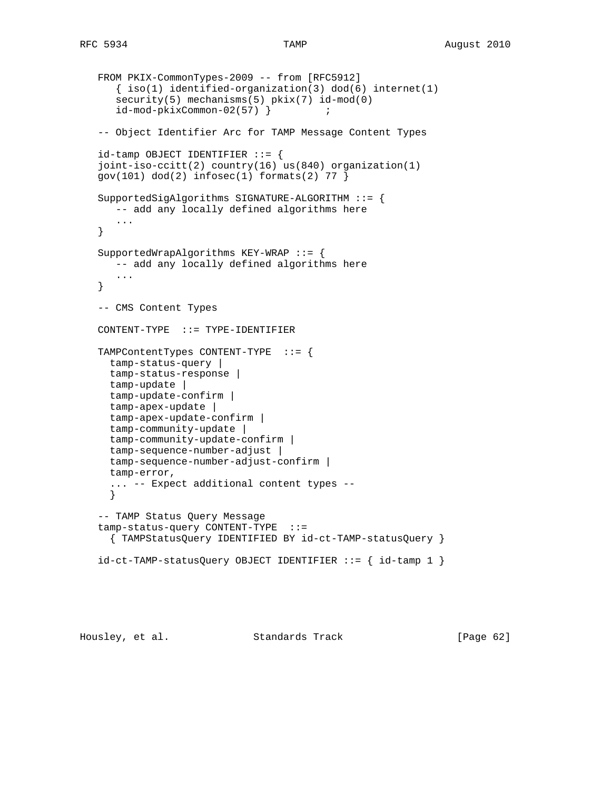```
 FROM PKIX-CommonTypes-2009 -- from [RFC5912]
   \{ iso(1) <i>identified-organization(3) <math> dod(6) <i>internet(1)</i>security(5) mechanisms(5) pkix(7) id-mod(0)
    id-mod-pkixCommon-02(57) } ;
 -- Object Identifier Arc for TAMP Message Content Types
id-tamp OBJECT IDENTIFIER ::= {
 joint-iso-ccitt(2) country(16) us(840) organization(1)
gov(101) dod(2) infosec(1) formats(2) 77 }
 SupportedSigAlgorithms SIGNATURE-ALGORITHM ::= {
   -- add any locally defined algorithms here
    ...
 }
 SupportedWrapAlgorithms KEY-WRAP ::= {
   -- add any locally defined algorithms here
    ...
 }
 -- CMS Content Types
 CONTENT-TYPE ::= TYPE-IDENTIFIER
 TAMPContentTypes CONTENT-TYPE ::= {
  tamp-status-query |
   tamp-status-response |
  tamp-update |
  tamp-update-confirm |
  tamp-apex-update |
  tamp-apex-update-confirm |
  tamp-community-update |
  tamp-community-update-confirm |
   tamp-sequence-number-adjust |
   tamp-sequence-number-adjust-confirm |
   tamp-error,
   ... -- Expect additional content types --
   }
 -- TAMP Status Query Message
 tamp-status-query CONTENT-TYPE ::=
   { TAMPStatusQuery IDENTIFIED BY id-ct-TAMP-statusQuery }
id-ct-TAMP-statusQuery OBJECT IDENTIFIER ::= { id-tamp 1 }
```
Housley, et al. Standards Track [Page 62]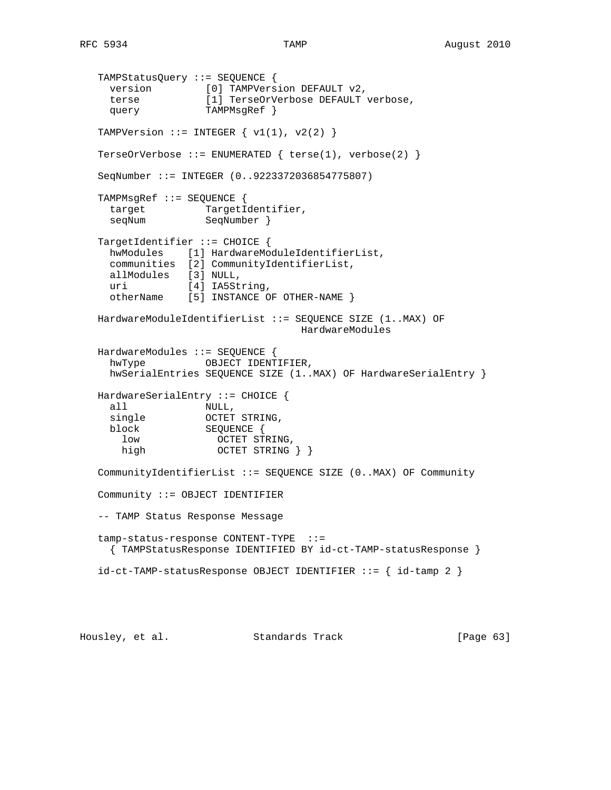```
 TAMPStatusQuery ::= SEQUENCE {
 version [0] TAMPVersion DEFAULT v2,
 terse [1] TerseOrVerbose DEFAULT verbose,
    terse [1] TerseOrV<br>query TAMPMsgRef }
  TAMPVersion  ::= INTEGER \{ v1(1), v2(2) \} TerseOrVerbose ::= ENUMERATED { terse(1), verbose(2) }
   SeqNumber ::= INTEGER (0..9223372036854775807)
   TAMPMsgRef ::= SEQUENCE {
    target TargetIdentifier,
    seqNum SeqNumber }
   TargetIdentifier ::= CHOICE {
     hwModules [1] HardwareModuleIdentifierList,
     communities [2] CommunityIdentifierList,
     allModules [3] NULL,
    uri [4] IA5String,
     otherName [5] INSTANCE OF OTHER-NAME }
   HardwareModuleIdentifierList ::= SEQUENCE SIZE (1..MAX) OF
                                   HardwareModules
   HardwareModules ::= SEQUENCE {
    hwType OBJECT IDENTIFIER,
     hwSerialEntries SEQUENCE SIZE (1..MAX) OF HardwareSerialEntry }
   HardwareSerialEntry ::= CHOICE {
     all NULL,
    single OCTET STRING,
     block SEQUENCE {
       low OCTET STRING,
      high OCTET STRING \} CommunityIdentifierList ::= SEQUENCE SIZE (0..MAX) OF Community
   Community ::= OBJECT IDENTIFIER
   -- TAMP Status Response Message
   tamp-status-response CONTENT-TYPE ::=
     { TAMPStatusResponse IDENTIFIED BY id-ct-TAMP-statusResponse }
   id-ct-TAMP-statusResponse OBJECT IDENTIFIER ::= { id-tamp 2 }
```
Housley, et al. Standards Track [Page 63]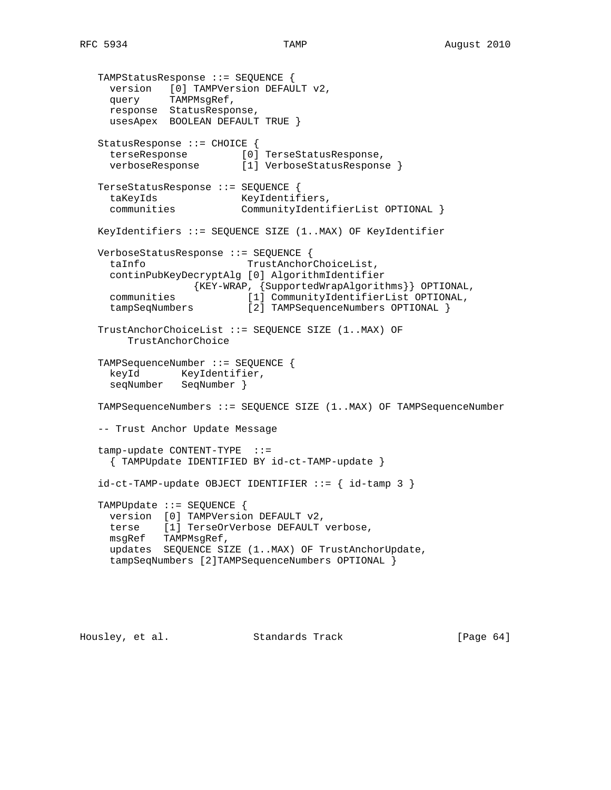```
 TAMPStatusResponse ::= SEQUENCE {
     version [0] TAMPVersion DEFAULT v2,
     query TAMPMsgRef,
     response StatusResponse,
     usesApex BOOLEAN DEFAULT TRUE }
   StatusResponse ::= CHOICE {
 terseResponse [0] TerseStatusResponse,
 verboseResponse [1] VerboseStatusResponse }
   TerseStatusResponse ::= SEQUENCE {
     taKeyIds KeyIdentifiers,
     communities CommunityIdentifierList OPTIONAL }
   KeyIdentifiers ::= SEQUENCE SIZE (1..MAX) OF KeyIdentifier
   VerboseStatusResponse ::= SEQUENCE {
     taInfo TrustAnchorChoiceList,
     continPubKeyDecryptAlg [0] AlgorithmIdentifier
                {KEY-WRAP, {SupportedWrapAlgorithms}} OPTIONAL,
     communities [1] CommunityIdentifierList OPTIONAL,
     tampSeqNumbers [2] TAMPSequenceNumbers OPTIONAL }
   TrustAnchorChoiceList ::= SEQUENCE SIZE (1..MAX) OF
        TrustAnchorChoice
   TAMPSequenceNumber ::= SEQUENCE {
    keyId KeyIdentifier,
     seqNumber SeqNumber }
   TAMPSequenceNumbers ::= SEQUENCE SIZE (1..MAX) OF TAMPSequenceNumber
   -- Trust Anchor Update Message
   tamp-update CONTENT-TYPE ::=
     { TAMPUpdate IDENTIFIED BY id-ct-TAMP-update }
  id-ct-TAMP-update OBJECT IDENTIFIER ::= { id-tamp 3 }
   TAMPUpdate ::= SEQUENCE {
     version [0] TAMPVersion DEFAULT v2,
     terse [1] TerseOrVerbose DEFAULT verbose,
     msgRef TAMPMsgRef,
     updates SEQUENCE SIZE (1..MAX) OF TrustAnchorUpdate,
     tampSeqNumbers [2]TAMPSequenceNumbers OPTIONAL }
```
Housley, et al. Standards Track [Page 64]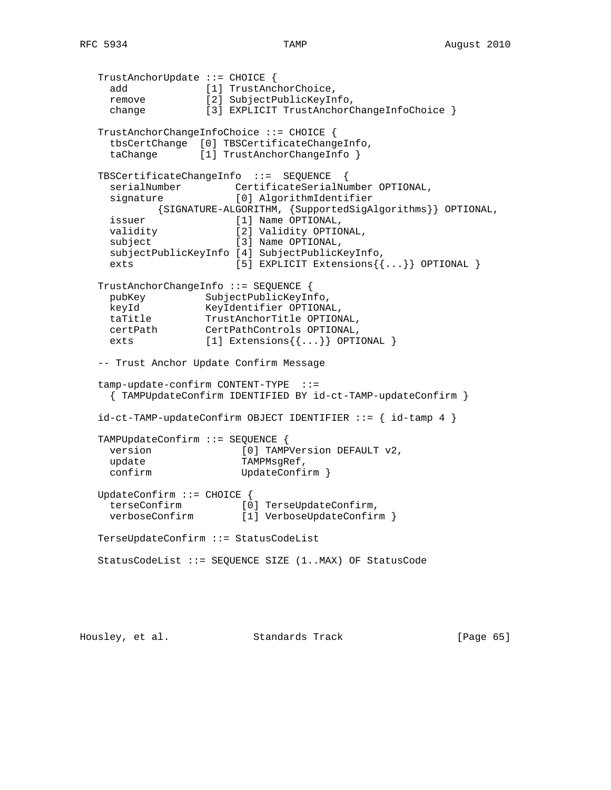TrustAnchorUpdate ::= CHOICE { add [1] TrustAnchorChoice, remove [2] SubjectPublicKeyInfo, change [3] EXPLICIT TrustAnchorChangeInfoChoice } TrustAnchorChangeInfoChoice ::= CHOICE { tbsCertChange [0] TBSCertificateChangeInfo, taChange [1] TrustAnchorChangeInfo } TBSCertificateChangeInfo ::= SEQUENCE { serialNumber CertificateSerialNumber OPTIONAL,<br>signature [0] AlgorithmIdentifier [0] AlgorithmIdentifier {SIGNATURE-ALGORITHM, {SupportedSigAlgorithms}} OPTIONAL, issuer [1] Name OPTIONAL, validity [2] Validity OPTIONAL,<br>subject [3] Name OPTIONAL, [3] Name OPTIONAL, subjectPublicKeyInfo [4] SubjectPublicKeyInfo, exts [5] EXPLICIT Extensions{{...}} OPTIONAL } TrustAnchorChangeInfo ::= SEQUENCE { pubKey SubjectPublicKeyInfo, keyId KeyIdentifier OPTIONAL,<br>taTitle TrustAnchorTitle OPTION TrustAnchorTitle OPTIONAL, certPath CertPathControls OPTIONAL, exts [1] Extensions $\{ \ldots \}$  OPTIONAL } -- Trust Anchor Update Confirm Message tamp-update-confirm CONTENT-TYPE ::= { TAMPUpdateConfirm IDENTIFIED BY id-ct-TAMP-updateConfirm }  $id-ct-TAMP-updateConfirm OBJECT IDENTIFIER ::=\{ id-tamp 4 \}$  TAMPUpdateConfirm ::= SEQUENCE { version [0] TAMPVersion DEFAULT v2, update TAMPMsgRef, confirm UpdateConfirm } UpdateConfirm ::= CHOICE { terseConfirm [0] TerseUpdateConfirm, verboseConfirm [1] VerboseUpdateConfirm } TerseUpdateConfirm ::= StatusCodeList StatusCodeList ::= SEQUENCE SIZE (1..MAX) OF StatusCode

Housley, et al. Standards Track [Page 65]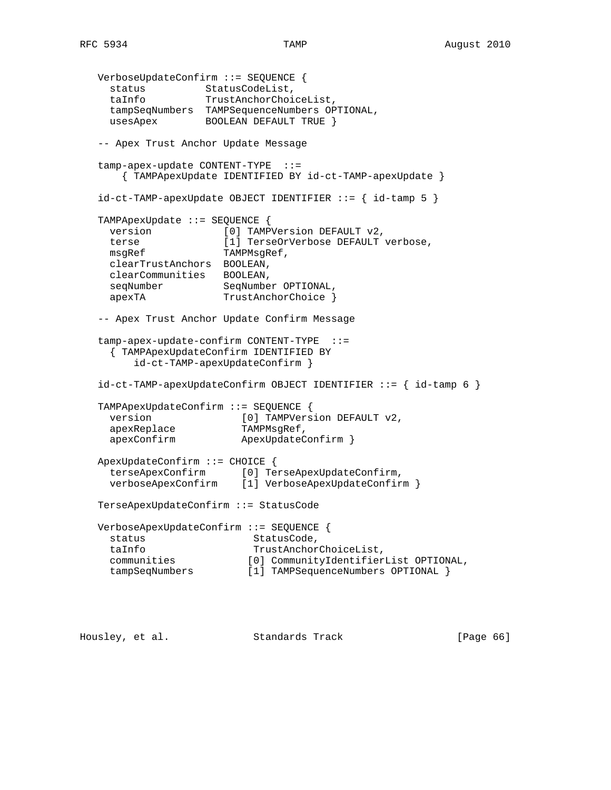```
 VerboseUpdateConfirm ::= SEQUENCE {
status StatusCodeList,
 taInfo TrustAnchorChoiceList,
     tampSeqNumbers TAMPSequenceNumbers OPTIONAL,
    usesApex BOOLEAN DEFAULT TRUE }
   -- Apex Trust Anchor Update Message
   tamp-apex-update CONTENT-TYPE ::=
       { TAMPApexUpdate IDENTIFIED BY id-ct-TAMP-apexUpdate }
  id-ct-TAMP-apexUpdate OBJECT IDENTIFIER ::= { id-tamp 5 } TAMPApexUpdate ::= SEQUENCE {
    version [0] TAMPVersion DEFAULT v2,
     terse [1] TerseOrVerbose DEFAULT verbose,
   msgRef TAMPMsgRef,
     clearTrustAnchors BOOLEAN,
     clearCommunities BOOLEAN,
     seqNumber SeqNumber OPTIONAL,
    apexTA TrustAnchorChoice }
   -- Apex Trust Anchor Update Confirm Message
   tamp-apex-update-confirm CONTENT-TYPE ::=
     { TAMPApexUpdateConfirm IDENTIFIED BY
        id-ct-TAMP-apexUpdateConfirm }
   id-ct-TAMP-apexUpdateConfirm OBJECT IDENTIFIER ::= { id-tamp 6 }
   TAMPApexUpdateConfirm ::= SEQUENCE {
    version [0] TAMPVersion DEFAULT v2,
     apexReplace TAMPMsgRef,
    apexConfirm ApexUpdateConfirm }
   ApexUpdateConfirm ::= CHOICE {
                     [0] TerseApexUpdateConfirm,
     verboseApexConfirm [1] VerboseApexUpdateConfirm }
   TerseApexUpdateConfirm ::= StatusCode
   VerboseApexUpdateConfirm ::= SEQUENCE {
   status StatusCode,
     taInfo TrustAnchorChoiceList,
     communities [0] CommunityIdentifierList OPTIONAL,
     tampSeqNumbers [1] TAMPSequenceNumbers OPTIONAL }
```
Housley, et al. Standards Track [Page 66]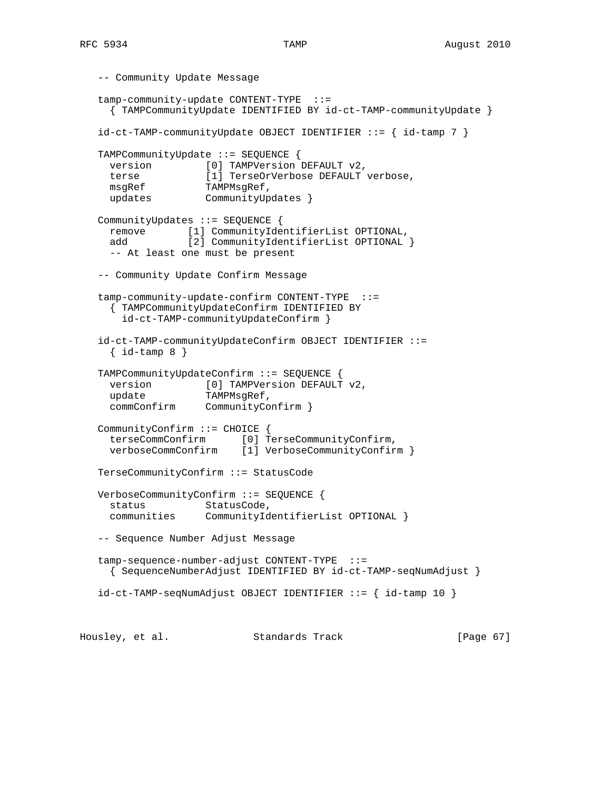```
 -- Community Update Message
 tamp-community-update CONTENT-TYPE ::=
   { TAMPCommunityUpdate IDENTIFIED BY id-ct-TAMP-communityUpdate }
 id-ct-TAMP-communityUpdate OBJECT IDENTIFIER ::= { id-tamp 7 }
 TAMPCommunityUpdate ::= SEQUENCE {
 version [0] TAMPVersion DEFAULT v2,
  terse [1] TerseOrVerbose DEFAULT verbose,
 msgRef TAMPMsgRef,
 updates CommunityUpdates }
 CommunityUpdates ::= SEQUENCE {
  remove [1] CommunityIdentifierList OPTIONAL,
 add [2] CommunityIdentifierList OPTIONAL }
   -- At least one must be present
 -- Community Update Confirm Message
 tamp-community-update-confirm CONTENT-TYPE ::=
   { TAMPCommunityUpdateConfirm IDENTIFIED BY
    id-ct-TAMP-communityUpdateConfirm }
 id-ct-TAMP-communityUpdateConfirm OBJECT IDENTIFIER ::=
  \{ id-tamp 8 \} TAMPCommunityUpdateConfirm ::= SEQUENCE {
 version [0] TAMPVersion DEFAULT v2,
  update TAMPMsgRef,
  commConfirm CommunityConfirm }
 CommunityConfirm ::= CHOICE {
   terseCommConfirm [0] TerseCommunityConfirm,
   verboseCommConfirm [1] VerboseCommunityConfirm }
 TerseCommunityConfirm ::= StatusCode
 VerboseCommunityConfirm ::= SEQUENCE {
 status StatusCode,
  communities CommunityIdentifierList OPTIONAL }
 -- Sequence Number Adjust Message
 tamp-sequence-number-adjust CONTENT-TYPE ::=
   { SequenceNumberAdjust IDENTIFIED BY id-ct-TAMP-seqNumAdjust }
id-ct-TAMP-seqNumAddjust OBJECT IDENTIFIER ::= { id-tamp 10 }
```
Housley, et al. Standards Track [Page 67]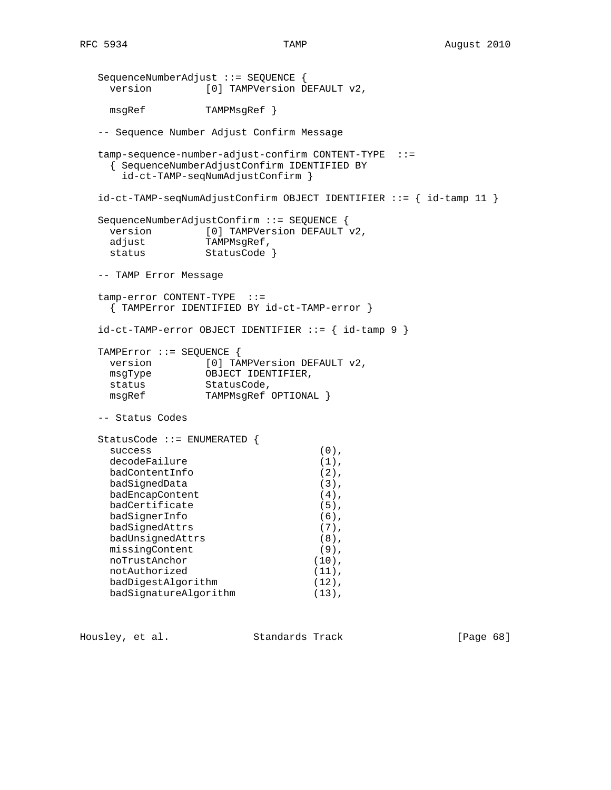```
 SequenceNumberAdjust ::= SEQUENCE {
 version [0] TAMPVersion DEFAULT v2,
  msgRef TAMPMsgRef }
 -- Sequence Number Adjust Confirm Message
 tamp-sequence-number-adjust-confirm CONTENT-TYPE ::=
  { SequenceNumberAdjustConfirm IDENTIFIED BY
    id-ct-TAMP-seqNumAdjustConfirm }
 id-ct-TAMP-seqNumAdjustConfirm OBJECT IDENTIFIER ::= { id-tamp 11 }
 SequenceNumberAdjustConfirm ::= SEQUENCE {
 version [0] TAMPVersion DEFAULT v2,<br>adjust TAMPMsgRef,
              TAMPMsgRef,
 status StatusCode }
 -- TAMP Error Message
 tamp-error CONTENT-TYPE ::=
  { TAMPError IDENTIFIED BY id-ct-TAMP-error }
id-ct-TAMP-error OBJECT IDENTIFIER ::= { id-tamp 9 } TAMPError ::= SEQUENCE {
 version [0] TAMPVersion DEFAULT v2,<br>msgType OBJECT IDENTIFIER,
              OBJECT IDENTIFIER,
 \frac{10055 - 1}{5}StatusCode,<br>TAMPMsgRef OPTIONAL }
 -- Status Codes
 StatusCode ::= ENUMERATED {
 success (0),
 decodeFailure (1),
 badContentInfo (2),
 badSignedData (3),
 badEncapContent (4),
 badCertificate (5),
 badSignerInfo (6),
 badSignedAttrs (7),
  badUnsignedAttrs (8),
 missingContent (9),
 noTrustAnchor (10),
 notAuthorized (11),
  badDigestAlgorithm (12),
 badSignatureAlgorithm (13),
```
Housley, et al. Standards Track [Page 68]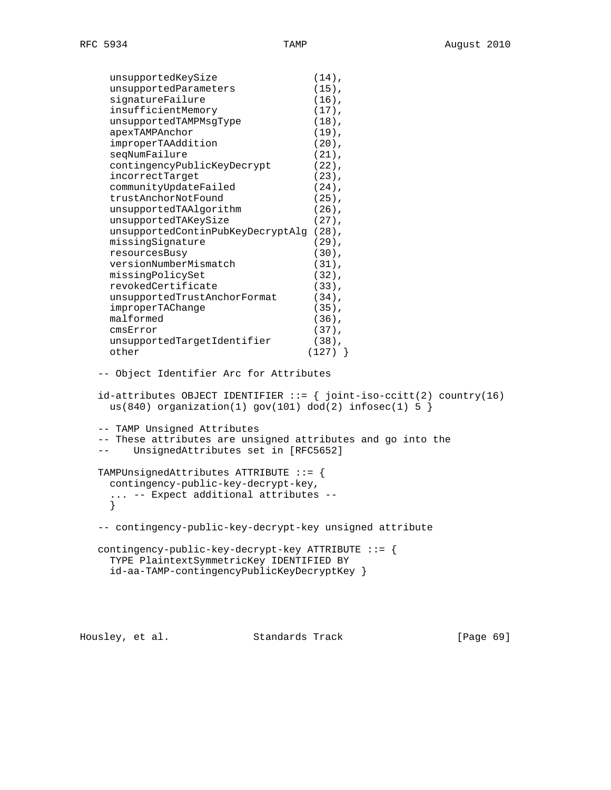unsupportedKeySize (14), unsupportedReySize (14),<br>unsupportedParameters (15), signatureFailure (16), insufficientMemory (17), unsupportedTAMPMsgType (18), apexTAMPAnchor (19), improperTAAddition (20), seqNumFailure (21), contingencyPublicKeyDecrypt (22), incorrectTarget (23), communityUpdateFailed (24), trustAnchorNotFound (25), unsupportedTAAlgorithm (26), unsupportedTAKeySize (27), unsupportedContinPubKeyDecryptAlg (28), missingSignature (29), resourcesBusy (30),<br>versionNumberMismatch (31), versionNumberMismatch (31), missingPolicySet (32), revokedCertificate (33), unsupportedTrustAnchorFormat (34), improperTAChange (35), malformed (36), cmsError (37), unsupportedTargetIdentifier (38), other (127) } -- Object Identifier Arc for Attributes  $id$ -attributes OBJECT IDENTIFIER  $::=$  { joint-iso-ccitt(2) country(16) us(840) organization(1) gov(101) dod(2) infosec(1)  $5$  } -- TAMP Unsigned Attributes -- These attributes are unsigned attributes and go into the -- UnsignedAttributes set in [RFC5652] TAMPUnsignedAttributes ATTRIBUTE ::= { contingency-public-key-decrypt-key, ... -- Expect additional attributes -- } -- contingency-public-key-decrypt-key unsigned attribute contingency-public-key-decrypt-key ATTRIBUTE ::= { TYPE PlaintextSymmetricKey IDENTIFIED BY id-aa-TAMP-contingencyPublicKeyDecryptKey }

Housley, et al. Standards Track [Page 69]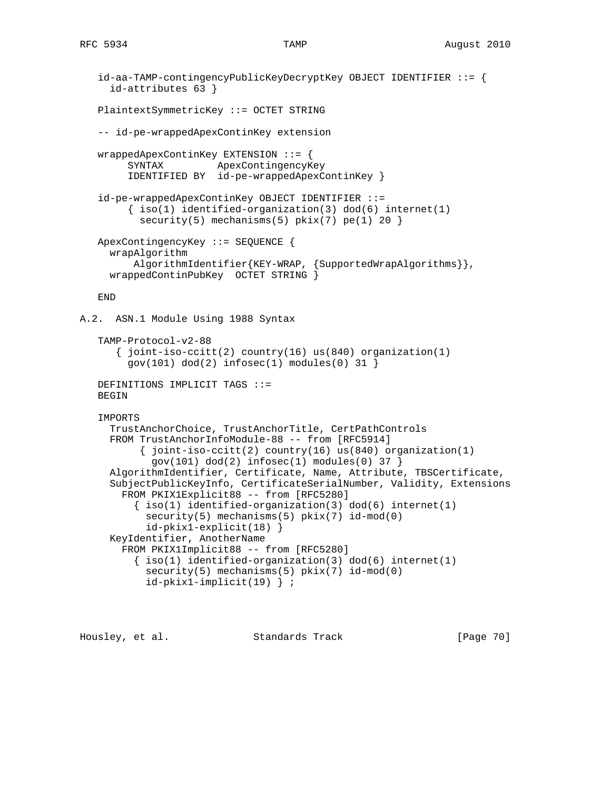```
 id-aa-TAMP-contingencyPublicKeyDecryptKey OBJECT IDENTIFIER ::= {
      id-attributes 63 }
    PlaintextSymmetricKey ::= OCTET STRING
    -- id-pe-wrappedApexContinKey extension
   wrappedApexContinKey EXTENSION  ::= \{ SYNTAX ApexContingencyKey
         IDENTIFIED BY id-pe-wrappedApexContinKey }
    id-pe-wrappedApexContinKey OBJECT IDENTIFIER ::=
        \{ iso(1) <i>identified-organization(3) <math> dod(6) <i>internet(1)</i>security(5) mechanisms(5) pkix(7) pe(1) 20 }
    ApexContingencyKey ::= SEQUENCE {
      wrapAlgorithm
          AlgorithmIdentifier{KEY-WRAP, {SupportedWrapAlgorithms}},
      wrappedContinPubKey OCTET STRING }
    END
A.2. ASN.1 Module Using 1988 Syntax
    TAMP-Protocol-v2-88
      \{ joint-iso-ccitt(2) country(16) us(840) organization(1)
        gov(101) dod(2) infosec(1) modules(0) 31 }
    DEFINITIONS IMPLICIT TAGS ::=
    BEGIN
    IMPORTS
      TrustAnchorChoice, TrustAnchorTitle, CertPathControls
      FROM TrustAnchorInfoModule-88 -- from [RFC5914]
           { joint-iso-ccitt(2) country(16) us(840) organization(1)
            gov(101) dod(2) infosec(1) modules(0) 37 }
      AlgorithmIdentifier, Certificate, Name, Attribute, TBSCertificate,
      SubjectPublicKeyInfo, CertificateSerialNumber, Validity, Extensions
        FROM PKIX1Explicit88 -- from [RFC5280]
         \{ iso(1) <i>identified-organization(3) <math> dod(6) <i>internet(1)</i> security(5) mechanisms(5) pkix(7) id-mod(0)
            id-pkix1-explicit(18) }
      KeyIdentifier, AnotherName
        FROM PKIX1Implicit88 -- from [RFC5280]
         \{ iso(1) identified-organization(3) dod(6) internet(1)
           security(5) mechanisms(5) pkix(7) id-mod(0)
            id-pkix1-implicit(19) } ;
```
Housley, et al. Standards Track [Page 70]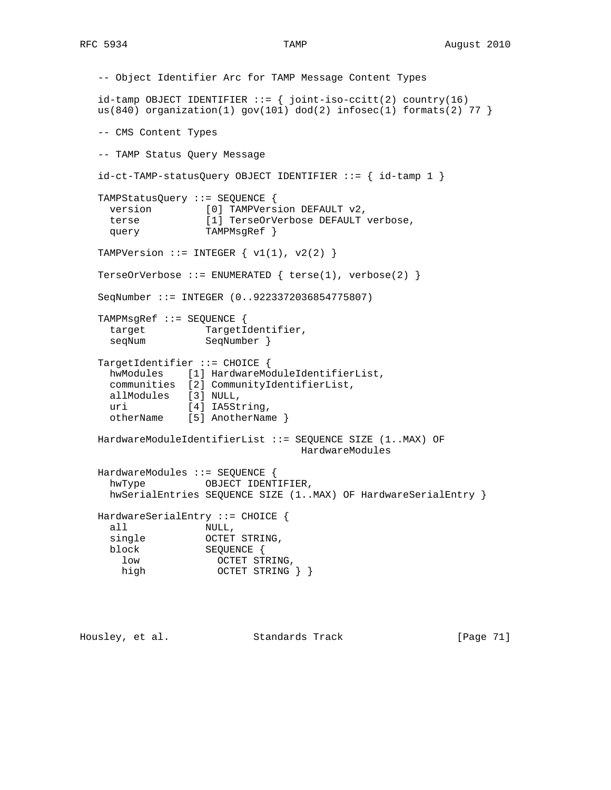```
 -- Object Identifier Arc for TAMP Message Content Types
  id-tamp OBJECT IDENTIFIER ::= { joint-iso-ccitt(2) country(16)
  us(840) organization(1) gov(101) dod(2) infosec(1) formats(2) 77 }
   -- CMS Content Types
   -- TAMP Status Query Message
  id-ct-TAMP-statusQuery OBJECT IDENTIFIER ::= { id-tamp 1 }TAMPStatusQuery ::= SEQUENCE {<br>version [0] TAMPVers
                    [0] TAMPVersion DEFAULT v2,
     terse [1] TerseOrVerbose DEFAULT verbose,
    query TAMPMsgRef }
  TAMPVersion ::= INTEGER \{ v1(1), v2(2) \} TerseOrVerbose ::= ENUMERATED { terse(1), verbose(2) }
   SeqNumber ::= INTEGER (0..9223372036854775807)
   TAMPMsgRef ::= SEQUENCE {
     target TargetIdentifier,
    seqNum SeqNumber }
   TargetIdentifier ::= CHOICE {
     hwModules [1] HardwareModuleIdentifierList,
     communities [2] CommunityIdentifierList,
     allModules [3] NULL,
    uri [4] IA5String,
     otherName [5] AnotherName }
   HardwareModuleIdentifierList ::= SEQUENCE SIZE (1..MAX) OF
                                      HardwareModules
   HardwareModules ::= SEQUENCE {
    hwType OBJECT IDENTIFIER,
     hwSerialEntries SEQUENCE SIZE (1..MAX) OF HardwareSerialEntry }
   HardwareSerialEntry ::= CHOICE {
     all NULL,
single OCTET STRING,
 block SEQUENCE {
low CCTET STRING,
      \begin{array}{lll} \texttt{low} & \texttt{OCTET} & \texttt{STRING}, \\ \texttt{high} & \texttt{OCTET} & \texttt{STRING} \end{array} \big\} \big\}
```
Housley, et al. Standards Track [Page 71]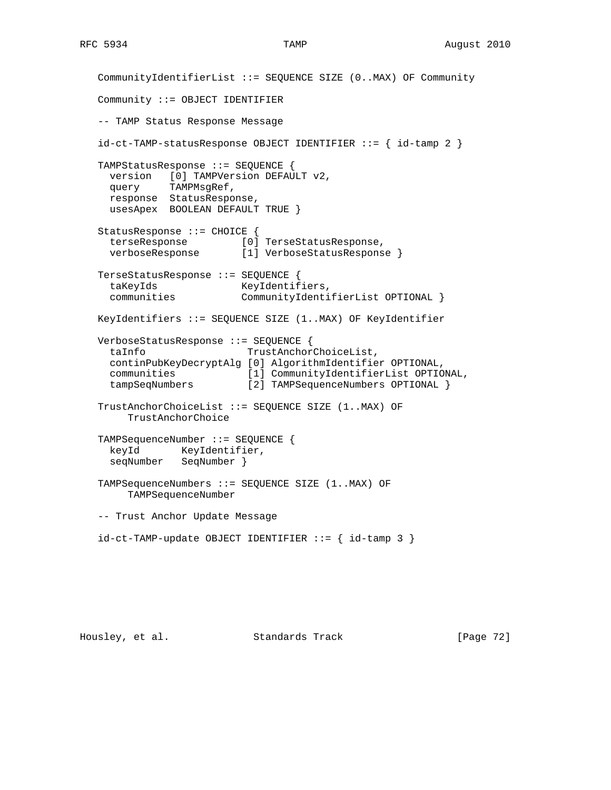CommunityIdentifierList ::= SEQUENCE SIZE (0..MAX) OF Community Community ::= OBJECT IDENTIFIER -- TAMP Status Response Message id-ct-TAMP-statusResponse OBJECT IDENTIFIER ::= { id-tamp 2 } TAMPStatusResponse ::= SEQUENCE { version [0] TAMPVersion DEFAULT v2, query TAMPMsgRef, response StatusResponse, usesApex BOOLEAN DEFAULT TRUE } StatusResponse ::= CHOICE { terseResponse [0] TerseStatusResponse, verboseResponse [1] VerboseStatusResponse } TerseStatusResponse ::= SEQUENCE { taKeyIds KeyIdentifiers, communities CommunityIdentifierList OPTIONAL } KeyIdentifiers ::= SEQUENCE SIZE (1..MAX) OF KeyIdentifier VerboseStatusResponse ::= SEQUENCE { taInfo TrustAnchorChoiceList, continPubKeyDecryptAlg [0] AlgorithmIdentifier OPTIONAL, communities [1] CommunityIdentifierList OPTIONAL, tampSeqNumbers [2] TAMPSequenceNumbers OPTIONAL } TrustAnchorChoiceList ::= SEQUENCE SIZE (1..MAX) OF TrustAnchorChoice TAMPSequenceNumber ::= SEQUENCE { keyId KeyIdentifier, seqNumber SeqNumber } TAMPSequenceNumbers ::= SEQUENCE SIZE (1..MAX) OF TAMPSequenceNumber -- Trust Anchor Update Message  $id-ct-TAMP-update OBJECT IDENTIFIER ::= { id-tamp 3 }$ 

Housley, et al. Standards Track [Page 72]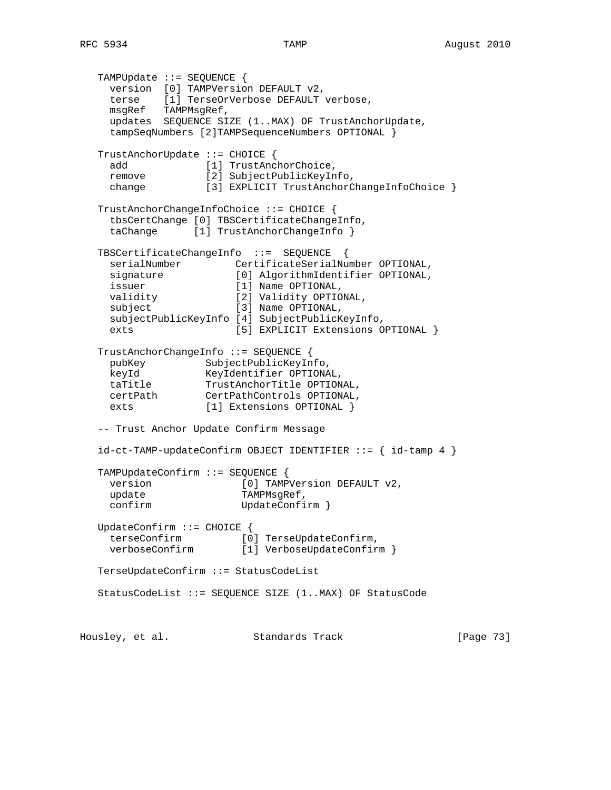```
 TAMPUpdate ::= SEQUENCE {
     version [0] TAMPVersion DEFAULT v2,
     terse [1] TerseOrVerbose DEFAULT verbose,
     msgRef TAMPMsgRef,
     updates SEQUENCE SIZE (1..MAX) OF TrustAnchorUpdate,
     tampSeqNumbers [2]TAMPSequenceNumbers OPTIONAL }
   TrustAnchorUpdate ::= CHOICE {
    add [1] TrustAnchorChoice,
     remove [2] SubjectPublicKeyInfo,
    change [3] EXPLICIT TrustAnchorChangeInfoChoice }
   TrustAnchorChangeInfoChoice ::= CHOICE {
     tbsCertChange [0] TBSCertificateChangeInfo,
    taChange [1] TrustAnchorChangeInfo }
   TBSCertificateChangeInfo ::= SEQUENCE {
     serialNumber CertificateSerialNumber OPTIONAL,
 signature [0] AlgorithmIdentifier OPTIONAL,
 issuer [1] Name OPTIONAL,
                       [2] Validity OPTIONAL,
    validity [2] Validity OPTIO<br>subject [3] Name OPTIONAL,
     subjectPublicKeyInfo [4] SubjectPublicKeyInfo,
    exts [5] EXPLICIT Extensions OPTIONAL }
   TrustAnchorChangeInfo ::= SEQUENCE {
     pubKey SubjectPublicKeyInfo,
    keyId KeyIdentifier OPTIONAL,<br>taTitle TrustAnchorTitle OPTION
    taTitle TrustAnchorTitle OPTIONAL,<br>certPath CertPathControls OPTIONAL,
                  CertPathControls OPTIONAL,
    exts [1] Extensions OPTIONAL }
   -- Trust Anchor Update Confirm Message
   id-ct-TAMP-updateConfirm OBJECT IDENTIFIER ::= { id-tamp 4 }
   TAMPUpdateConfirm ::= SEQUENCE {
    version [0] TAMPVersion DEFAULT v2,
    update TAMPMsgRef,
    confirm UpdateConfirm }
   UpdateConfirm ::= CHOICE {
     terseConfirm [0] TerseUpdateConfirm,
    verboseConfirm [1] VerboseUpdateConfirm }
   TerseUpdateConfirm ::= StatusCodeList
   StatusCodeList ::= SEQUENCE SIZE (1..MAX) OF StatusCode
```
Housley, et al. Standards Track [Page 73]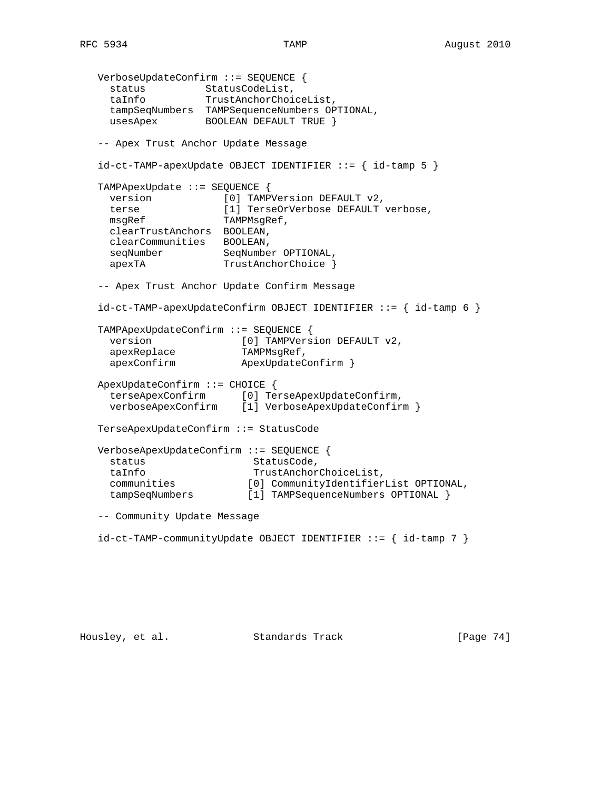```
 VerboseUpdateConfirm ::= SEQUENCE {
status StatusCodeList,
 taInfo TrustAnchorChoiceList,
     tampSeqNumbers TAMPSequenceNumbers OPTIONAL,
    usesApex BOOLEAN DEFAULT TRUE }
   -- Apex Trust Anchor Update Message
  id-ct-TAMP-apexUpdate OBJECT IDENTIFIER ::= { id-tamp 5 } TAMPApexUpdate ::= SEQUENCE {
    version [0] TAMPVersion DEFAULT v2,
    terse [1] TerseOrVerbose DEFAULT verbose,<br>msgRef TAMPMsgRef,
                       TAMPMsgRef,
     clearTrustAnchors BOOLEAN,
     clearCommunities BOOLEAN,
     seqNumber SeqNumber OPTIONAL,
    apexTA TrustAnchorChoice }
   -- Apex Trust Anchor Update Confirm Message
  id-ct-TAMP-apexUpdateConfirm OBJECT IDENTIFIER ::= { id-tamp 6 } TAMPApexUpdateConfirm ::= SEQUENCE {
    version [0] TAMPVersion DEFAULT v2,
apexReplace TAMPMsgRef,
 apexConfirm ApexUpdateConfirm }
   ApexUpdateConfirm ::= CHOICE {
     terseApexConfirm [0] TerseApexUpdateConfirm,
     verboseApexConfirm [1] VerboseApexUpdateConfirm }
   TerseApexUpdateConfirm ::= StatusCode
   VerboseApexUpdateConfirm ::= SEQUENCE {
    status StatusCode,
    taInfo TrustAnchorChoiceList,<br>communities [0] CommunityIdentifier
    communities [0] CommunityIdentifierList OPTIONAL,<br>tampSeqNumbers [1] TAMPSequenceNumbers OPTIONAL }
                          [1] TAMPSequenceNumbers OPTIONAL }
   -- Community Update Message
   id-ct-TAMP-communityUpdate OBJECT IDENTIFIER ::= { id-tamp 7 }
```
Housley, et al. Standards Track [Page 74]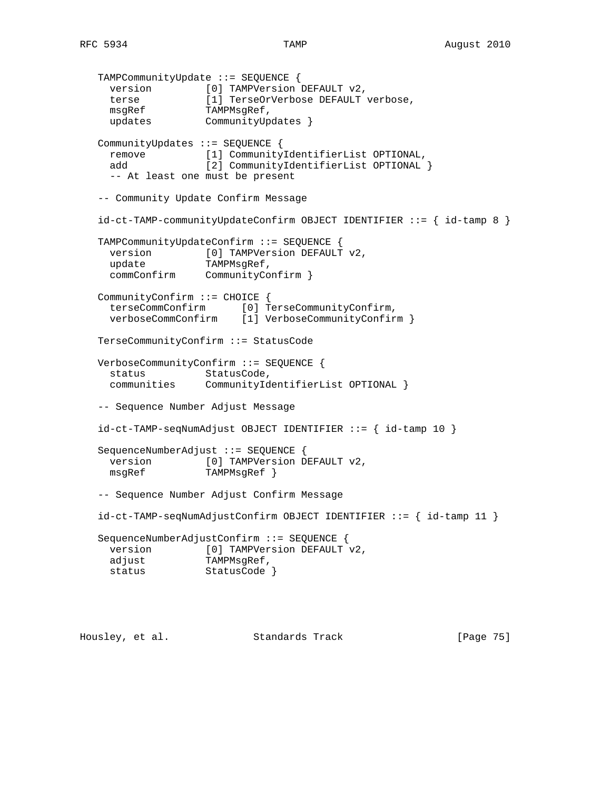```
 TAMPCommunityUpdate ::= SEQUENCE {
 version [0] TAMPVersion DEFAULT v2,
 terse [1] TerseOrVerbose DEFAULT verbose,
msgRef TAMPMsgRef,
 updates CommunityUpdates }
   CommunityUpdates ::= SEQUENCE {
     remove [1] CommunityIdentifierList OPTIONAL,
     add [2] CommunityIdentifierList OPTIONAL }
     -- At least one must be present
   -- Community Update Confirm Message
  id-ct-TAMP-communityUpdateConfirm OBJECT IDENTIFIER ::=\{ id-tamp 8 \} TAMPCommunityUpdateConfirm ::= SEQUENCE {
    version [0] TAMPVersion DEFAULT v2,
     update TAMPMsgRef,
     commConfirm CommunityConfirm }
   CommunityConfirm ::= CHOICE {
     terseCommConfirm [0] TerseCommunityConfirm,
     verboseCommConfirm [1] VerboseCommunityConfirm }
   TerseCommunityConfirm ::= StatusCode
   VerboseCommunityConfirm ::= SEQUENCE {
    status StatusCode,
     communities CommunityIdentifierList OPTIONAL }
   -- Sequence Number Adjust Message
  id-ct-TAMP-seqNumAdjust OBJECT IDENTIFIER ::= { id-tamp 10 } SequenceNumberAdjust ::= SEQUENCE {
    version [0] TAMPVersion DEFAULT v2,
     msgRef TAMPMsgRef }
   -- Sequence Number Adjust Confirm Message
   id-ct-TAMP-seqNumAdjustConfirm OBJECT IDENTIFIER ::= { id-tamp 11 }
   SequenceNumberAdjustConfirm ::= SEQUENCE {
     version [0] TAMPVersion DEFAULT v2,
     adjust TAMPMsgRef,
    status StatusCode }
```
Housley, et al. Standards Track [Page 75]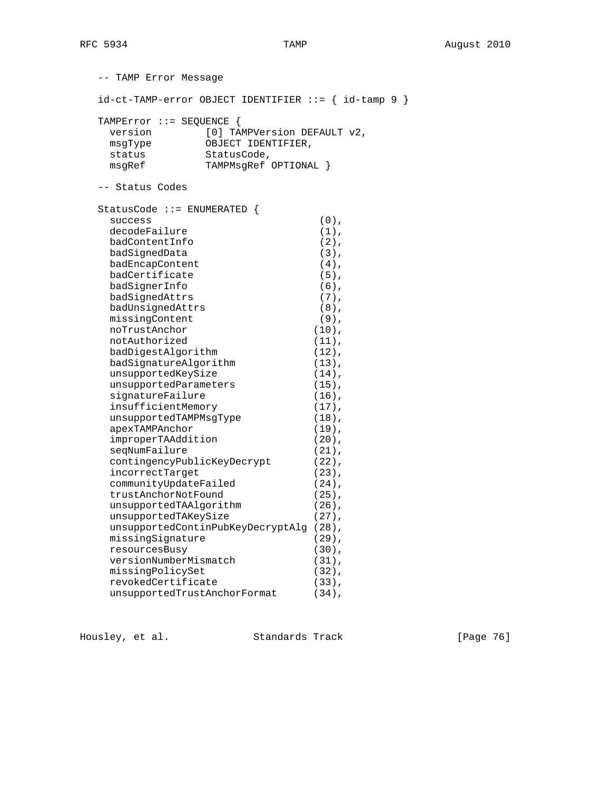-- TAMP Error Message id-ct-TAMP-error OBJECT IDENTIFIER ::= { id-tamp 9 } TAMPError ::= SEQUENCE { version [0] TAMPVersion DEFAULT v2, msgType OBJECT IDENTIFIER, status<br>msgRef msgRef TAMPMsgRef OPTIONAL } -- Status Codes StatusCode ::= ENUMERATED { success (0), decodeFailure (1), badContentInfo (2),<br>badSignedData (3), badSignedData (3), badEncapContent (4), badCertificate (5), badSignerInfo (6),<br>
badSignedAttrs (7),<br>
badUnsignedAttrs (7),<br>
missingContent (9),<br>
noTrustAnchor (10),<br>
notAuthorized (11), badSignedAttrs (7), badUnsignedAttrs (8), missingContent (9), noTrustAnchor (10), notAuthorized (11), badDigestAlgorithm (12), badSignatureAlgorithm (13), unsupportedKeySize (14), unsupportedParameters (15), signatureFailure (16), insufficientMemory (17), unsupportedTAMPMsgType (18), apexTAMPAnchor (19), improperTAAddition (20), seqNumFailure (21), contingencyPublicKeyDecrypt (22), incorrectTarget (23), communityUpdateFailed (24), trustAnchorNotFound (25), unsupportedTAAlgorithm (26), unsupportedTAKeySize (27), unsupportedContinPubKeyDecryptAlg (28), missingSignature (29), resourcesBusy (30), versionNumberMismatch (31), missingPolicySet (32), revokedCertificate (33), unsupportedTrustAnchorFormat (34),

Housley, et al. Standards Track [Page 76]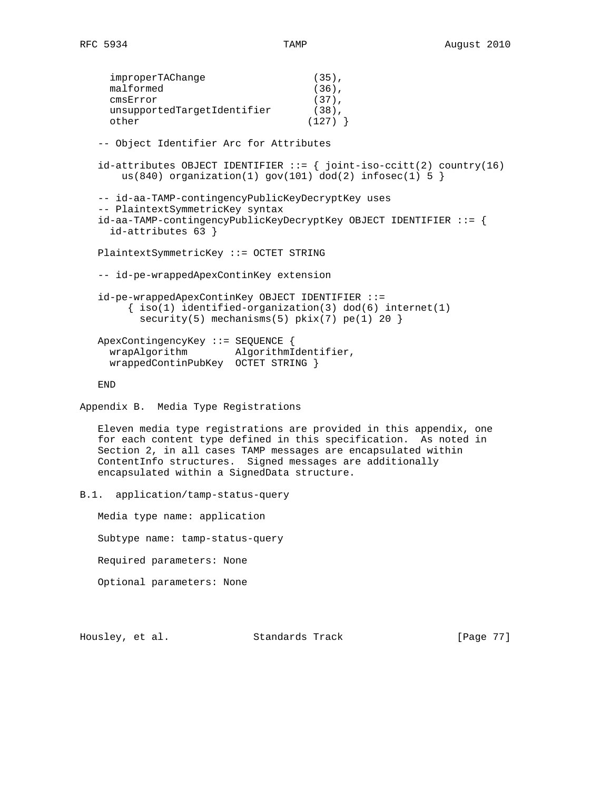improperTAChange (35), malformed (36), cmsError (37), unsupportedTargetIdentifier (38), other (127) } -- Object Identifier Arc for Attributes id-attributes OBJECT IDENTIFIER  $:= \{$  joint-iso-ccitt(2) country(16) us(840) organization(1) gov(101) dod(2) infosec(1)  $5$  } -- id-aa-TAMP-contingencyPublicKeyDecryptKey uses -- PlaintextSymmetricKey syntax id-aa-TAMP-contingencyPublicKeyDecryptKey OBJECT IDENTIFIER ::= { id-attributes 63 } PlaintextSymmetricKey ::= OCTET STRING -- id-pe-wrappedApexContinKey extension id-pe-wrappedApexContinKey OBJECT IDENTIFIER ::=  $\{ iso(1) *identified-organization(3)  $dod(6) *internet(1)*$*$ security(5) mechanisms(5)  $pkix(7) pe(1) 20$  ApexContingencyKey ::= SEQUENCE { wrapAlgorithm AlgorithmIdentifier, wrappedContinPubKey OCTET STRING } END Appendix B. Media Type Registrations Eleven media type registrations are provided in this appendix, one for each content type defined in this specification. As noted in Section 2, in all cases TAMP messages are encapsulated within ContentInfo structures. Signed messages are additionally encapsulated within a SignedData structure. B.1. application/tamp-status-query Media type name: application Subtype name: tamp-status-query

Required parameters: None

Optional parameters: None

Housley, et al. Standards Track [Page 77]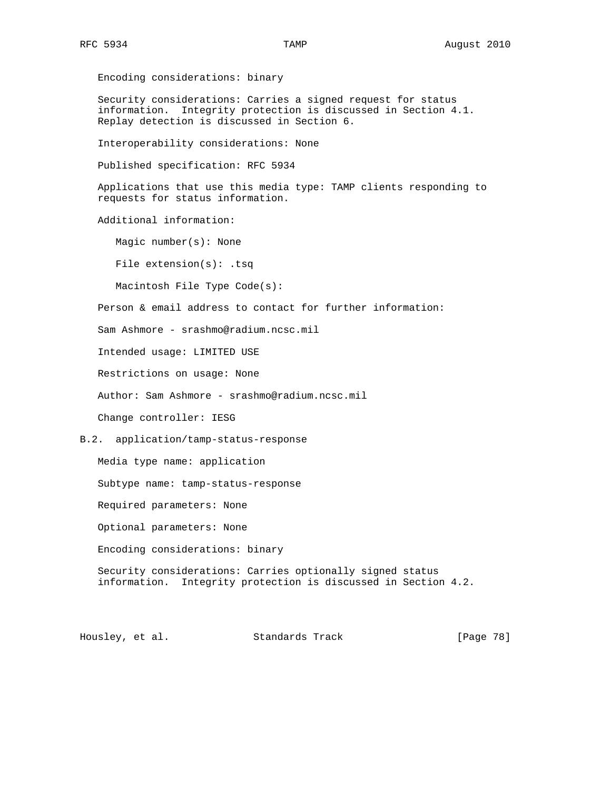Encoding considerations: binary Security considerations: Carries a signed request for status information. Integrity protection is discussed in Section 4.1. Replay detection is discussed in Section 6. Interoperability considerations: None Published specification: RFC 5934 Applications that use this media type: TAMP clients responding to requests for status information. Additional information: Magic number(s): None File extension(s): .tsq Macintosh File Type Code(s): Person & email address to contact for further information: Sam Ashmore - srashmo@radium.ncsc.mil Intended usage: LIMITED USE Restrictions on usage: None Author: Sam Ashmore - srashmo@radium.ncsc.mil Change controller: IESG B.2. application/tamp-status-response Media type name: application Subtype name: tamp-status-response Required parameters: None Optional parameters: None Encoding considerations: binary Security considerations: Carries optionally signed status information. Integrity protection is discussed in Section 4.2.

Housley, et al. Standards Track [Page 78]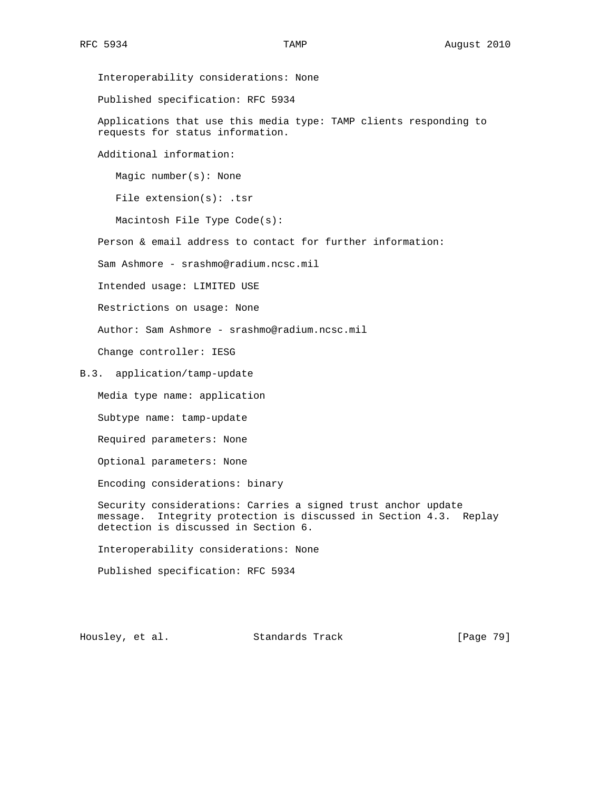Interoperability considerations: None Published specification: RFC 5934 Applications that use this media type: TAMP clients responding to requests for status information. Additional information: Magic number(s): None File extension(s): .tsr Macintosh File Type Code(s): Person & email address to contact for further information: Sam Ashmore - srashmo@radium.ncsc.mil Intended usage: LIMITED USE Restrictions on usage: None Author: Sam Ashmore - srashmo@radium.ncsc.mil Change controller: IESG B.3. application/tamp-update Media type name: application Subtype name: tamp-update Required parameters: None Optional parameters: None Encoding considerations: binary Security considerations: Carries a signed trust anchor update message. Integrity protection is discussed in Section 4.3. Replay detection is discussed in Section 6. Interoperability considerations: None Published specification: RFC 5934

Housley, et al. Standards Track [Page 79]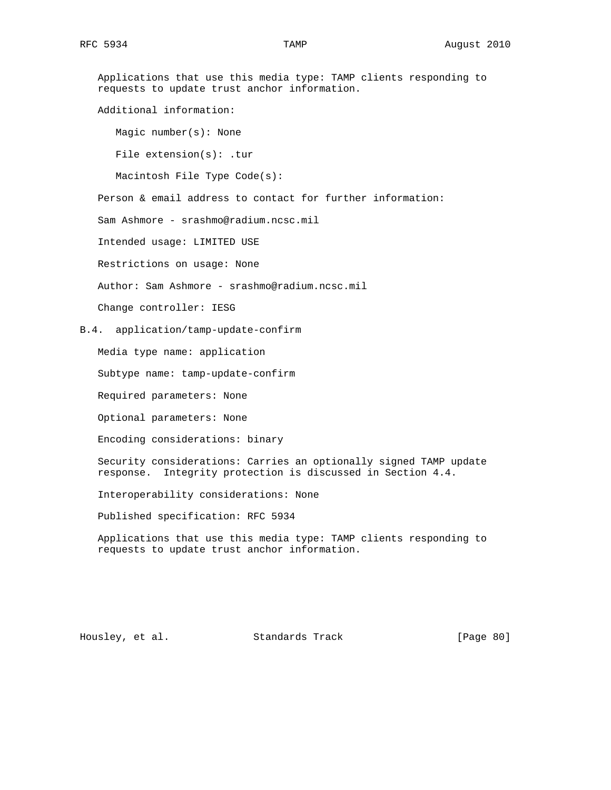Applications that use this media type: TAMP clients responding to requests to update trust anchor information. Additional information: Magic number(s): None File extension(s): .tur Macintosh File Type Code(s): Person & email address to contact for further information: Sam Ashmore - srashmo@radium.ncsc.mil Intended usage: LIMITED USE Restrictions on usage: None Author: Sam Ashmore - srashmo@radium.ncsc.mil Change controller: IESG B.4. application/tamp-update-confirm Media type name: application Subtype name: tamp-update-confirm Required parameters: None Optional parameters: None Encoding considerations: binary Security considerations: Carries an optionally signed TAMP update response. Integrity protection is discussed in Section 4.4. Interoperability considerations: None Published specification: RFC 5934 Applications that use this media type: TAMP clients responding to requests to update trust anchor information.

Housley, et al. Standards Track [Page 80]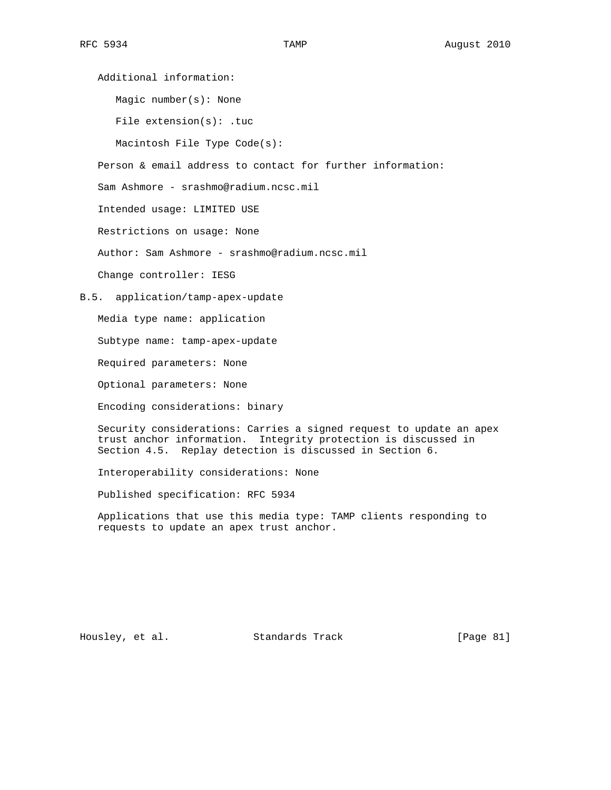Magic number(s): None

File extension(s): .tuc

Macintosh File Type Code(s):

Person & email address to contact for further information:

Sam Ashmore - srashmo@radium.ncsc.mil

Intended usage: LIMITED USE

Restrictions on usage: None

Author: Sam Ashmore - srashmo@radium.ncsc.mil

Change controller: IESG

B.5. application/tamp-apex-update

Media type name: application

Subtype name: tamp-apex-update

Required parameters: None

Optional parameters: None

Encoding considerations: binary

 Security considerations: Carries a signed request to update an apex trust anchor information. Integrity protection is discussed in Section 4.5. Replay detection is discussed in Section 6.

Interoperability considerations: None

Published specification: RFC 5934

 Applications that use this media type: TAMP clients responding to requests to update an apex trust anchor.

Housley, et al. Standards Track [Page 81]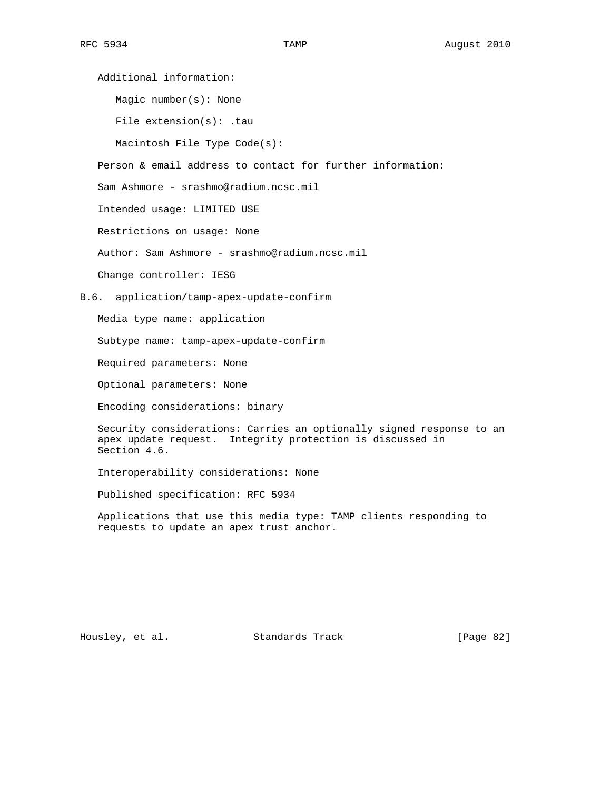Magic number(s): None

File extension(s): .tau

Macintosh File Type Code(s):

Person & email address to contact for further information:

Sam Ashmore - srashmo@radium.ncsc.mil

Intended usage: LIMITED USE

Restrictions on usage: None

Author: Sam Ashmore - srashmo@radium.ncsc.mil

Change controller: IESG

B.6. application/tamp-apex-update-confirm

Media type name: application

Subtype name: tamp-apex-update-confirm

Required parameters: None

Optional parameters: None

Encoding considerations: binary

 Security considerations: Carries an optionally signed response to an apex update request. Integrity protection is discussed in Section 4.6.

Interoperability considerations: None

Published specification: RFC 5934

 Applications that use this media type: TAMP clients responding to requests to update an apex trust anchor.

Housley, et al. Standards Track [Page 82]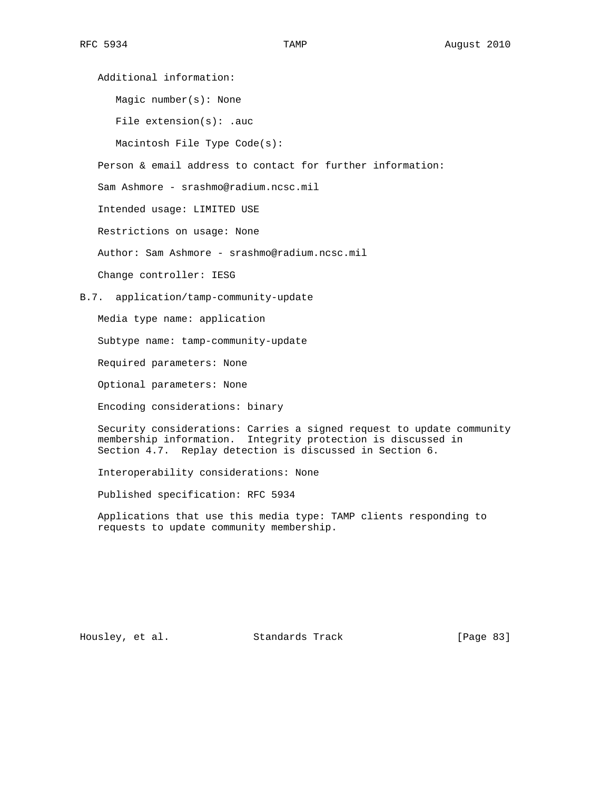Magic number(s): None

File extension(s): .auc

Macintosh File Type Code(s):

Person & email address to contact for further information:

Sam Ashmore - srashmo@radium.ncsc.mil

Intended usage: LIMITED USE

Restrictions on usage: None

Author: Sam Ashmore - srashmo@radium.ncsc.mil

Change controller: IESG

B.7. application/tamp-community-update

Media type name: application

Subtype name: tamp-community-update

Required parameters: None

Optional parameters: None

Encoding considerations: binary

 Security considerations: Carries a signed request to update community membership information. Integrity protection is discussed in Section 4.7. Replay detection is discussed in Section 6.

Interoperability considerations: None

Published specification: RFC 5934

 Applications that use this media type: TAMP clients responding to requests to update community membership.

Housley, et al. Standards Track [Page 83]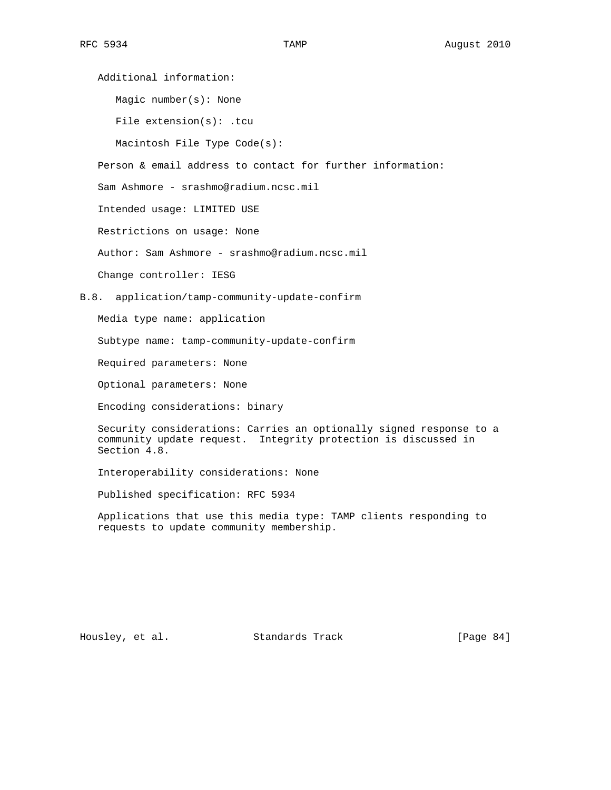Magic number(s): None

File extension(s): .tcu

Macintosh File Type Code(s):

Person & email address to contact for further information:

Sam Ashmore - srashmo@radium.ncsc.mil

Intended usage: LIMITED USE

Restrictions on usage: None

Author: Sam Ashmore - srashmo@radium.ncsc.mil

Change controller: IESG

B.8. application/tamp-community-update-confirm

Media type name: application

Subtype name: tamp-community-update-confirm

Required parameters: None

Optional parameters: None

Encoding considerations: binary

 Security considerations: Carries an optionally signed response to a community update request. Integrity protection is discussed in Section 4.8.

Interoperability considerations: None

Published specification: RFC 5934

 Applications that use this media type: TAMP clients responding to requests to update community membership.

Housley, et al. Standards Track [Page 84]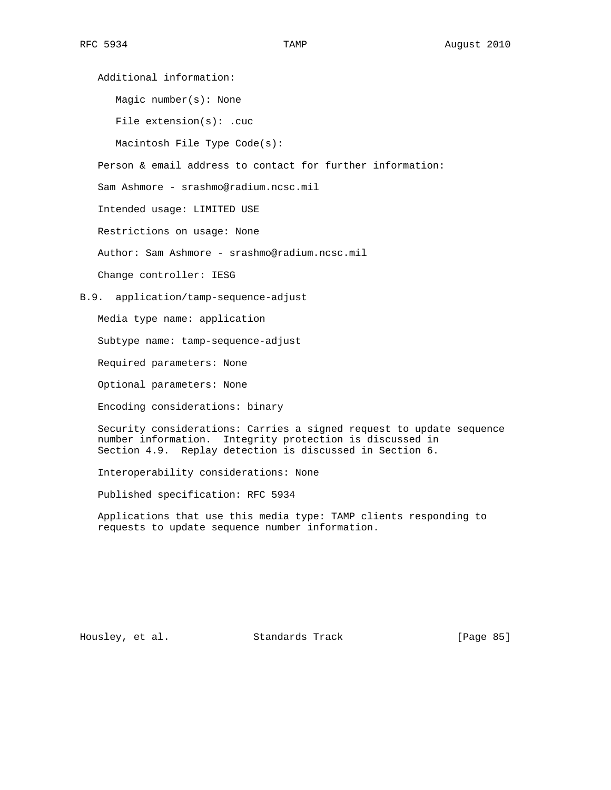Magic number(s): None

File extension(s): .cuc

Macintosh File Type Code(s):

Person & email address to contact for further information:

Sam Ashmore - srashmo@radium.ncsc.mil

Intended usage: LIMITED USE

Restrictions on usage: None

Author: Sam Ashmore - srashmo@radium.ncsc.mil

Change controller: IESG

B.9. application/tamp-sequence-adjust

Media type name: application

Subtype name: tamp-sequence-adjust

Required parameters: None

Optional parameters: None

Encoding considerations: binary

 Security considerations: Carries a signed request to update sequence number information. Integrity protection is discussed in Section 4.9. Replay detection is discussed in Section 6.

Interoperability considerations: None

Published specification: RFC 5934

 Applications that use this media type: TAMP clients responding to requests to update sequence number information.

Housley, et al. Standards Track [Page 85]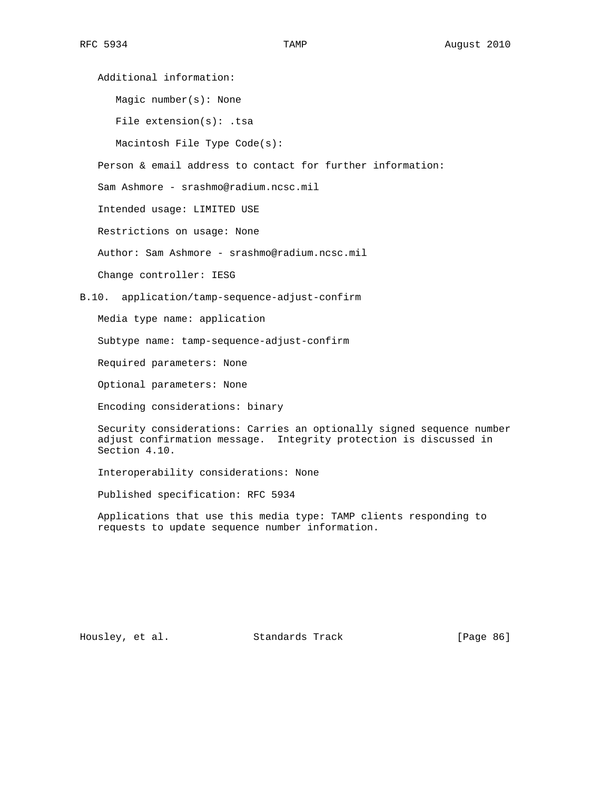Magic number(s): None

File extension(s): .tsa

Macintosh File Type Code(s):

Person & email address to contact for further information:

Sam Ashmore - srashmo@radium.ncsc.mil

Intended usage: LIMITED USE

Restrictions on usage: None

Author: Sam Ashmore - srashmo@radium.ncsc.mil

Change controller: IESG

B.10. application/tamp-sequence-adjust-confirm

Media type name: application

Subtype name: tamp-sequence-adjust-confirm

Required parameters: None

Optional parameters: None

Encoding considerations: binary

 Security considerations: Carries an optionally signed sequence number adjust confirmation message. Integrity protection is discussed in Section 4.10.

Interoperability considerations: None

Published specification: RFC 5934

 Applications that use this media type: TAMP clients responding to requests to update sequence number information.

Housley, et al. Standards Track [Page 86]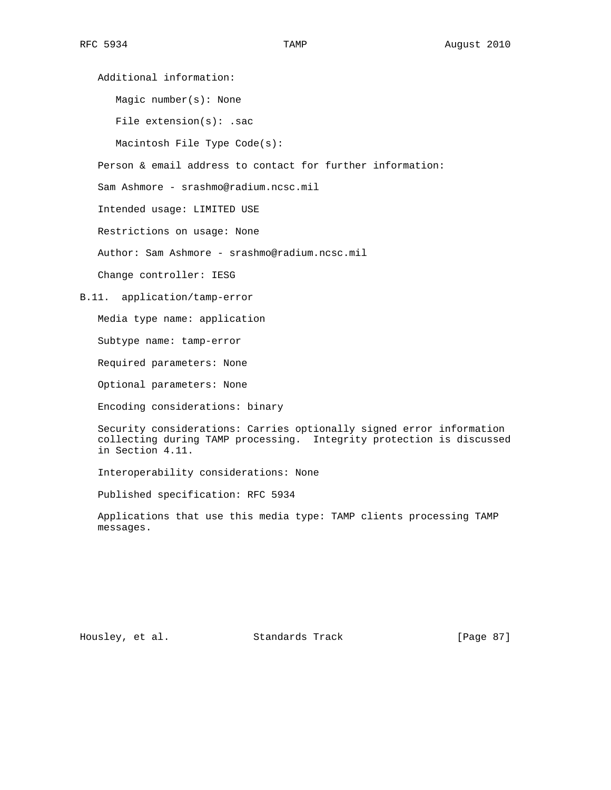Magic number(s): None

File extension(s): .sac

Macintosh File Type Code(s):

Person & email address to contact for further information:

Sam Ashmore - srashmo@radium.ncsc.mil

Intended usage: LIMITED USE

Restrictions on usage: None

Author: Sam Ashmore - srashmo@radium.ncsc.mil

Change controller: IESG

B.11. application/tamp-error

Media type name: application

Subtype name: tamp-error

Required parameters: None

Optional parameters: None

Encoding considerations: binary

 Security considerations: Carries optionally signed error information collecting during TAMP processing. Integrity protection is discussed in Section 4.11.

Interoperability considerations: None

Published specification: RFC 5934

 Applications that use this media type: TAMP clients processing TAMP messages.

Housley, et al. Standards Track [Page 87]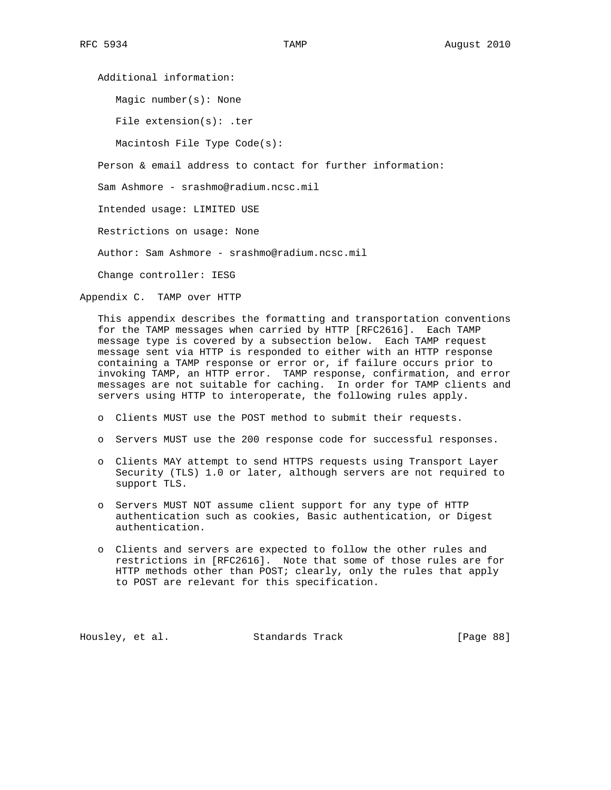Magic number(s): None

File extension(s): .ter

Macintosh File Type Code(s):

Person & email address to contact for further information:

Sam Ashmore - srashmo@radium.ncsc.mil

Intended usage: LIMITED USE

Restrictions on usage: None

Author: Sam Ashmore - srashmo@radium.ncsc.mil

Change controller: IESG

Appendix C. TAMP over HTTP

 This appendix describes the formatting and transportation conventions for the TAMP messages when carried by HTTP [RFC2616]. Each TAMP message type is covered by a subsection below. Each TAMP request message sent via HTTP is responded to either with an HTTP response containing a TAMP response or error or, if failure occurs prior to invoking TAMP, an HTTP error. TAMP response, confirmation, and error messages are not suitable for caching. In order for TAMP clients and servers using HTTP to interoperate, the following rules apply.

- o Clients MUST use the POST method to submit their requests.
- o Servers MUST use the 200 response code for successful responses.
- o Clients MAY attempt to send HTTPS requests using Transport Layer Security (TLS) 1.0 or later, although servers are not required to support TLS.
- o Servers MUST NOT assume client support for any type of HTTP authentication such as cookies, Basic authentication, or Digest authentication.
- o Clients and servers are expected to follow the other rules and restrictions in [RFC2616]. Note that some of those rules are for HTTP methods other than POST; clearly, only the rules that apply to POST are relevant for this specification.

Housley, et al. Standards Track [Page 88]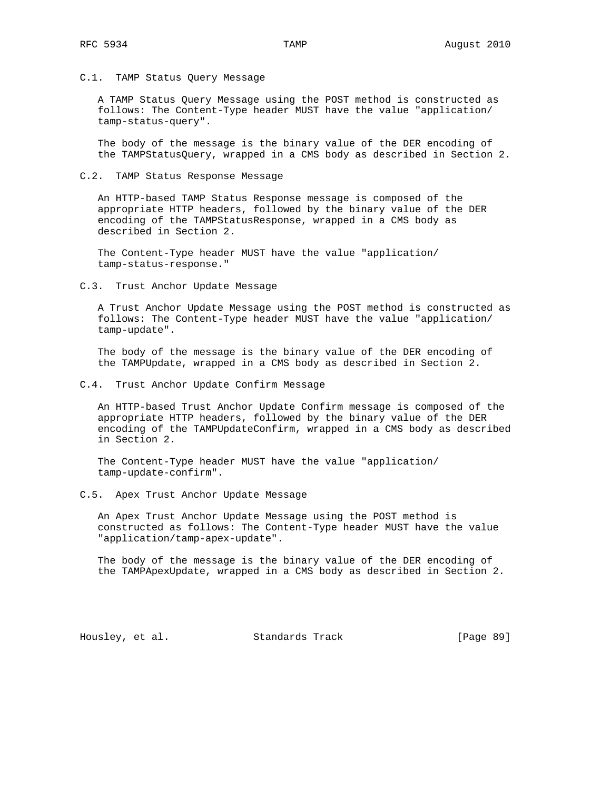C.1. TAMP Status Query Message

 A TAMP Status Query Message using the POST method is constructed as follows: The Content-Type header MUST have the value "application/ tamp-status-query".

 The body of the message is the binary value of the DER encoding of the TAMPStatusQuery, wrapped in a CMS body as described in Section 2.

C.2. TAMP Status Response Message

 An HTTP-based TAMP Status Response message is composed of the appropriate HTTP headers, followed by the binary value of the DER encoding of the TAMPStatusResponse, wrapped in a CMS body as described in Section 2.

 The Content-Type header MUST have the value "application/ tamp-status-response."

C.3. Trust Anchor Update Message

 A Trust Anchor Update Message using the POST method is constructed as follows: The Content-Type header MUST have the value "application/ tamp-update".

 The body of the message is the binary value of the DER encoding of the TAMPUpdate, wrapped in a CMS body as described in Section 2.

C.4. Trust Anchor Update Confirm Message

 An HTTP-based Trust Anchor Update Confirm message is composed of the appropriate HTTP headers, followed by the binary value of the DER encoding of the TAMPUpdateConfirm, wrapped in a CMS body as described in Section 2.

 The Content-Type header MUST have the value "application/ tamp-update-confirm".

C.5. Apex Trust Anchor Update Message

 An Apex Trust Anchor Update Message using the POST method is constructed as follows: The Content-Type header MUST have the value "application/tamp-apex-update".

 The body of the message is the binary value of the DER encoding of the TAMPApexUpdate, wrapped in a CMS body as described in Section 2.

Housley, et al. Standards Track [Page 89]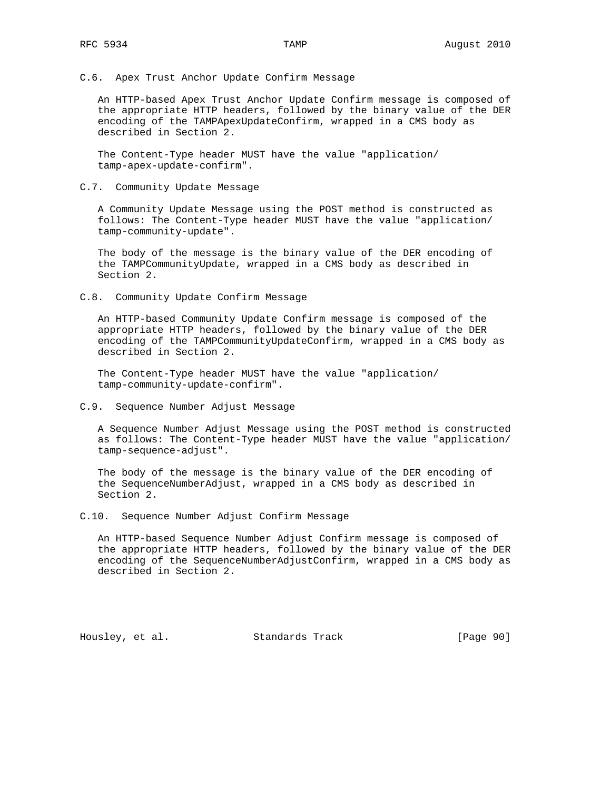C.6. Apex Trust Anchor Update Confirm Message

 An HTTP-based Apex Trust Anchor Update Confirm message is composed of the appropriate HTTP headers, followed by the binary value of the DER encoding of the TAMPApexUpdateConfirm, wrapped in a CMS body as described in Section 2.

 The Content-Type header MUST have the value "application/ tamp-apex-update-confirm".

## C.7. Community Update Message

 A Community Update Message using the POST method is constructed as follows: The Content-Type header MUST have the value "application/ tamp-community-update".

 The body of the message is the binary value of the DER encoding of the TAMPCommunityUpdate, wrapped in a CMS body as described in Section 2.

C.8. Community Update Confirm Message

 An HTTP-based Community Update Confirm message is composed of the appropriate HTTP headers, followed by the binary value of the DER encoding of the TAMPCommunityUpdateConfirm, wrapped in a CMS body as described in Section 2.

 The Content-Type header MUST have the value "application/ tamp-community-update-confirm".

## C.9. Sequence Number Adjust Message

 A Sequence Number Adjust Message using the POST method is constructed as follows: The Content-Type header MUST have the value "application/ tamp-sequence-adjust".

 The body of the message is the binary value of the DER encoding of the SequenceNumberAdjust, wrapped in a CMS body as described in Section 2.

C.10. Sequence Number Adjust Confirm Message

 An HTTP-based Sequence Number Adjust Confirm message is composed of the appropriate HTTP headers, followed by the binary value of the DER encoding of the SequenceNumberAdjustConfirm, wrapped in a CMS body as described in Section 2.

Housley, et al. Standards Track [Page 90]